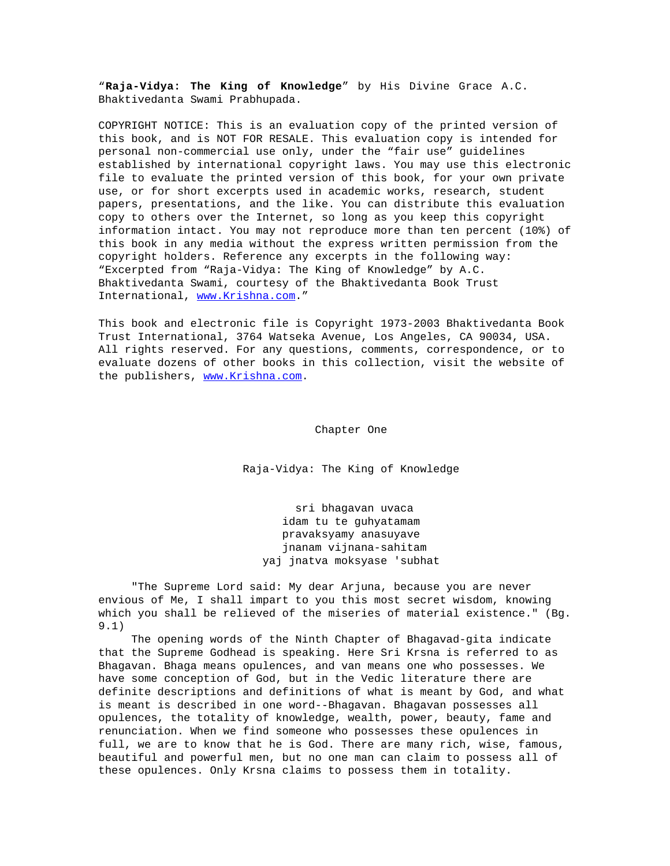"**Raja-Vidya: The King of Knowledge**" by His Divine Grace A.C. Bhaktivedanta Swami Prabhupada.

COPYRIGHT NOTICE: This is an evaluation copy of the printed version of this book, and is NOT FOR RESALE. This evaluation copy is intended for personal non-commercial use only, under the "fair use" guidelines established by international copyright laws. You may use this electronic file to evaluate the printed version of this book, for your own private use, or for short excerpts used in academic works, research, student papers, presentations, and the like. You can distribute this evaluation copy to others over the Internet, so long as you keep this copyright information intact. You may not reproduce more than ten percent (10%) of this book in any media without the express written permission from the copyright holders. Reference any excerpts in the following way: "Excerpted from "Raja-Vidya: The King of Knowledge" by A.C. Bhaktivedanta Swami, courtesy of the Bhaktivedanta Book Trust International, www.Krishna.com."

This book and electronic file is Copyright 1973-2003 Bhaktivedanta Book Trust International, 3764 Watseka Avenue, Los Angeles, CA 90034, USA. All rights reserved. For any questions, comments, correspondence, or to evaluate dozens of other books in this collection, visit the website of the publishers, www.Krishna.com.

Chapter One

Raja-Vidya: The King of Knowledge

 sri bhagavan uvaca idam tu te guhyatamam pravaksyamy anasuyave jnanam vijnana-sahitam yaj jnatva moksyase 'subhat

 "The Supreme Lord said: My dear Arjuna, because you are never envious of Me, I shall impart to you this most secret wisdom, knowing which you shall be relieved of the miseries of material existence." (Bg. 9.1)

 The opening words of the Ninth Chapter of Bhagavad-gita indicate that the Supreme Godhead is speaking. Here Sri Krsna is referred to as Bhagavan. Bhaga means opulences, and van means one who possesses. We have some conception of God, but in the Vedic literature there are definite descriptions and definitions of what is meant by God, and what is meant is described in one word--Bhagavan. Bhagavan possesses all opulences, the totality of knowledge, wealth, power, beauty, fame and renunciation. When we find someone who possesses these opulences in full, we are to know that he is God. There are many rich, wise, famous, beautiful and powerful men, but no one man can claim to possess all of these opulences. Only Krsna claims to possess them in totality.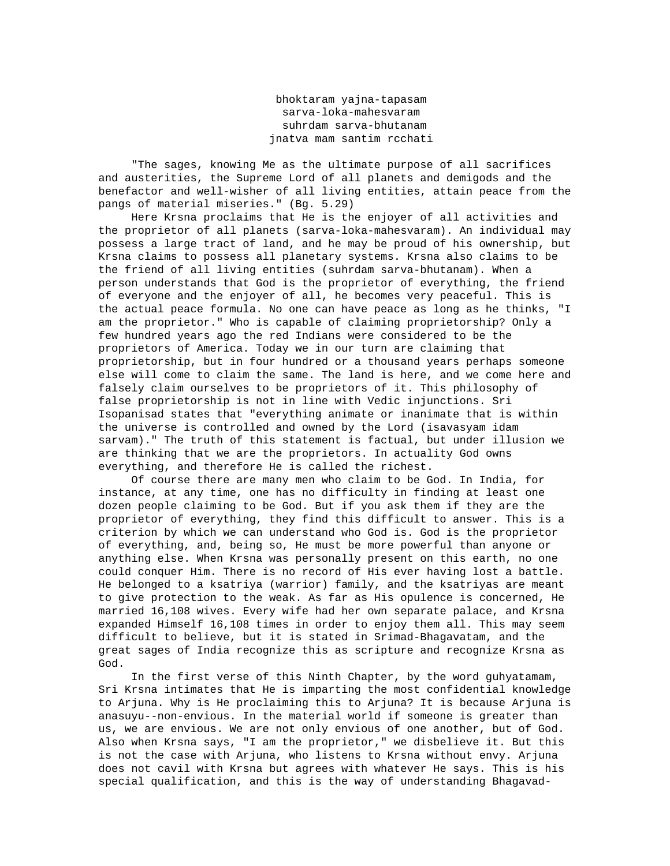bhoktaram yajna-tapasam sarva-loka-mahesvaram suhrdam sarva-bhutanam jnatva mam santim rcchati

 "The sages, knowing Me as the ultimate purpose of all sacrifices and austerities, the Supreme Lord of all planets and demigods and the benefactor and well-wisher of all living entities, attain peace from the pangs of material miseries." (Bg. 5.29)

 Here Krsna proclaims that He is the enjoyer of all activities and the proprietor of all planets (sarva-loka-mahesvaram). An individual may possess a large tract of land, and he may be proud of his ownership, but Krsna claims to possess all planetary systems. Krsna also claims to be the friend of all living entities (suhrdam sarva-bhutanam). When a person understands that God is the proprietor of everything, the friend of everyone and the enjoyer of all, he becomes very peaceful. This is the actual peace formula. No one can have peace as long as he thinks, "I am the proprietor." Who is capable of claiming proprietorship? Only a few hundred years ago the red Indians were considered to be the proprietors of America. Today we in our turn are claiming that proprietorship, but in four hundred or a thousand years perhaps someone else will come to claim the same. The land is here, and we come here and falsely claim ourselves to be proprietors of it. This philosophy of false proprietorship is not in line with Vedic injunctions. Sri Isopanisad states that "everything animate or inanimate that is within the universe is controlled and owned by the Lord (isavasyam idam sarvam)." The truth of this statement is factual, but under illusion we are thinking that we are the proprietors. In actuality God owns everything, and therefore He is called the richest.

 Of course there are many men who claim to be God. In India, for instance, at any time, one has no difficulty in finding at least one dozen people claiming to be God. But if you ask them if they are the proprietor of everything, they find this difficult to answer. This is a criterion by which we can understand who God is. God is the proprietor of everything, and, being so, He must be more powerful than anyone or anything else. When Krsna was personally present on this earth, no one could conquer Him. There is no record of His ever having lost a battle. He belonged to a ksatriya (warrior) family, and the ksatriyas are meant to give protection to the weak. As far as His opulence is concerned, He married 16,108 wives. Every wife had her own separate palace, and Krsna expanded Himself 16,108 times in order to enjoy them all. This may seem difficult to believe, but it is stated in Srimad-Bhagavatam, and the great sages of India recognize this as scripture and recognize Krsna as God.

 In the first verse of this Ninth Chapter, by the word guhyatamam, Sri Krsna intimates that He is imparting the most confidential knowledge to Arjuna. Why is He proclaiming this to Arjuna? It is because Arjuna is anasuyu--non-envious. In the material world if someone is greater than us, we are envious. We are not only envious of one another, but of God. Also when Krsna says, "I am the proprietor," we disbelieve it. But this is not the case with Arjuna, who listens to Krsna without envy. Arjuna does not cavil with Krsna but agrees with whatever He says. This is his special qualification, and this is the way of understanding Bhagavad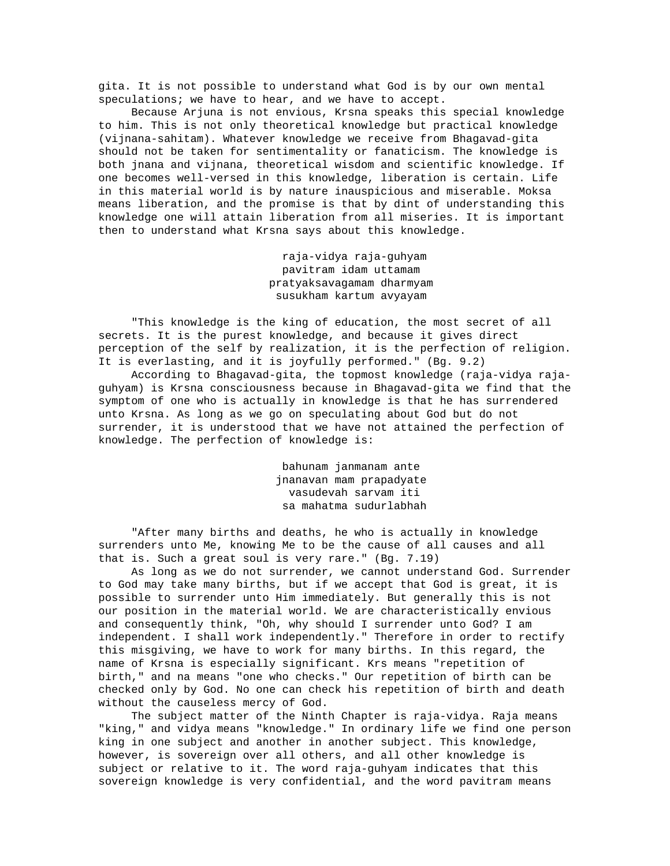gita. It is not possible to understand what God is by our own mental speculations; we have to hear, and we have to accept.

 Because Arjuna is not envious, Krsna speaks this special knowledge to him. This is not only theoretical knowledge but practical knowledge (vijnana-sahitam). Whatever knowledge we receive from Bhagavad-gita should not be taken for sentimentality or fanaticism. The knowledge is both jnana and vijnana, theoretical wisdom and scientific knowledge. If one becomes well-versed in this knowledge, liberation is certain. Life in this material world is by nature inauspicious and miserable. Moksa means liberation, and the promise is that by dint of understanding this knowledge one will attain liberation from all miseries. It is important then to understand what Krsna says about this knowledge.

> raja-vidya raja-guhyam pavitram idam uttamam pratyaksavagamam dharmyam susukham kartum avyayam

 "This knowledge is the king of education, the most secret of all secrets. It is the purest knowledge, and because it gives direct perception of the self by realization, it is the perfection of religion. It is everlasting, and it is joyfully performed." (Bg. 9.2)

 According to Bhagavad-gita, the topmost knowledge (raja-vidya rajaguhyam) is Krsna consciousness because in Bhagavad-gita we find that the symptom of one who is actually in knowledge is that he has surrendered unto Krsna. As long as we go on speculating about God but do not surrender, it is understood that we have not attained the perfection of knowledge. The perfection of knowledge is:

> bahunam janmanam ante jnanavan mam prapadyate vasudevah sarvam iti sa mahatma sudurlabhah

 "After many births and deaths, he who is actually in knowledge surrenders unto Me, knowing Me to be the cause of all causes and all that is. Such a great soul is very rare." (Bg. 7.19)

 As long as we do not surrender, we cannot understand God. Surrender to God may take many births, but if we accept that God is great, it is possible to surrender unto Him immediately. But generally this is not our position in the material world. We are characteristically envious and consequently think, "Oh, why should I surrender unto God? I am independent. I shall work independently." Therefore in order to rectify this misgiving, we have to work for many births. In this regard, the name of Krsna is especially significant. Krs means "repetition of birth," and na means "one who checks." Our repetition of birth can be checked only by God. No one can check his repetition of birth and death without the causeless mercy of God.

 The subject matter of the Ninth Chapter is raja-vidya. Raja means "king," and vidya means "knowledge." In ordinary life we find one person king in one subject and another in another subject. This knowledge, however, is sovereign over all others, and all other knowledge is subject or relative to it. The word raja-guhyam indicates that this sovereign knowledge is very confidential, and the word pavitram means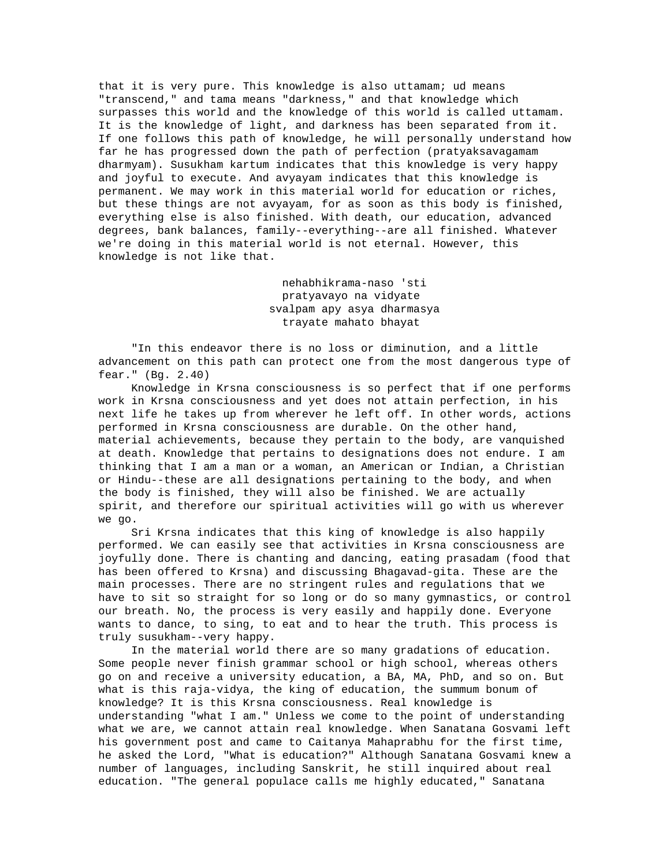that it is very pure. This knowledge is also uttamam; ud means "transcend," and tama means "darkness," and that knowledge which surpasses this world and the knowledge of this world is called uttamam. It is the knowledge of light, and darkness has been separated from it. If one follows this path of knowledge, he will personally understand how far he has progressed down the path of perfection (pratyaksavagamam dharmyam). Susukham kartum indicates that this knowledge is very happy and joyful to execute. And avyayam indicates that this knowledge is permanent. We may work in this material world for education or riches, but these things are not avyayam, for as soon as this body is finished, everything else is also finished. With death, our education, advanced degrees, bank balances, family--everything--are all finished. Whatever we're doing in this material world is not eternal. However, this knowledge is not like that.

> nehabhikrama-naso 'sti pratyavayo na vidyate svalpam apy asya dharmasya trayate mahato bhayat

 "In this endeavor there is no loss or diminution, and a little advancement on this path can protect one from the most dangerous type of fear." (Bg. 2.40)

 Knowledge in Krsna consciousness is so perfect that if one performs work in Krsna consciousness and yet does not attain perfection, in his next life he takes up from wherever he left off. In other words, actions performed in Krsna consciousness are durable. On the other hand, material achievements, because they pertain to the body, are vanquished at death. Knowledge that pertains to designations does not endure. I am thinking that I am a man or a woman, an American or Indian, a Christian or Hindu--these are all designations pertaining to the body, and when the body is finished, they will also be finished. We are actually spirit, and therefore our spiritual activities will go with us wherever we go.

 Sri Krsna indicates that this king of knowledge is also happily performed. We can easily see that activities in Krsna consciousness are joyfully done. There is chanting and dancing, eating prasadam (food that has been offered to Krsna) and discussing Bhagavad-gita. These are the main processes. There are no stringent rules and regulations that we have to sit so straight for so long or do so many gymnastics, or control our breath. No, the process is very easily and happily done. Everyone wants to dance, to sing, to eat and to hear the truth. This process is truly susukham--very happy.

 In the material world there are so many gradations of education. Some people never finish grammar school or high school, whereas others go on and receive a university education, a BA, MA, PhD, and so on. But what is this raja-vidya, the king of education, the summum bonum of knowledge? It is this Krsna consciousness. Real knowledge is understanding "what I am." Unless we come to the point of understanding what we are, we cannot attain real knowledge. When Sanatana Gosvami left his government post and came to Caitanya Mahaprabhu for the first time, he asked the Lord, "What is education?" Although Sanatana Gosvami knew a number of languages, including Sanskrit, he still inquired about real education. "The general populace calls me highly educated," Sanatana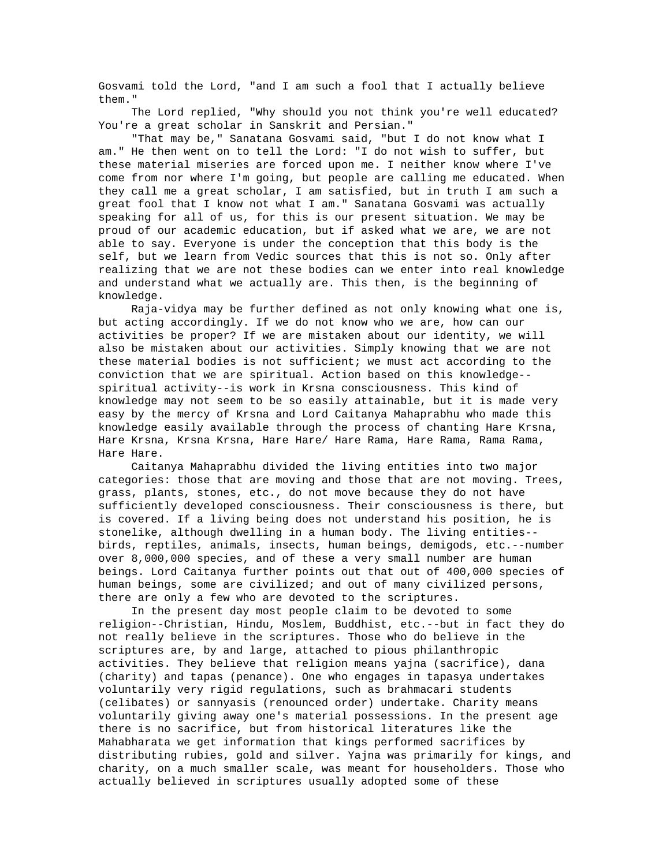Gosvami told the Lord, "and I am such a fool that I actually believe them."

 The Lord replied, "Why should you not think you're well educated? You're a great scholar in Sanskrit and Persian."

 "That may be," Sanatana Gosvami said, "but I do not know what I am." He then went on to tell the Lord: "I do not wish to suffer, but these material miseries are forced upon me. I neither know where I've come from nor where I'm going, but people are calling me educated. When they call me a great scholar, I am satisfied, but in truth I am such a great fool that I know not what I am." Sanatana Gosvami was actually speaking for all of us, for this is our present situation. We may be proud of our academic education, but if asked what we are, we are not able to say. Everyone is under the conception that this body is the self, but we learn from Vedic sources that this is not so. Only after realizing that we are not these bodies can we enter into real knowledge and understand what we actually are. This then, is the beginning of knowledge.

 Raja-vidya may be further defined as not only knowing what one is, but acting accordingly. If we do not know who we are, how can our activities be proper? If we are mistaken about our identity, we will also be mistaken about our activities. Simply knowing that we are not these material bodies is not sufficient; we must act according to the conviction that we are spiritual. Action based on this knowledge- spiritual activity--is work in Krsna consciousness. This kind of knowledge may not seem to be so easily attainable, but it is made very easy by the mercy of Krsna and Lord Caitanya Mahaprabhu who made this knowledge easily available through the process of chanting Hare Krsna, Hare Krsna, Krsna Krsna, Hare Hare/ Hare Rama, Hare Rama, Rama Rama, Hare Hare.

 Caitanya Mahaprabhu divided the living entities into two major categories: those that are moving and those that are not moving. Trees, grass, plants, stones, etc., do not move because they do not have sufficiently developed consciousness. Their consciousness is there, but is covered. If a living being does not understand his position, he is stonelike, although dwelling in a human body. The living entities- birds, reptiles, animals, insects, human beings, demigods, etc.--number over 8,000,000 species, and of these a very small number are human beings. Lord Caitanya further points out that out of 400,000 species of human beings, some are civilized; and out of many civilized persons, there are only a few who are devoted to the scriptures.

 In the present day most people claim to be devoted to some religion--Christian, Hindu, Moslem, Buddhist, etc.--but in fact they do not really believe in the scriptures. Those who do believe in the scriptures are, by and large, attached to pious philanthropic activities. They believe that religion means yajna (sacrifice), dana (charity) and tapas (penance). One who engages in tapasya undertakes voluntarily very rigid regulations, such as brahmacari students (celibates) or sannyasis (renounced order) undertake. Charity means voluntarily giving away one's material possessions. In the present age there is no sacrifice, but from historical literatures like the Mahabharata we get information that kings performed sacrifices by distributing rubies, gold and silver. Yajna was primarily for kings, and charity, on a much smaller scale, was meant for householders. Those who actually believed in scriptures usually adopted some of these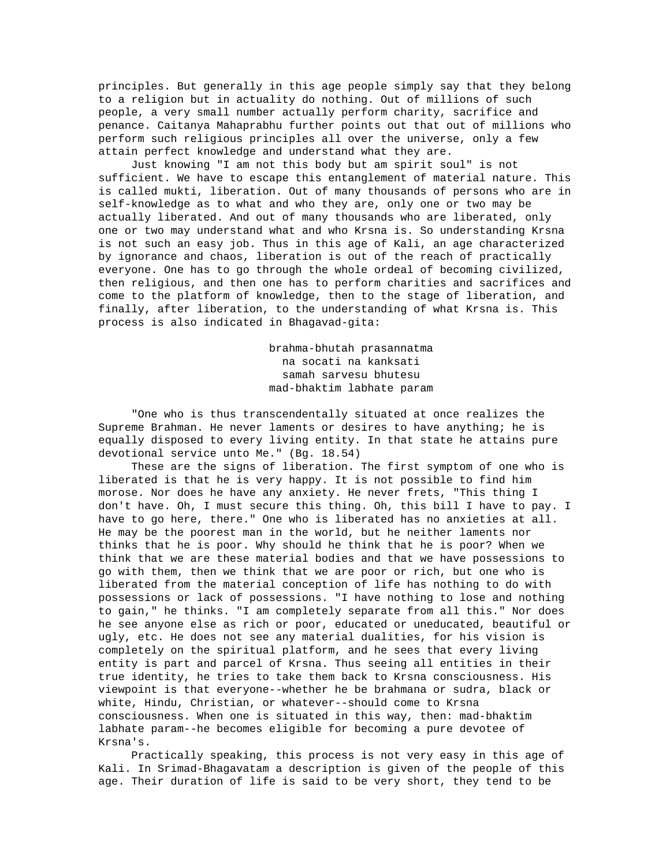principles. But generally in this age people simply say that they belong to a religion but in actuality do nothing. Out of millions of such people, a very small number actually perform charity, sacrifice and penance. Caitanya Mahaprabhu further points out that out of millions who perform such religious principles all over the universe, only a few attain perfect knowledge and understand what they are.

 Just knowing "I am not this body but am spirit soul" is not sufficient. We have to escape this entanglement of material nature. This is called mukti, liberation. Out of many thousands of persons who are in self-knowledge as to what and who they are, only one or two may be actually liberated. And out of many thousands who are liberated, only one or two may understand what and who Krsna is. So understanding Krsna is not such an easy job. Thus in this age of Kali, an age characterized by ignorance and chaos, liberation is out of the reach of practically everyone. One has to go through the whole ordeal of becoming civilized, then religious, and then one has to perform charities and sacrifices and come to the platform of knowledge, then to the stage of liberation, and finally, after liberation, to the understanding of what Krsna is. This process is also indicated in Bhagavad-gita:

> brahma-bhutah prasannatma na socati na kanksati samah sarvesu bhutesu mad-bhaktim labhate param

 "One who is thus transcendentally situated at once realizes the Supreme Brahman. He never laments or desires to have anything; he is equally disposed to every living entity. In that state he attains pure devotional service unto Me." (Bg. 18.54)

 These are the signs of liberation. The first symptom of one who is liberated is that he is very happy. It is not possible to find him morose. Nor does he have any anxiety. He never frets, "This thing I don't have. Oh, I must secure this thing. Oh, this bill I have to pay. I have to go here, there." One who is liberated has no anxieties at all. He may be the poorest man in the world, but he neither laments nor thinks that he is poor. Why should he think that he is poor? When we think that we are these material bodies and that we have possessions to go with them, then we think that we are poor or rich, but one who is liberated from the material conception of life has nothing to do with possessions or lack of possessions. "I have nothing to lose and nothing to gain," he thinks. "I am completely separate from all this." Nor does he see anyone else as rich or poor, educated or uneducated, beautiful or ugly, etc. He does not see any material dualities, for his vision is completely on the spiritual platform, and he sees that every living entity is part and parcel of Krsna. Thus seeing all entities in their true identity, he tries to take them back to Krsna consciousness. His viewpoint is that everyone--whether he be brahmana or sudra, black or white, Hindu, Christian, or whatever--should come to Krsna consciousness. When one is situated in this way, then: mad-bhaktim labhate param--he becomes eligible for becoming a pure devotee of Krsna's.

 Practically speaking, this process is not very easy in this age of Kali. In Srimad-Bhagavatam a description is given of the people of this age. Their duration of life is said to be very short, they tend to be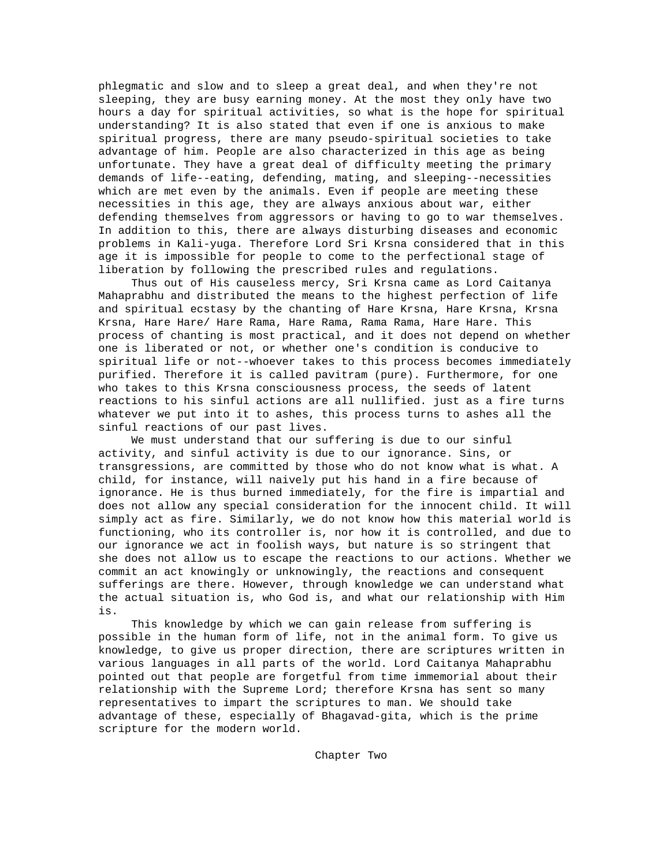phlegmatic and slow and to sleep a great deal, and when they're not sleeping, they are busy earning money. At the most they only have two hours a day for spiritual activities, so what is the hope for spiritual understanding? It is also stated that even if one is anxious to make spiritual progress, there are many pseudo-spiritual societies to take advantage of him. People are also characterized in this age as being unfortunate. They have a great deal of difficulty meeting the primary demands of life--eating, defending, mating, and sleeping--necessities which are met even by the animals. Even if people are meeting these necessities in this age, they are always anxious about war, either defending themselves from aggressors or having to go to war themselves. In addition to this, there are always disturbing diseases and economic problems in Kali-yuga. Therefore Lord Sri Krsna considered that in this age it is impossible for people to come to the perfectional stage of liberation by following the prescribed rules and regulations.

 Thus out of His causeless mercy, Sri Krsna came as Lord Caitanya Mahaprabhu and distributed the means to the highest perfection of life and spiritual ecstasy by the chanting of Hare Krsna, Hare Krsna, Krsna Krsna, Hare Hare/ Hare Rama, Hare Rama, Rama Rama, Hare Hare. This process of chanting is most practical, and it does not depend on whether one is liberated or not, or whether one's condition is conducive to spiritual life or not--whoever takes to this process becomes immediately purified. Therefore it is called pavitram (pure). Furthermore, for one who takes to this Krsna consciousness process, the seeds of latent reactions to his sinful actions are all nullified. just as a fire turns whatever we put into it to ashes, this process turns to ashes all the sinful reactions of our past lives.

 We must understand that our suffering is due to our sinful activity, and sinful activity is due to our ignorance. Sins, or transgressions, are committed by those who do not know what is what. A child, for instance, will naively put his hand in a fire because of ignorance. He is thus burned immediately, for the fire is impartial and does not allow any special consideration for the innocent child. It will simply act as fire. Similarly, we do not know how this material world is functioning, who its controller is, nor how it is controlled, and due to our ignorance we act in foolish ways, but nature is so stringent that she does not allow us to escape the reactions to our actions. Whether we commit an act knowingly or unknowingly, the reactions and consequent sufferings are there. However, through knowledge we can understand what the actual situation is, who God is, and what our relationship with Him is.

 This knowledge by which we can gain release from suffering is possible in the human form of life, not in the animal form. To give us knowledge, to give us proper direction, there are scriptures written in various languages in all parts of the world. Lord Caitanya Mahaprabhu pointed out that people are forgetful from time immemorial about their relationship with the Supreme Lord; therefore Krsna has sent so many representatives to impart the scriptures to man. We should take advantage of these, especially of Bhagavad-gita, which is the prime scripture for the modern world.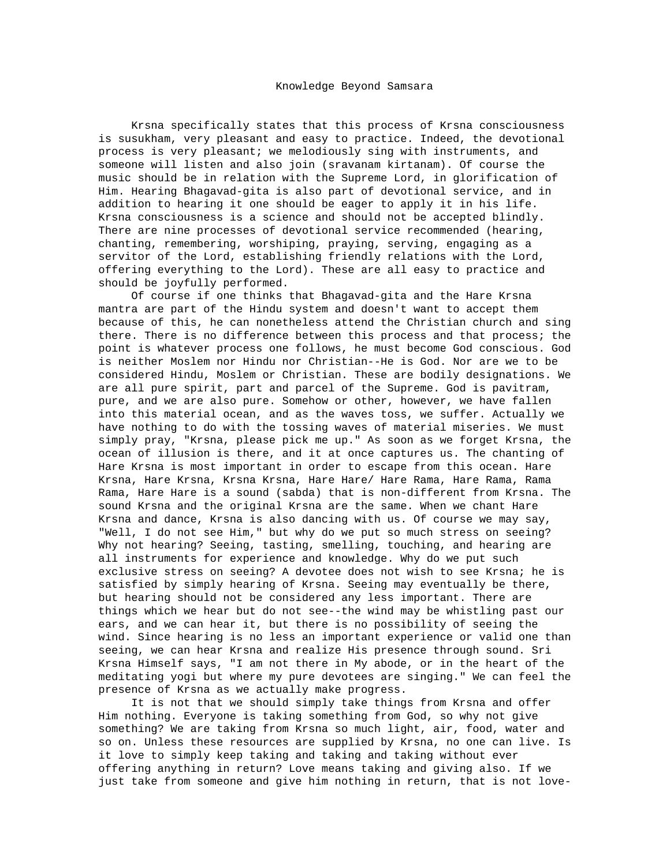Krsna specifically states that this process of Krsna consciousness is susukham, very pleasant and easy to practice. Indeed, the devotional process is very pleasant; we melodiously sing with instruments, and someone will listen and also join (sravanam kirtanam). Of course the music should be in relation with the Supreme Lord, in glorification of Him. Hearing Bhagavad-gita is also part of devotional service, and in addition to hearing it one should be eager to apply it in his life. Krsna consciousness is a science and should not be accepted blindly. There are nine processes of devotional service recommended (hearing, chanting, remembering, worshiping, praying, serving, engaging as a servitor of the Lord, establishing friendly relations with the Lord, offering everything to the Lord). These are all easy to practice and should be joyfully performed.

 Of course if one thinks that Bhagavad-gita and the Hare Krsna mantra are part of the Hindu system and doesn't want to accept them because of this, he can nonetheless attend the Christian church and sing there. There is no difference between this process and that process; the point is whatever process one follows, he must become God conscious. God is neither Moslem nor Hindu nor Christian--He is God. Nor are we to be considered Hindu, Moslem or Christian. These are bodily designations. We are all pure spirit, part and parcel of the Supreme. God is pavitram, pure, and we are also pure. Somehow or other, however, we have fallen into this material ocean, and as the waves toss, we suffer. Actually we have nothing to do with the tossing waves of material miseries. We must simply pray, "Krsna, please pick me up." As soon as we forget Krsna, the ocean of illusion is there, and it at once captures us. The chanting of Hare Krsna is most important in order to escape from this ocean. Hare Krsna, Hare Krsna, Krsna Krsna, Hare Hare/ Hare Rama, Hare Rama, Rama Rama, Hare Hare is a sound (sabda) that is non-different from Krsna. The sound Krsna and the original Krsna are the same. When we chant Hare Krsna and dance, Krsna is also dancing with us. Of course we may say, "Well, I do not see Him," but why do we put so much stress on seeing? Why not hearing? Seeing, tasting, smelling, touching, and hearing are all instruments for experience and knowledge. Why do we put such exclusive stress on seeing? A devotee does not wish to see Krsna; he is satisfied by simply hearing of Krsna. Seeing may eventually be there, but hearing should not be considered any less important. There are things which we hear but do not see--the wind may be whistling past our ears, and we can hear it, but there is no possibility of seeing the wind. Since hearing is no less an important experience or valid one than seeing, we can hear Krsna and realize His presence through sound. Sri Krsna Himself says, "I am not there in My abode, or in the heart of the meditating yogi but where my pure devotees are singing." We can feel the presence of Krsna as we actually make progress.

 It is not that we should simply take things from Krsna and offer Him nothing. Everyone is taking something from God, so why not give something? We are taking from Krsna so much light, air, food, water and so on. Unless these resources are supplied by Krsna, no one can live. Is it love to simply keep taking and taking and taking without ever offering anything in return? Love means taking and giving also. If we just take from someone and give him nothing in return, that is not love-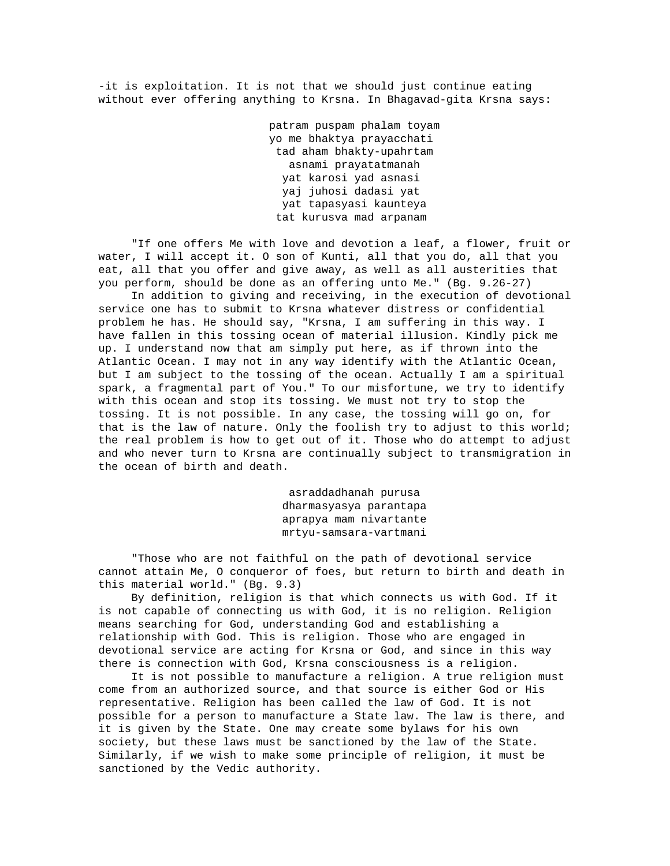-it is exploitation. It is not that we should just continue eating without ever offering anything to Krsna. In Bhagavad-gita Krsna says:

> patram puspam phalam toyam yo me bhaktya prayacchati tad aham bhakty-upahrtam asnami prayatatmanah yat karosi yad asnasi yaj juhosi dadasi yat yat tapasyasi kaunteya tat kurusva mad arpanam

 "If one offers Me with love and devotion a leaf, a flower, fruit or water, I will accept it. O son of Kunti, all that you do, all that you eat, all that you offer and give away, as well as all austerities that you perform, should be done as an offering unto Me." (Bg. 9.26-27)

 In addition to giving and receiving, in the execution of devotional service one has to submit to Krsna whatever distress or confidential problem he has. He should say, "Krsna, I am suffering in this way. I have fallen in this tossing ocean of material illusion. Kindly pick me up. I understand now that am simply put here, as if thrown into the Atlantic Ocean. I may not in any way identify with the Atlantic Ocean, but I am subject to the tossing of the ocean. Actually I am a spiritual spark, a fragmental part of You." To our misfortune, we try to identify with this ocean and stop its tossing. We must not try to stop the tossing. It is not possible. In any case, the tossing will go on, for that is the law of nature. Only the foolish try to adjust to this world; the real problem is how to get out of it. Those who do attempt to adjust and who never turn to Krsna are continually subject to transmigration in the ocean of birth and death.

> asraddadhanah purusa dharmasyasya parantapa aprapya mam nivartante mrtyu-samsara-vartmani

 "Those who are not faithful on the path of devotional service cannot attain Me, O conqueror of foes, but return to birth and death in this material world." (Bg. 9.3)

 By definition, religion is that which connects us with God. If it is not capable of connecting us with God, it is no religion. Religion means searching for God, understanding God and establishing a relationship with God. This is religion. Those who are engaged in devotional service are acting for Krsna or God, and since in this way there is connection with God, Krsna consciousness is a religion.

 It is not possible to manufacture a religion. A true religion must come from an authorized source, and that source is either God or His representative. Religion has been called the law of God. It is not possible for a person to manufacture a State law. The law is there, and it is given by the State. One may create some bylaws for his own society, but these laws must be sanctioned by the law of the State. Similarly, if we wish to make some principle of religion, it must be sanctioned by the Vedic authority.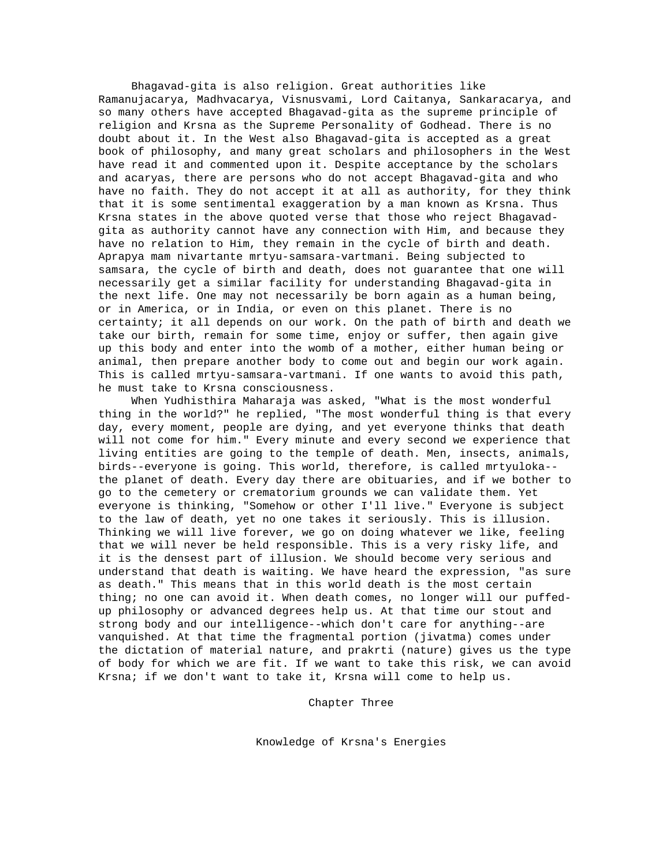Bhagavad-gita is also religion. Great authorities like Ramanujacarya, Madhvacarya, Visnusvami, Lord Caitanya, Sankaracarya, and so many others have accepted Bhagavad-gita as the supreme principle of religion and Krsna as the Supreme Personality of Godhead. There is no doubt about it. In the West also Bhagavad-gita is accepted as a great book of philosophy, and many great scholars and philosophers in the West have read it and commented upon it. Despite acceptance by the scholars and acaryas, there are persons who do not accept Bhagavad-gita and who have no faith. They do not accept it at all as authority, for they think that it is some sentimental exaggeration by a man known as Krsna. Thus Krsna states in the above quoted verse that those who reject Bhagavadgita as authority cannot have any connection with Him, and because they have no relation to Him, they remain in the cycle of birth and death. Aprapya mam nivartante mrtyu-samsara-vartmani. Being subjected to samsara, the cycle of birth and death, does not guarantee that one will necessarily get a similar facility for understanding Bhagavad-gita in the next life. One may not necessarily be born again as a human being, or in America, or in India, or even on this planet. There is no certainty; it all depends on our work. On the path of birth and death we take our birth, remain for some time, enjoy or suffer, then again give up this body and enter into the womb of a mother, either human being or animal, then prepare another body to come out and begin our work again. This is called mrtyu-samsara-vartmani. If one wants to avoid this path, he must take to Krsna consciousness.

 When Yudhisthira Maharaja was asked, "What is the most wonderful thing in the world?" he replied, "The most wonderful thing is that every day, every moment, people are dying, and yet everyone thinks that death will not come for him." Every minute and every second we experience that living entities are going to the temple of death. Men, insects, animals, birds--everyone is going. This world, therefore, is called mrtyuloka- the planet of death. Every day there are obituaries, and if we bother to go to the cemetery or crematorium grounds we can validate them. Yet everyone is thinking, "Somehow or other I'll live." Everyone is subject to the law of death, yet no one takes it seriously. This is illusion. Thinking we will live forever, we go on doing whatever we like, feeling that we will never be held responsible. This is a very risky life, and it is the densest part of illusion. We should become very serious and understand that death is waiting. We have heard the expression, "as sure as death." This means that in this world death is the most certain thing; no one can avoid it. When death comes, no longer will our puffedup philosophy or advanced degrees help us. At that time our stout and strong body and our intelligence--which don't care for anything--are vanquished. At that time the fragmental portion (jivatma) comes under the dictation of material nature, and prakrti (nature) gives us the type of body for which we are fit. If we want to take this risk, we can avoid Krsna; if we don't want to take it, Krsna will come to help us.

Chapter Three

Knowledge of Krsna's Energies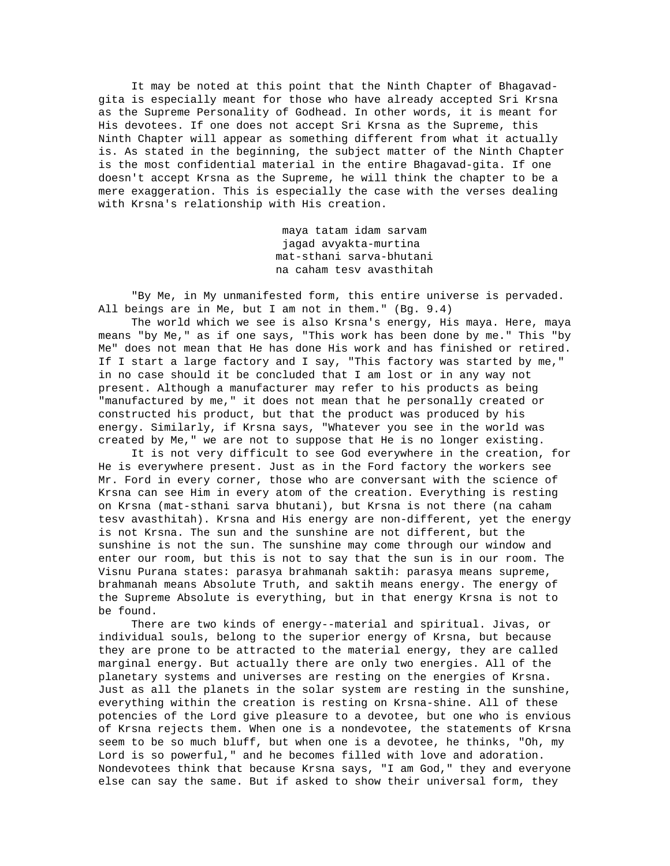It may be noted at this point that the Ninth Chapter of Bhagavadgita is especially meant for those who have already accepted Sri Krsna as the Supreme Personality of Godhead. In other words, it is meant for His devotees. If one does not accept Sri Krsna as the Supreme, this Ninth Chapter will appear as something different from what it actually is. As stated in the beginning, the subject matter of the Ninth Chapter is the most confidential material in the entire Bhagavad-gita. If one doesn't accept Krsna as the Supreme, he will think the chapter to be a mere exaggeration. This is especially the case with the verses dealing with Krsna's relationship with His creation.

> maya tatam idam sarvam jagad avyakta-murtina mat-sthani sarva-bhutani na caham tesv avasthitah

 "By Me, in My unmanifested form, this entire universe is pervaded. All beings are in Me, but I am not in them." (Bg. 9.4)

 The world which we see is also Krsna's energy, His maya. Here, maya means "by Me," as if one says, "This work has been done by me." This "by Me" does not mean that He has done His work and has finished or retired. If I start a large factory and I say, "This factory was started by me," in no case should it be concluded that I am lost or in any way not present. Although a manufacturer may refer to his products as being "manufactured by me," it does not mean that he personally created or constructed his product, but that the product was produced by his energy. Similarly, if Krsna says, "Whatever you see in the world was created by Me," we are not to suppose that He is no longer existing.

 It is not very difficult to see God everywhere in the creation, for He is everywhere present. Just as in the Ford factory the workers see Mr. Ford in every corner, those who are conversant with the science of Krsna can see Him in every atom of the creation. Everything is resting on Krsna (mat-sthani sarva bhutani), but Krsna is not there (na caham tesv avasthitah). Krsna and His energy are non-different, yet the energy is not Krsna. The sun and the sunshine are not different, but the sunshine is not the sun. The sunshine may come through our window and enter our room, but this is not to say that the sun is in our room. The Visnu Purana states: parasya brahmanah saktih: parasya means supreme, brahmanah means Absolute Truth, and saktih means energy. The energy of the Supreme Absolute is everything, but in that energy Krsna is not to be found.

 There are two kinds of energy--material and spiritual. Jivas, or individual souls, belong to the superior energy of Krsna, but because they are prone to be attracted to the material energy, they are called marginal energy. But actually there are only two energies. All of the planetary systems and universes are resting on the energies of Krsna. Just as all the planets in the solar system are resting in the sunshine, everything within the creation is resting on Krsna-shine. All of these potencies of the Lord give pleasure to a devotee, but one who is envious of Krsna rejects them. When one is a nondevotee, the statements of Krsna seem to be so much bluff, but when one is a devotee, he thinks, "Oh, my Lord is so powerful," and he becomes filled with love and adoration. Nondevotees think that because Krsna says, "I am God," they and everyone else can say the same. But if asked to show their universal form, they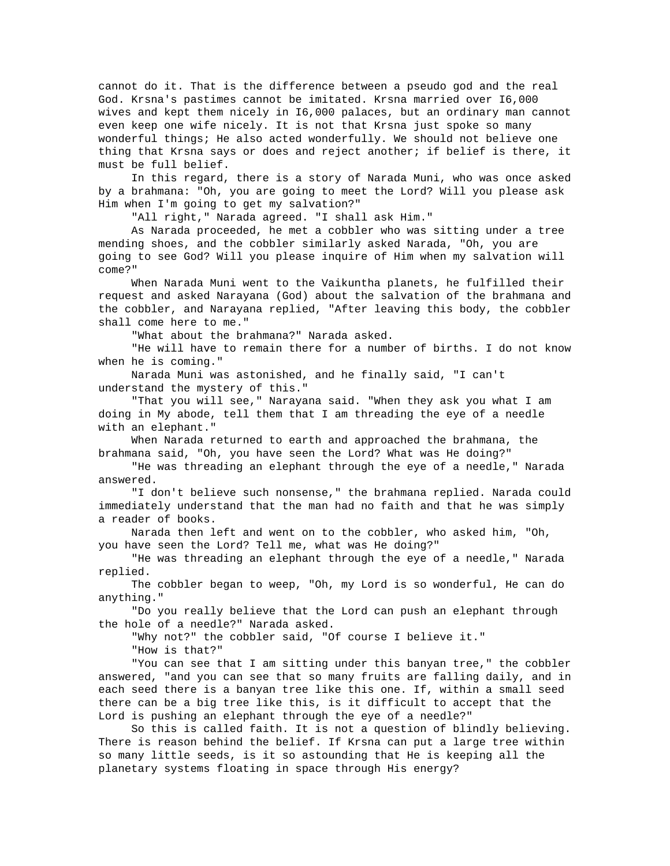cannot do it. That is the difference between a pseudo god and the real God. Krsna's pastimes cannot be imitated. Krsna married over I6,000 wives and kept them nicely in I6,000 palaces, but an ordinary man cannot even keep one wife nicely. It is not that Krsna just spoke so many wonderful things; He also acted wonderfully. We should not believe one thing that Krsna says or does and reject another; if belief is there, it must be full belief.

 In this regard, there is a story of Narada Muni, who was once asked by a brahmana: "Oh, you are going to meet the Lord? Will you please ask Him when I'm going to get my salvation?"

"All right," Narada agreed. "I shall ask Him."

 As Narada proceeded, he met a cobbler who was sitting under a tree mending shoes, and the cobbler similarly asked Narada, "Oh, you are going to see God? Will you please inquire of Him when my salvation will come?"

 When Narada Muni went to the Vaikuntha planets, he fulfilled their request and asked Narayana (God) about the salvation of the brahmana and the cobbler, and Narayana replied, "After leaving this body, the cobbler shall come here to me."

"What about the brahmana?" Narada asked.

 "He will have to remain there for a number of births. I do not know when he is coming."

 Narada Muni was astonished, and he finally said, "I can't understand the mystery of this."

 "That you will see," Narayana said. "When they ask you what I am doing in My abode, tell them that I am threading the eye of a needle with an elephant."

 When Narada returned to earth and approached the brahmana, the brahmana said, "Oh, you have seen the Lord? What was He doing?"

 "He was threading an elephant through the eye of a needle," Narada answered.

 "I don't believe such nonsense," the brahmana replied. Narada could immediately understand that the man had no faith and that he was simply a reader of books.

 Narada then left and went on to the cobbler, who asked him, "Oh, you have seen the Lord? Tell me, what was He doing?"

 "He was threading an elephant through the eye of a needle," Narada replied.

 The cobbler began to weep, "Oh, my Lord is so wonderful, He can do anything."

 "Do you really believe that the Lord can push an elephant through the hole of a needle?" Narada asked.

"Why not?" the cobbler said, "Of course I believe it."

"How is that?"

 "You can see that I am sitting under this banyan tree," the cobbler answered, "and you can see that so many fruits are falling daily, and in each seed there is a banyan tree like this one. If, within a small seed there can be a big tree like this, is it difficult to accept that the Lord is pushing an elephant through the eye of a needle?"

 So this is called faith. It is not a question of blindly believing. There is reason behind the belief. If Krsna can put a large tree within so many little seeds, is it so astounding that He is keeping all the planetary systems floating in space through His energy?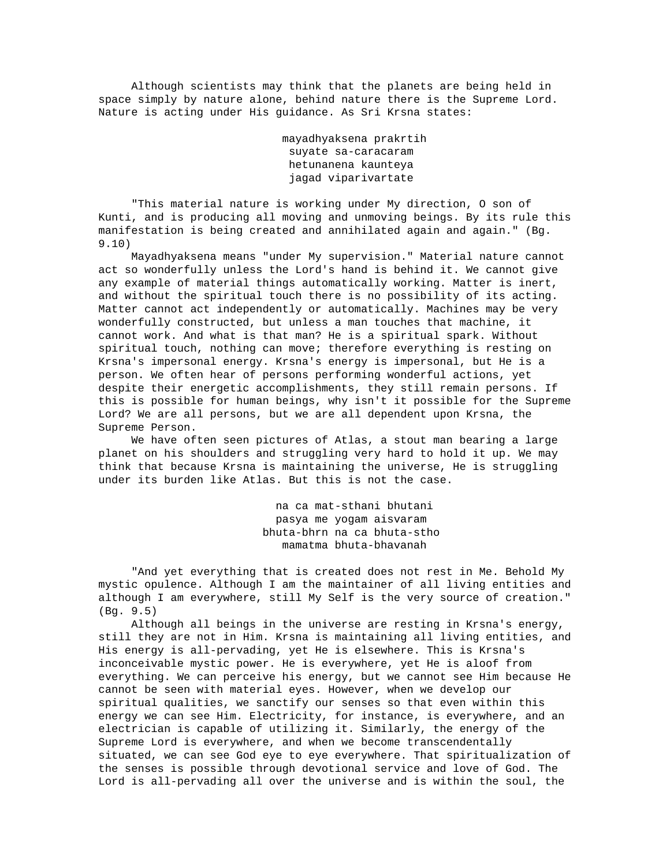Although scientists may think that the planets are being held in space simply by nature alone, behind nature there is the Supreme Lord. Nature is acting under His guidance. As Sri Krsna states:

> mayadhyaksena prakrtih suyate sa-caracaram hetunanena kaunteya jagad viparivartate

 "This material nature is working under My direction, O son of Kunti, and is producing all moving and unmoving beings. By its rule this manifestation is being created and annihilated again and again." (Bg. 9.10)

 Mayadhyaksena means "under My supervision." Material nature cannot act so wonderfully unless the Lord's hand is behind it. We cannot give any example of material things automatically working. Matter is inert, and without the spiritual touch there is no possibility of its acting. Matter cannot act independently or automatically. Machines may be very wonderfully constructed, but unless a man touches that machine, it cannot work. And what is that man? He is a spiritual spark. Without spiritual touch, nothing can move; therefore everything is resting on Krsna's impersonal energy. Krsna's energy is impersonal, but He is a person. We often hear of persons performing wonderful actions, yet despite their energetic accomplishments, they still remain persons. If this is possible for human beings, why isn't it possible for the Supreme Lord? We are all persons, but we are all dependent upon Krsna, the Supreme Person.

 We have often seen pictures of Atlas, a stout man bearing a large planet on his shoulders and struggling very hard to hold it up. We may think that because Krsna is maintaining the universe, He is struggling under its burden like Atlas. But this is not the case.

> na ca mat-sthani bhutani pasya me yogam aisvaram bhuta-bhrn na ca bhuta-stho mamatma bhuta-bhavanah

 "And yet everything that is created does not rest in Me. Behold My mystic opulence. Although I am the maintainer of all living entities and although I am everywhere, still My Self is the very source of creation." (Bg. 9.5)

 Although all beings in the universe are resting in Krsna's energy, still they are not in Him. Krsna is maintaining all living entities, and His energy is all-pervading, yet He is elsewhere. This is Krsna's inconceivable mystic power. He is everywhere, yet He is aloof from everything. We can perceive his energy, but we cannot see Him because He cannot be seen with material eyes. However, when we develop our spiritual qualities, we sanctify our senses so that even within this energy we can see Him. Electricity, for instance, is everywhere, and an electrician is capable of utilizing it. Similarly, the energy of the Supreme Lord is everywhere, and when we become transcendentally situated, we can see God eye to eye everywhere. That spiritualization of the senses is possible through devotional service and love of God. The Lord is all-pervading all over the universe and is within the soul, the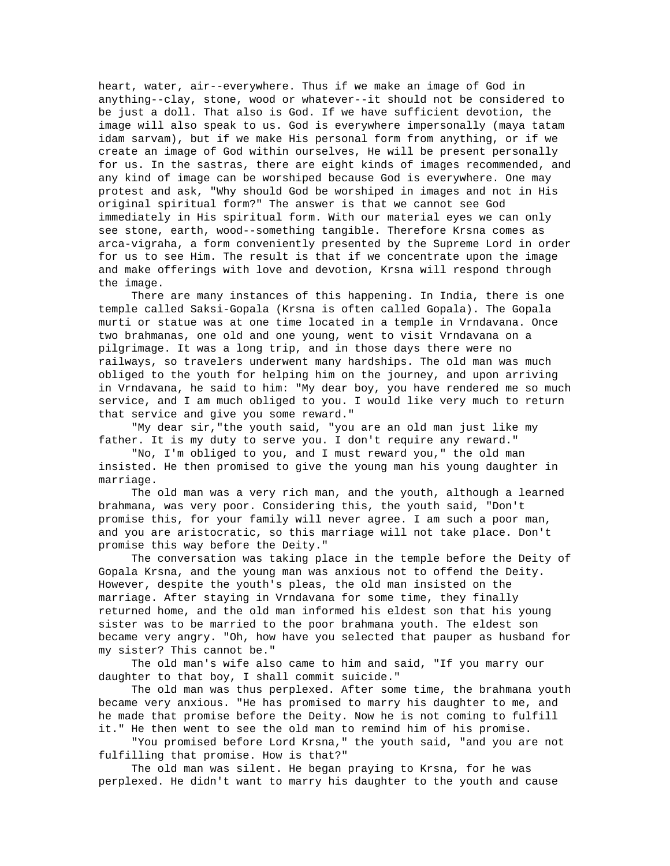heart, water, air--everywhere. Thus if we make an image of God in anything--clay, stone, wood or whatever--it should not be considered to be just a doll. That also is God. If we have sufficient devotion, the image will also speak to us. God is everywhere impersonally (maya tatam idam sarvam), but if we make His personal form from anything, or if we create an image of God within ourselves, He will be present personally for us. In the sastras, there are eight kinds of images recommended, and any kind of image can be worshiped because God is everywhere. One may protest and ask, "Why should God be worshiped in images and not in His original spiritual form?" The answer is that we cannot see God immediately in His spiritual form. With our material eyes we can only see stone, earth, wood--something tangible. Therefore Krsna comes as arca-vigraha, a form conveniently presented by the Supreme Lord in order for us to see Him. The result is that if we concentrate upon the image and make offerings with love and devotion, Krsna will respond through the image.

 There are many instances of this happening. In India, there is one temple called Saksi-Gopala (Krsna is often called Gopala). The Gopala murti or statue was at one time located in a temple in Vrndavana. Once two brahmanas, one old and one young, went to visit Vrndavana on a pilgrimage. It was a long trip, and in those days there were no railways, so travelers underwent many hardships. The old man was much obliged to the youth for helping him on the journey, and upon arriving in Vrndavana, he said to him: "My dear boy, you have rendered me so much service, and I am much obliged to you. I would like very much to return that service and give you some reward."

 "My dear sir,"the youth said, "you are an old man just like my father. It is my duty to serve you. I don't require any reward."

 "No, I'm obliged to you, and I must reward you," the old man insisted. He then promised to give the young man his young daughter in marriage.

 The old man was a very rich man, and the youth, although a learned brahmana, was very poor. Considering this, the youth said, "Don't promise this, for your family will never agree. I am such a poor man, and you are aristocratic, so this marriage will not take place. Don't promise this way before the Deity."

 The conversation was taking place in the temple before the Deity of Gopala Krsna, and the young man was anxious not to offend the Deity. However, despite the youth's pleas, the old man insisted on the marriage. After staying in Vrndavana for some time, they finally returned home, and the old man informed his eldest son that his young sister was to be married to the poor brahmana youth. The eldest son became very angry. "Oh, how have you selected that pauper as husband for my sister? This cannot be."

 The old man's wife also came to him and said, "If you marry our daughter to that boy, I shall commit suicide."

 The old man was thus perplexed. After some time, the brahmana youth became very anxious. "He has promised to marry his daughter to me, and he made that promise before the Deity. Now he is not coming to fulfill it." He then went to see the old man to remind him of his promise.

 "You promised before Lord Krsna," the youth said, "and you are not fulfilling that promise. How is that?"

 The old man was silent. He began praying to Krsna, for he was perplexed. He didn't want to marry his daughter to the youth and cause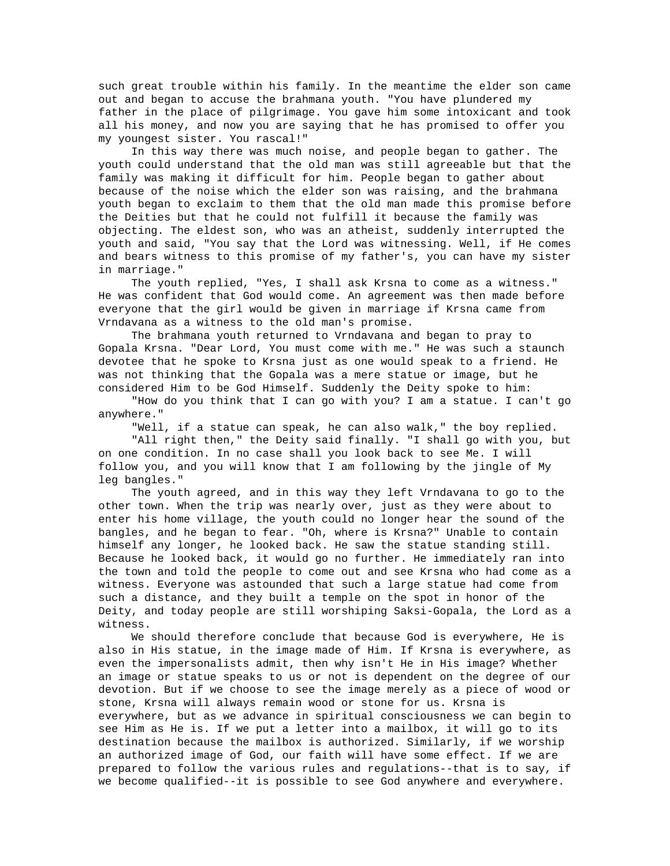such great trouble within his family. In the meantime the elder son came out and began to accuse the brahmana youth. "You have plundered my father in the place of pilgrimage. You gave him some intoxicant and took all his money, and now you are saying that he has promised to offer you my youngest sister. You rascal!"

 In this way there was much noise, and people began to gather. The youth could understand that the old man was still agreeable but that the family was making it difficult for him. People began to gather about because of the noise which the elder son was raising, and the brahmana youth began to exclaim to them that the old man made this promise before the Deities but that he could not fulfill it because the family was objecting. The eldest son, who was an atheist, suddenly interrupted the youth and said, "You say that the Lord was witnessing. Well, if He comes and bears witness to this promise of my father's, you can have my sister in marriage."

 The youth replied, "Yes, I shall ask Krsna to come as a witness." He was confident that God would come. An agreement was then made before everyone that the girl would be given in marriage if Krsna came from Vrndavana as a witness to the old man's promise.

 The brahmana youth returned to Vrndavana and began to pray to Gopala Krsna. "Dear Lord, You must come with me." He was such a staunch devotee that he spoke to Krsna just as one would speak to a friend. He was not thinking that the Gopala was a mere statue or image, but he considered Him to be God Himself. Suddenly the Deity spoke to him:

 "How do you think that I can go with you? I am a statue. I can't go anywhere."

"Well, if a statue can speak, he can also walk," the boy replied.

"All right then," the Deity said finally. "I shall go with you, but on one condition. In no case shall you look back to see Me. I will follow you, and you will know that I am following by the jingle of My leg bangles."

 The youth agreed, and in this way they left Vrndavana to go to the other town. When the trip was nearly over, just as they were about to enter his home village, the youth could no longer hear the sound of the bangles, and he began to fear. "Oh, where is Krsna?" Unable to contain himself any longer, he looked back. He saw the statue standing still. Because he looked back, it would go no further. He immediately ran into the town and told the people to come out and see Krsna who had come as a witness. Everyone was astounded that such a large statue had come from such a distance, and they built a temple on the spot in honor of the Deity, and today people are still worshiping Saksi-Gopala, the Lord as a witness.

 We should therefore conclude that because God is everywhere, He is also in His statue, in the image made of Him. If Krsna is everywhere, as even the impersonalists admit, then why isn't He in His image? Whether an image or statue speaks to us or not is dependent on the degree of our devotion. But if we choose to see the image merely as a piece of wood or stone, Krsna will always remain wood or stone for us. Krsna is everywhere, but as we advance in spiritual consciousness we can begin to see Him as He is. If we put a letter into a mailbox, it will go to its destination because the mailbox is authorized. Similarly, if we worship an authorized image of God, our faith will have some effect. If we are prepared to follow the various rules and regulations--that is to say, if we become qualified--it is possible to see God anywhere and everywhere.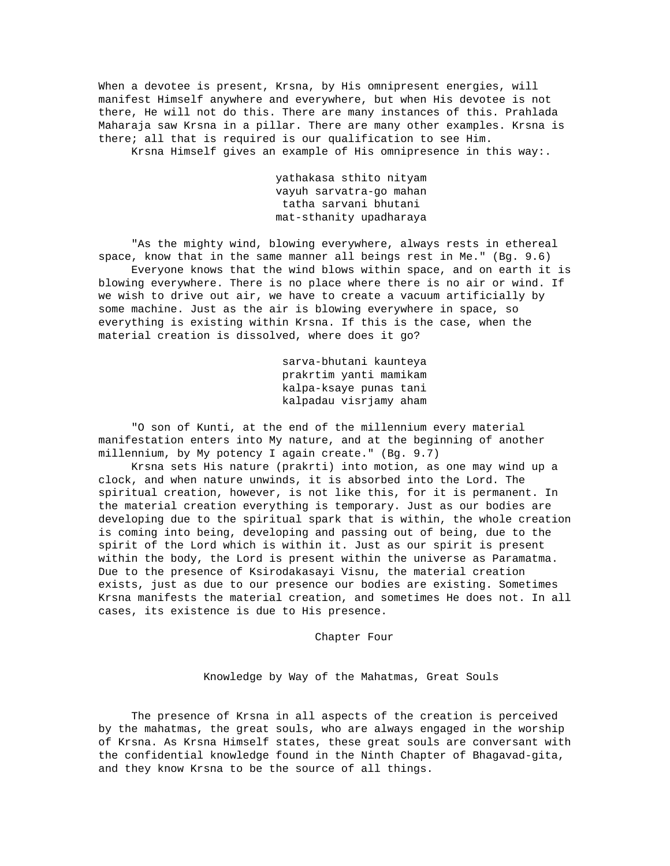When a devotee is present, Krsna, by His omnipresent energies, will manifest Himself anywhere and everywhere, but when His devotee is not there, He will not do this. There are many instances of this. Prahlada Maharaja saw Krsna in a pillar. There are many other examples. Krsna is there; all that is required is our qualification to see Him. Krsna Himself gives an example of His omnipresence in this way:.

> yathakasa sthito nityam vayuh sarvatra-go mahan tatha sarvani bhutani mat-sthanity upadharaya

 "As the mighty wind, blowing everywhere, always rests in ethereal space, know that in the same manner all beings rest in Me." (Bg. 9.6) Everyone knows that the wind blows within space, and on earth it is blowing everywhere. There is no place where there is no air or wind. If we wish to drive out air, we have to create a vacuum artificially by some machine. Just as the air is blowing everywhere in space, so everything is existing within Krsna. If this is the case, when the material creation is dissolved, where does it go?

> sarva-bhutani kaunteya prakrtim yanti mamikam kalpa-ksaye punas tani kalpadau visrjamy aham

 "O son of Kunti, at the end of the millennium every material manifestation enters into My nature, and at the beginning of another millennium, by My potency I again create." (Bg. 9.7)

 Krsna sets His nature (prakrti) into motion, as one may wind up a clock, and when nature unwinds, it is absorbed into the Lord. The spiritual creation, however, is not like this, for it is permanent. In the material creation everything is temporary. Just as our bodies are developing due to the spiritual spark that is within, the whole creation is coming into being, developing and passing out of being, due to the spirit of the Lord which is within it. Just as our spirit is present within the body, the Lord is present within the universe as Paramatma. Due to the presence of Ksirodakasayi Visnu, the material creation exists, just as due to our presence our bodies are existing. Sometimes Krsna manifests the material creation, and sometimes He does not. In all cases, its existence is due to His presence.

Chapter Four

Knowledge by Way of the Mahatmas, Great Souls

 The presence of Krsna in all aspects of the creation is perceived by the mahatmas, the great souls, who are always engaged in the worship of Krsna. As Krsna Himself states, these great souls are conversant with the confidential knowledge found in the Ninth Chapter of Bhagavad-gita, and they know Krsna to be the source of all things.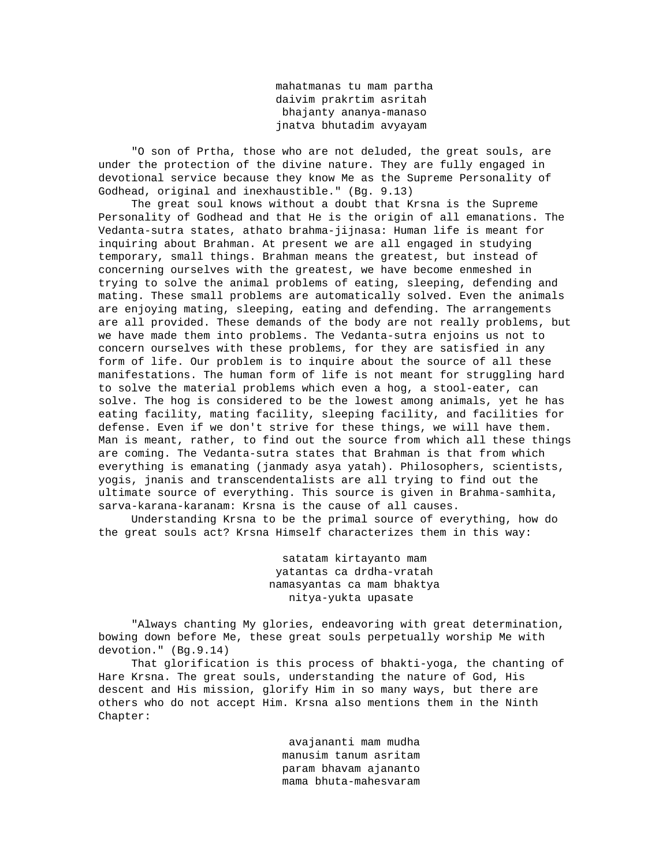mahatmanas tu mam partha daivim prakrtim asritah bhajanty ananya-manaso jnatva bhutadim avyayam

 "O son of Prtha, those who are not deluded, the great souls, are under the protection of the divine nature. They are fully engaged in devotional service because they know Me as the Supreme Personality of Godhead, original and inexhaustible." (Bg. 9.13)

 The great soul knows without a doubt that Krsna is the Supreme Personality of Godhead and that He is the origin of all emanations. The Vedanta-sutra states, athato brahma-jijnasa: Human life is meant for inquiring about Brahman. At present we are all engaged in studying temporary, small things. Brahman means the greatest, but instead of concerning ourselves with the greatest, we have become enmeshed in trying to solve the animal problems of eating, sleeping, defending and mating. These small problems are automatically solved. Even the animals are enjoying mating, sleeping, eating and defending. The arrangements are all provided. These demands of the body are not really problems, but we have made them into problems. The Vedanta-sutra enjoins us not to concern ourselves with these problems, for they are satisfied in any form of life. Our problem is to inquire about the source of all these manifestations. The human form of life is not meant for struggling hard to solve the material problems which even a hog, a stool-eater, can solve. The hog is considered to be the lowest among animals, yet he has eating facility, mating facility, sleeping facility, and facilities for defense. Even if we don't strive for these things, we will have them. Man is meant, rather, to find out the source from which all these things are coming. The Vedanta-sutra states that Brahman is that from which everything is emanating (janmady asya yatah). Philosophers, scientists, yogis, jnanis and transcendentalists are all trying to find out the ultimate source of everything. This source is given in Brahma-samhita, sarva-karana-karanam: Krsna is the cause of all causes.

 Understanding Krsna to be the primal source of everything, how do the great souls act? Krsna Himself characterizes them in this way:

> satatam kirtayanto mam yatantas ca drdha-vratah namasyantas ca mam bhaktya nitya-yukta upasate

 "Always chanting My glories, endeavoring with great determination, bowing down before Me, these great souls perpetually worship Me with devotion." (Bg.9.14)

 That glorification is this process of bhakti-yoga, the chanting of Hare Krsna. The great souls, understanding the nature of God, His descent and His mission, glorify Him in so many ways, but there are others who do not accept Him. Krsna also mentions them in the Ninth Chapter:

> avajananti mam mudha manusim tanum asritam param bhavam ajananto mama bhuta-mahesvaram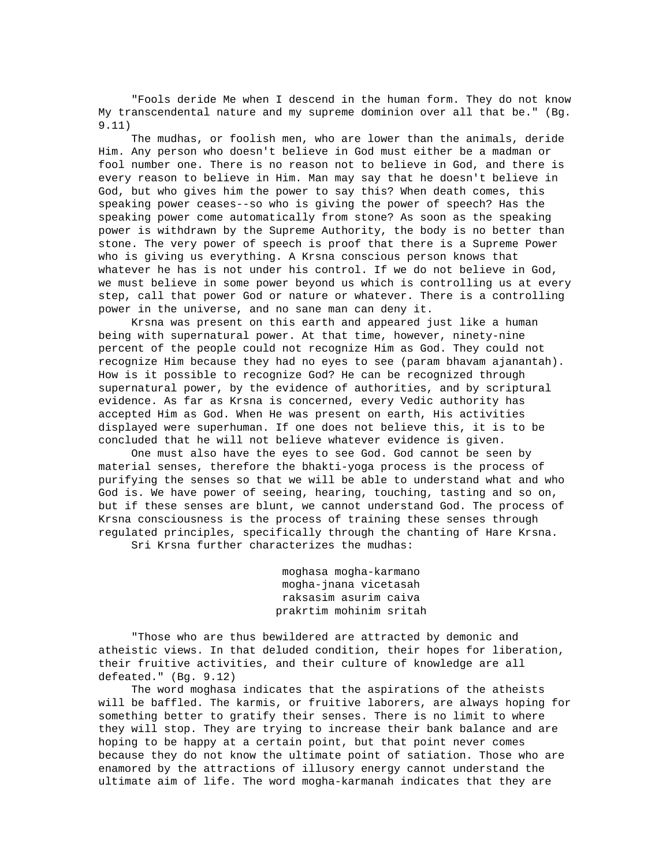"Fools deride Me when I descend in the human form. They do not know My transcendental nature and my supreme dominion over all that be." (Bg. 9.11)

 The mudhas, or foolish men, who are lower than the animals, deride Him. Any person who doesn't believe in God must either be a madman or fool number one. There is no reason not to believe in God, and there is every reason to believe in Him. Man may say that he doesn't believe in God, but who gives him the power to say this? When death comes, this speaking power ceases--so who is giving the power of speech? Has the speaking power come automatically from stone? As soon as the speaking power is withdrawn by the Supreme Authority, the body is no better than stone. The very power of speech is proof that there is a Supreme Power who is giving us everything. A Krsna conscious person knows that whatever he has is not under his control. If we do not believe in God, we must believe in some power beyond us which is controlling us at every step, call that power God or nature or whatever. There is a controlling power in the universe, and no sane man can deny it.

 Krsna was present on this earth and appeared just like a human being with supernatural power. At that time, however, ninety-nine percent of the people could not recognize Him as God. They could not recognize Him because they had no eyes to see (param bhavam ajanantah). How is it possible to recognize God? He can be recognized through supernatural power, by the evidence of authorities, and by scriptural evidence. As far as Krsna is concerned, every Vedic authority has accepted Him as God. When He was present on earth, His activities displayed were superhuman. If one does not believe this, it is to be concluded that he will not believe whatever evidence is given.

 One must also have the eyes to see God. God cannot be seen by material senses, therefore the bhakti-yoga process is the process of purifying the senses so that we will be able to understand what and who God is. We have power of seeing, hearing, touching, tasting and so on, but if these senses are blunt, we cannot understand God. The process of Krsna consciousness is the process of training these senses through regulated principles, specifically through the chanting of Hare Krsna.

Sri Krsna further characterizes the mudhas:

 moghasa mogha-karmano mogha-jnana vicetasah raksasim asurim caiva prakrtim mohinim sritah

 "Those who are thus bewildered are attracted by demonic and atheistic views. In that deluded condition, their hopes for liberation, their fruitive activities, and their culture of knowledge are all defeated." (Bg. 9.12)

 The word moghasa indicates that the aspirations of the atheists will be baffled. The karmis, or fruitive laborers, are always hoping for something better to gratify their senses. There is no limit to where they will stop. They are trying to increase their bank balance and are hoping to be happy at a certain point, but that point never comes because they do not know the ultimate point of satiation. Those who are enamored by the attractions of illusory energy cannot understand the ultimate aim of life. The word mogha-karmanah indicates that they are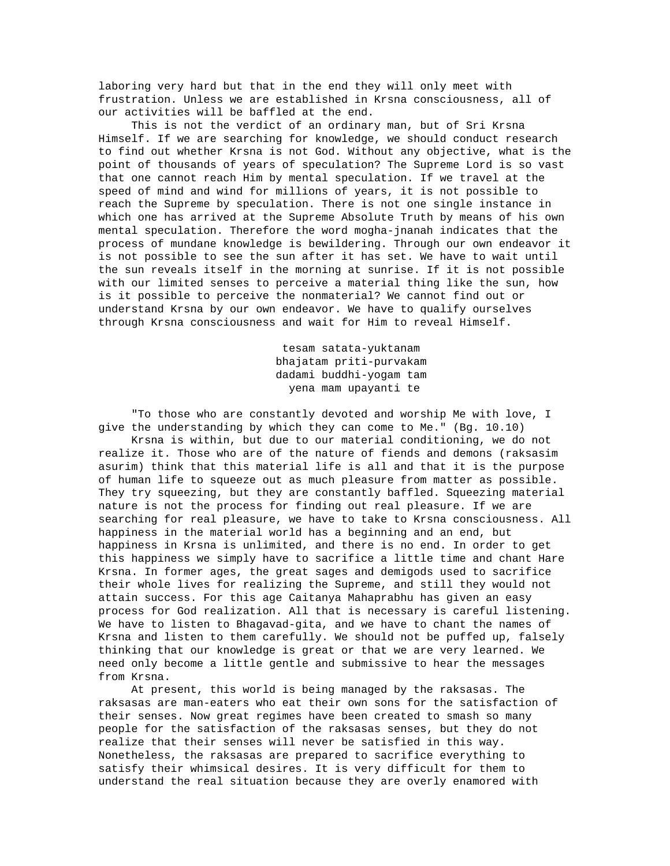laboring very hard but that in the end they will only meet with frustration. Unless we are established in Krsna consciousness, all of our activities will be baffled at the end.

 This is not the verdict of an ordinary man, but of Sri Krsna Himself. If we are searching for knowledge, we should conduct research to find out whether Krsna is not God. Without any objective, what is the point of thousands of years of speculation? The Supreme Lord is so vast that one cannot reach Him by mental speculation. If we travel at the speed of mind and wind for millions of years, it is not possible to reach the Supreme by speculation. There is not one single instance in which one has arrived at the Supreme Absolute Truth by means of his own mental speculation. Therefore the word mogha-jnanah indicates that the process of mundane knowledge is bewildering. Through our own endeavor it is not possible to see the sun after it has set. We have to wait until the sun reveals itself in the morning at sunrise. If it is not possible with our limited senses to perceive a material thing like the sun, how is it possible to perceive the nonmaterial? We cannot find out or understand Krsna by our own endeavor. We have to qualify ourselves through Krsna consciousness and wait for Him to reveal Himself.

> tesam satata-yuktanam bhajatam priti-purvakam dadami buddhi-yogam tam yena mam upayanti te

 "To those who are constantly devoted and worship Me with love, I give the understanding by which they can come to Me." (Bg. 10.10)

 Krsna is within, but due to our material conditioning, we do not realize it. Those who are of the nature of fiends and demons (raksasim asurim) think that this material life is all and that it is the purpose of human life to squeeze out as much pleasure from matter as possible. They try squeezing, but they are constantly baffled. Squeezing material nature is not the process for finding out real pleasure. If we are searching for real pleasure, we have to take to Krsna consciousness. All happiness in the material world has a beginning and an end, but happiness in Krsna is unlimited, and there is no end. In order to get this happiness we simply have to sacrifice a little time and chant Hare Krsna. In former ages, the great sages and demigods used to sacrifice their whole lives for realizing the Supreme, and still they would not attain success. For this age Caitanya Mahaprabhu has given an easy process for God realization. All that is necessary is careful listening. We have to listen to Bhagavad-gita, and we have to chant the names of Krsna and listen to them carefully. We should not be puffed up, falsely thinking that our knowledge is great or that we are very learned. We need only become a little gentle and submissive to hear the messages from Krsna.

 At present, this world is being managed by the raksasas. The raksasas are man-eaters who eat their own sons for the satisfaction of their senses. Now great regimes have been created to smash so many people for the satisfaction of the raksasas senses, but they do not realize that their senses will never be satisfied in this way. Nonetheless, the raksasas are prepared to sacrifice everything to satisfy their whimsical desires. It is very difficult for them to understand the real situation because they are overly enamored with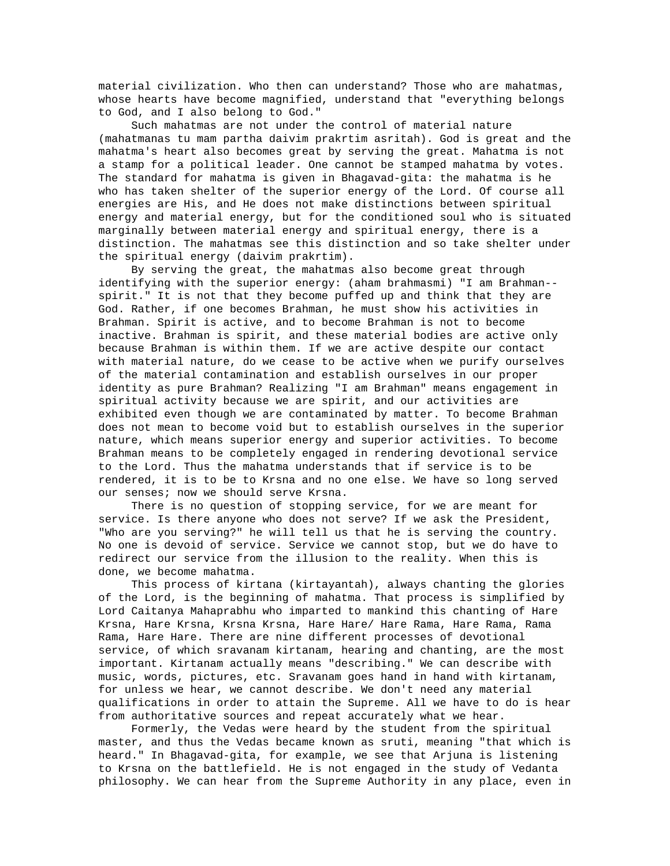material civilization. Who then can understand? Those who are mahatmas, whose hearts have become magnified, understand that "everything belongs to God, and I also belong to God."

 Such mahatmas are not under the control of material nature (mahatmanas tu mam partha daivim prakrtim asritah). God is great and the mahatma's heart also becomes great by serving the great. Mahatma is not a stamp for a political leader. One cannot be stamped mahatma by votes. The standard for mahatma is given in Bhagavad-gita: the mahatma is he who has taken shelter of the superior energy of the Lord. Of course all energies are His, and He does not make distinctions between spiritual energy and material energy, but for the conditioned soul who is situated marginally between material energy and spiritual energy, there is a distinction. The mahatmas see this distinction and so take shelter under the spiritual energy (daivim prakrtim).

 By serving the great, the mahatmas also become great through identifying with the superior energy: (aham brahmasmi) "I am Brahman- spirit." It is not that they become puffed up and think that they are God. Rather, if one becomes Brahman, he must show his activities in Brahman. Spirit is active, and to become Brahman is not to become inactive. Brahman is spirit, and these material bodies are active only because Brahman is within them. If we are active despite our contact with material nature, do we cease to be active when we purify ourselves of the material contamination and establish ourselves in our proper identity as pure Brahman? Realizing "I am Brahman" means engagement in spiritual activity because we are spirit, and our activities are exhibited even though we are contaminated by matter. To become Brahman does not mean to become void but to establish ourselves in the superior nature, which means superior energy and superior activities. To become Brahman means to be completely engaged in rendering devotional service to the Lord. Thus the mahatma understands that if service is to be rendered, it is to be to Krsna and no one else. We have so long served our senses; now we should serve Krsna.

 There is no question of stopping service, for we are meant for service. Is there anyone who does not serve? If we ask the President, "Who are you serving?" he will tell us that he is serving the country. No one is devoid of service. Service we cannot stop, but we do have to redirect our service from the illusion to the reality. When this is done, we become mahatma.

 This process of kirtana (kirtayantah), always chanting the glories of the Lord, is the beginning of mahatma. That process is simplified by Lord Caitanya Mahaprabhu who imparted to mankind this chanting of Hare Krsna, Hare Krsna, Krsna Krsna, Hare Hare/ Hare Rama, Hare Rama, Rama Rama, Hare Hare. There are nine different processes of devotional service, of which sravanam kirtanam, hearing and chanting, are the most important. Kirtanam actually means "describing." We can describe with music, words, pictures, etc. Sravanam goes hand in hand with kirtanam, for unless we hear, we cannot describe. We don't need any material qualifications in order to attain the Supreme. All we have to do is hear from authoritative sources and repeat accurately what we hear.

 Formerly, the Vedas were heard by the student from the spiritual master, and thus the Vedas became known as sruti, meaning "that which is heard." In Bhagavad-gita, for example, we see that Arjuna is listening to Krsna on the battlefield. He is not engaged in the study of Vedanta philosophy. We can hear from the Supreme Authority in any place, even in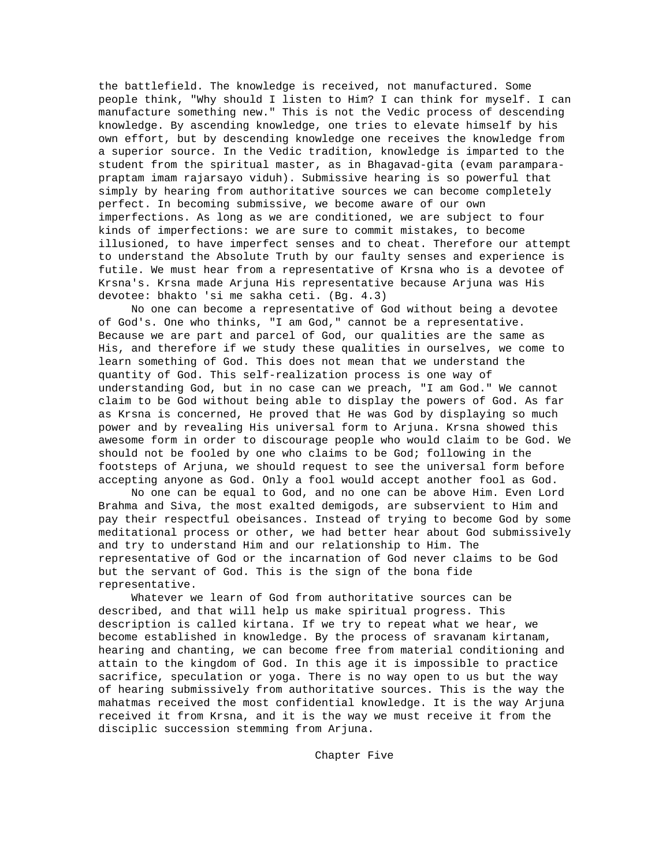the battlefield. The knowledge is received, not manufactured. Some people think, "Why should I listen to Him? I can think for myself. I can manufacture something new." This is not the Vedic process of descending knowledge. By ascending knowledge, one tries to elevate himself by his own effort, but by descending knowledge one receives the knowledge from a superior source. In the Vedic tradition, knowledge is imparted to the student from the spiritual master, as in Bhagavad-gita (evam paramparapraptam imam rajarsayo viduh). Submissive hearing is so powerful that simply by hearing from authoritative sources we can become completely perfect. In becoming submissive, we become aware of our own imperfections. As long as we are conditioned, we are subject to four kinds of imperfections: we are sure to commit mistakes, to become illusioned, to have imperfect senses and to cheat. Therefore our attempt to understand the Absolute Truth by our faulty senses and experience is futile. We must hear from a representative of Krsna who is a devotee of Krsna's. Krsna made Arjuna His representative because Arjuna was His devotee: bhakto 'si me sakha ceti. (Bg. 4.3)

 No one can become a representative of God without being a devotee of God's. One who thinks, "I am God," cannot be a representative. Because we are part and parcel of God, our qualities are the same as His, and therefore if we study these qualities in ourselves, we come to learn something of God. This does not mean that we understand the quantity of God. This self-realization process is one way of understanding God, but in no case can we preach, "I am God." We cannot claim to be God without being able to display the powers of God. As far as Krsna is concerned, He proved that He was God by displaying so much power and by revealing His universal form to Arjuna. Krsna showed this awesome form in order to discourage people who would claim to be God. We should not be fooled by one who claims to be God; following in the footsteps of Arjuna, we should request to see the universal form before accepting anyone as God. Only a fool would accept another fool as God.

 No one can be equal to God, and no one can be above Him. Even Lord Brahma and Siva, the most exalted demigods, are subservient to Him and pay their respectful obeisances. Instead of trying to become God by some meditational process or other, we had better hear about God submissively and try to understand Him and our relationship to Him. The representative of God or the incarnation of God never claims to be God but the servant of God. This is the sign of the bona fide representative.

 Whatever we learn of God from authoritative sources can be described, and that will help us make spiritual progress. This description is called kirtana. If we try to repeat what we hear, we become established in knowledge. By the process of sravanam kirtanam, hearing and chanting, we can become free from material conditioning and attain to the kingdom of God. In this age it is impossible to practice sacrifice, speculation or yoga. There is no way open to us but the way of hearing submissively from authoritative sources. This is the way the mahatmas received the most confidential knowledge. It is the way Arjuna received it from Krsna, and it is the way we must receive it from the disciplic succession stemming from Arjuna.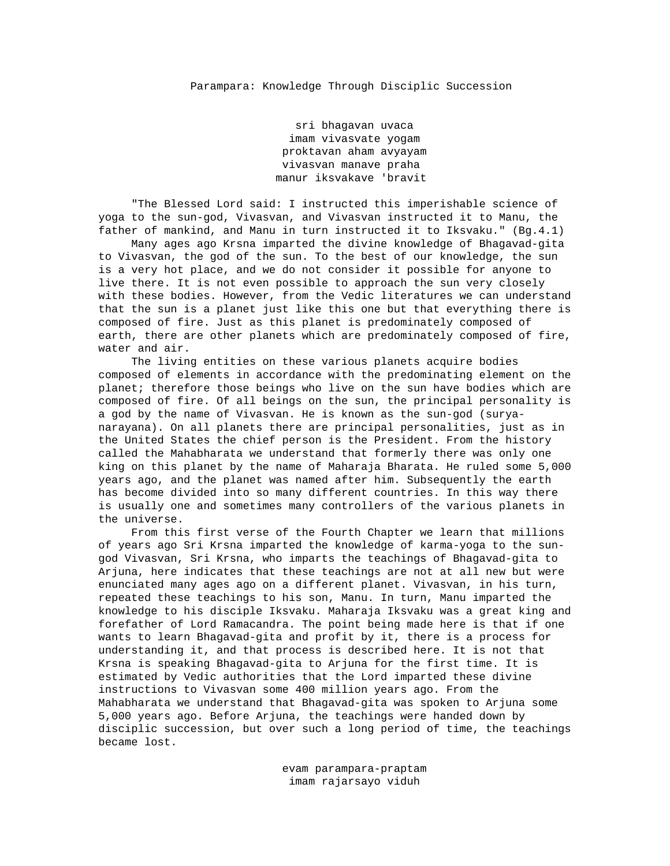sri bhagavan uvaca imam vivasvate yogam proktavan aham avyayam vivasvan manave praha manur iksvakave 'bravit

 "The Blessed Lord said: I instructed this imperishable science of yoga to the sun-god, Vivasvan, and Vivasvan instructed it to Manu, the father of mankind, and Manu in turn instructed it to Iksvaku." (Bg.4.1)

 Many ages ago Krsna imparted the divine knowledge of Bhagavad-gita to Vivasvan, the god of the sun. To the best of our knowledge, the sun is a very hot place, and we do not consider it possible for anyone to live there. It is not even possible to approach the sun very closely with these bodies. However, from the Vedic literatures we can understand that the sun is a planet just like this one but that everything there is composed of fire. Just as this planet is predominately composed of earth, there are other planets which are predominately composed of fire, water and air.

 The living entities on these various planets acquire bodies composed of elements in accordance with the predominating element on the planet; therefore those beings who live on the sun have bodies which are composed of fire. Of all beings on the sun, the principal personality is a god by the name of Vivasvan. He is known as the sun-god (suryanarayana). On all planets there are principal personalities, just as in the United States the chief person is the President. From the history called the Mahabharata we understand that formerly there was only one king on this planet by the name of Maharaja Bharata. He ruled some 5,000 years ago, and the planet was named after him. Subsequently the earth has become divided into so many different countries. In this way there is usually one and sometimes many controllers of the various planets in the universe.

 From this first verse of the Fourth Chapter we learn that millions of years ago Sri Krsna imparted the knowledge of karma-yoga to the sungod Vivasvan, Sri Krsna, who imparts the teachings of Bhagavad-gita to Arjuna, here indicates that these teachings are not at all new but were enunciated many ages ago on a different planet. Vivasvan, in his turn, repeated these teachings to his son, Manu. In turn, Manu imparted the knowledge to his disciple Iksvaku. Maharaja Iksvaku was a great king and forefather of Lord Ramacandra. The point being made here is that if one wants to learn Bhagavad-gita and profit by it, there is a process for understanding it, and that process is described here. It is not that Krsna is speaking Bhagavad-gita to Arjuna for the first time. It is estimated by Vedic authorities that the Lord imparted these divine instructions to Vivasvan some 400 million years ago. From the Mahabharata we understand that Bhagavad-gita was spoken to Arjuna some 5,000 years ago. Before Arjuna, the teachings were handed down by disciplic succession, but over such a long period of time, the teachings became lost.

> evam parampara-praptam imam rajarsayo viduh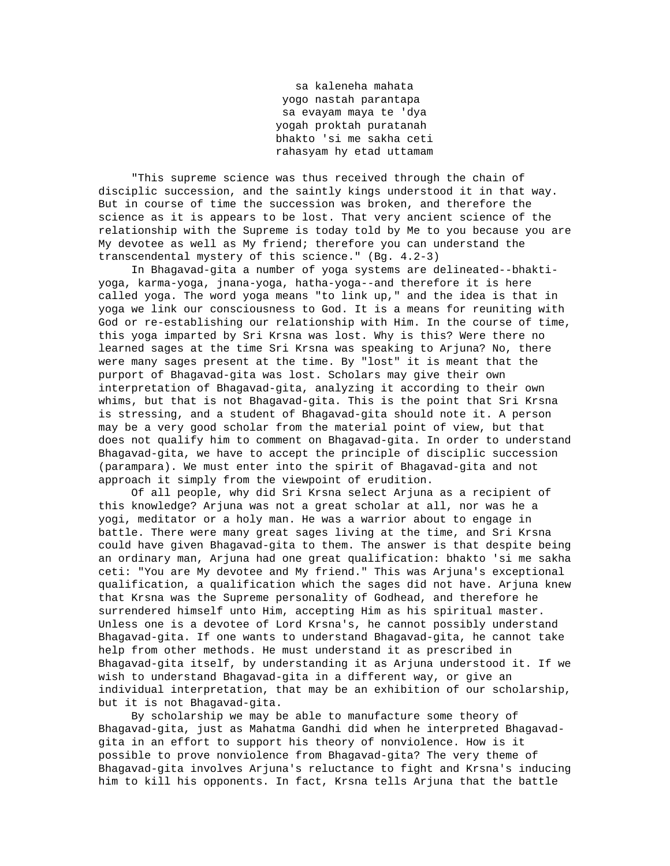sa kaleneha mahata yogo nastah parantapa sa evayam maya te 'dya yogah proktah puratanah bhakto 'si me sakha ceti rahasyam hy etad uttamam

 "This supreme science was thus received through the chain of disciplic succession, and the saintly kings understood it in that way. But in course of time the succession was broken, and therefore the science as it is appears to be lost. That very ancient science of the relationship with the Supreme is today told by Me to you because you are My devotee as well as My friend; therefore you can understand the transcendental mystery of this science." (Bg. 4.2-3)

 In Bhagavad-gita a number of yoga systems are delineated--bhaktiyoga, karma-yoga, jnana-yoga, hatha-yoga--and therefore it is here called yoga. The word yoga means "to link up," and the idea is that in yoga we link our consciousness to God. It is a means for reuniting with God or re-establishing our relationship with Him. In the course of time, this yoga imparted by Sri Krsna was lost. Why is this? Were there no learned sages at the time Sri Krsna was speaking to Arjuna? No, there were many sages present at the time. By "lost" it is meant that the purport of Bhagavad-gita was lost. Scholars may give their own interpretation of Bhagavad-gita, analyzing it according to their own whims, but that is not Bhagavad-gita. This is the point that Sri Krsna is stressing, and a student of Bhagavad-gita should note it. A person may be a very good scholar from the material point of view, but that does not qualify him to comment on Bhagavad-gita. In order to understand Bhagavad-gita, we have to accept the principle of disciplic succession (parampara). We must enter into the spirit of Bhagavad-gita and not approach it simply from the viewpoint of erudition.

 Of all people, why did Sri Krsna select Arjuna as a recipient of this knowledge? Arjuna was not a great scholar at all, nor was he a yogi, meditator or a holy man. He was a warrior about to engage in battle. There were many great sages living at the time, and Sri Krsna could have given Bhagavad-gita to them. The answer is that despite being an ordinary man, Arjuna had one great qualification: bhakto 'si me sakha ceti: "You are My devotee and My friend." This was Arjuna's exceptional qualification, a qualification which the sages did not have. Arjuna knew that Krsna was the Supreme personality of Godhead, and therefore he surrendered himself unto Him, accepting Him as his spiritual master. Unless one is a devotee of Lord Krsna's, he cannot possibly understand Bhagavad-gita. If one wants to understand Bhagavad-gita, he cannot take help from other methods. He must understand it as prescribed in Bhagavad-gita itself, by understanding it as Arjuna understood it. If we wish to understand Bhagavad-gita in a different way, or give an individual interpretation, that may be an exhibition of our scholarship, but it is not Bhagavad-gita.

 By scholarship we may be able to manufacture some theory of Bhagavad-gita, just as Mahatma Gandhi did when he interpreted Bhagavadgita in an effort to support his theory of nonviolence. How is it possible to prove nonviolence from Bhagavad-gita? The very theme of Bhagavad-gita involves Arjuna's reluctance to fight and Krsna's inducing him to kill his opponents. In fact, Krsna tells Arjuna that the battle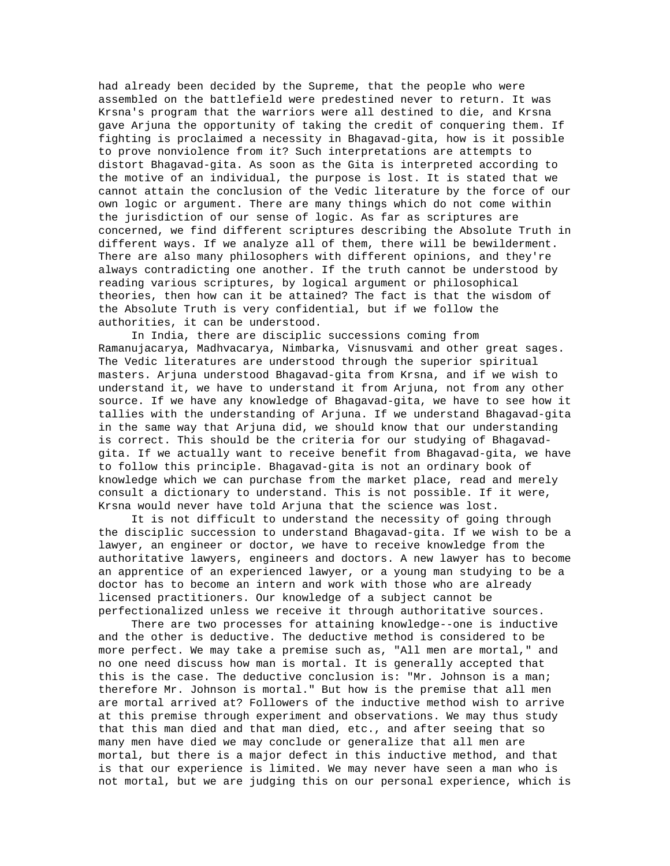had already been decided by the Supreme, that the people who were assembled on the battlefield were predestined never to return. It was Krsna's program that the warriors were all destined to die, and Krsna gave Arjuna the opportunity of taking the credit of conquering them. If fighting is proclaimed a necessity in Bhagavad-gita, how is it possible to prove nonviolence from it? Such interpretations are attempts to distort Bhagavad-gita. As soon as the Gita is interpreted according to the motive of an individual, the purpose is lost. It is stated that we cannot attain the conclusion of the Vedic literature by the force of our own logic or argument. There are many things which do not come within the jurisdiction of our sense of logic. As far as scriptures are concerned, we find different scriptures describing the Absolute Truth in different ways. If we analyze all of them, there will be bewilderment. There are also many philosophers with different opinions, and they're always contradicting one another. If the truth cannot be understood by reading various scriptures, by logical argument or philosophical theories, then how can it be attained? The fact is that the wisdom of the Absolute Truth is very confidential, but if we follow the authorities, it can be understood.

 In India, there are disciplic successions coming from Ramanujacarya, Madhvacarya, Nimbarka, Visnusvami and other great sages. The Vedic literatures are understood through the superior spiritual masters. Arjuna understood Bhagavad-gita from Krsna, and if we wish to understand it, we have to understand it from Arjuna, not from any other source. If we have any knowledge of Bhagavad-gita, we have to see how it tallies with the understanding of Arjuna. If we understand Bhagavad-gita in the same way that Arjuna did, we should know that our understanding is correct. This should be the criteria for our studying of Bhagavadgita. If we actually want to receive benefit from Bhagavad-gita, we have to follow this principle. Bhagavad-gita is not an ordinary book of knowledge which we can purchase from the market place, read and merely consult a dictionary to understand. This is not possible. If it were, Krsna would never have told Arjuna that the science was lost.

 It is not difficult to understand the necessity of going through the disciplic succession to understand Bhagavad-gita. If we wish to be a lawyer, an engineer or doctor, we have to receive knowledge from the authoritative lawyers, engineers and doctors. A new lawyer has to become an apprentice of an experienced lawyer, or a young man studying to be a doctor has to become an intern and work with those who are already licensed practitioners. Our knowledge of a subject cannot be perfectionalized unless we receive it through authoritative sources.

 There are two processes for attaining knowledge--one is inductive and the other is deductive. The deductive method is considered to be more perfect. We may take a premise such as, "All men are mortal," and no one need discuss how man is mortal. It is generally accepted that this is the case. The deductive conclusion is: "Mr. Johnson is a man; therefore Mr. Johnson is mortal." But how is the premise that all men are mortal arrived at? Followers of the inductive method wish to arrive at this premise through experiment and observations. We may thus study that this man died and that man died, etc., and after seeing that so many men have died we may conclude or generalize that all men are mortal, but there is a major defect in this inductive method, and that is that our experience is limited. We may never have seen a man who is not mortal, but we are judging this on our personal experience, which is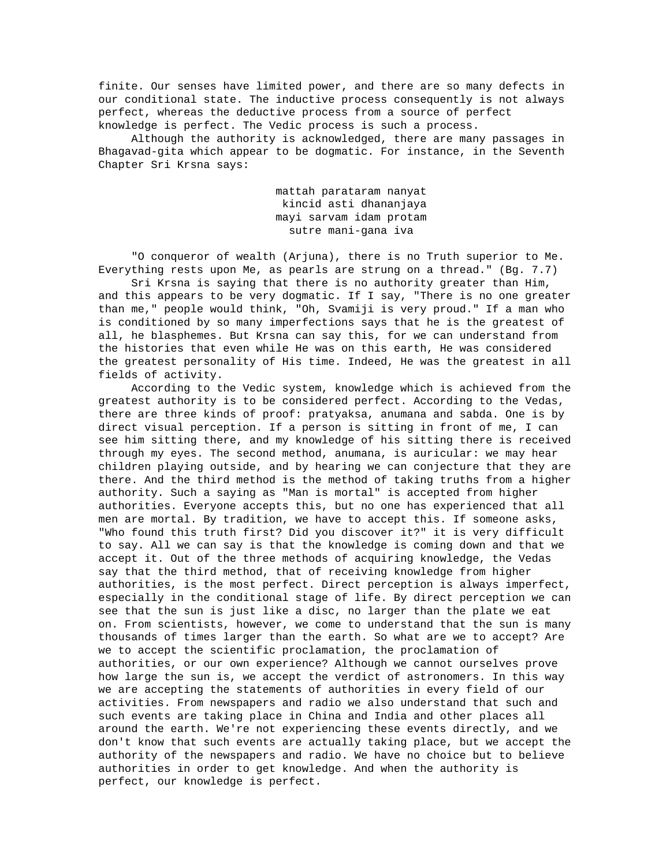finite. Our senses have limited power, and there are so many defects in our conditional state. The inductive process consequently is not always perfect, whereas the deductive process from a source of perfect knowledge is perfect. The Vedic process is such a process.

 Although the authority is acknowledged, there are many passages in Bhagavad-gita which appear to be dogmatic. For instance, in the Seventh Chapter Sri Krsna says:

> mattah parataram nanyat kincid asti dhananjaya mayi sarvam idam protam sutre mani-gana iva

 "O conqueror of wealth (Arjuna), there is no Truth superior to Me. Everything rests upon Me, as pearls are strung on a thread." (Bg. 7.7)

 Sri Krsna is saying that there is no authority greater than Him, and this appears to be very dogmatic. If I say, "There is no one greater than me," people would think, "Oh, Svamiji is very proud." If a man who is conditioned by so many imperfections says that he is the greatest of all, he blasphemes. But Krsna can say this, for we can understand from the histories that even while He was on this earth, He was considered the greatest personality of His time. Indeed, He was the greatest in all fields of activity.

 According to the Vedic system, knowledge which is achieved from the greatest authority is to be considered perfect. According to the Vedas, there are three kinds of proof: pratyaksa, anumana and sabda. One is by direct visual perception. If a person is sitting in front of me, I can see him sitting there, and my knowledge of his sitting there is received through my eyes. The second method, anumana, is auricular: we may hear children playing outside, and by hearing we can conjecture that they are there. And the third method is the method of taking truths from a higher authority. Such a saying as "Man is mortal" is accepted from higher authorities. Everyone accepts this, but no one has experienced that all men are mortal. By tradition, we have to accept this. If someone asks, "Who found this truth first? Did you discover it?" it is very difficult to say. All we can say is that the knowledge is coming down and that we accept it. Out of the three methods of acquiring knowledge, the Vedas say that the third method, that of receiving knowledge from higher authorities, is the most perfect. Direct perception is always imperfect, especially in the conditional stage of life. By direct perception we can see that the sun is just like a disc, no larger than the plate we eat on. From scientists, however, we come to understand that the sun is many thousands of times larger than the earth. So what are we to accept? Are we to accept the scientific proclamation, the proclamation of authorities, or our own experience? Although we cannot ourselves prove how large the sun is, we accept the verdict of astronomers. In this way we are accepting the statements of authorities in every field of our activities. From newspapers and radio we also understand that such and such events are taking place in China and India and other places all around the earth. We're not experiencing these events directly, and we don't know that such events are actually taking place, but we accept the authority of the newspapers and radio. We have no choice but to believe authorities in order to get knowledge. And when the authority is perfect, our knowledge is perfect.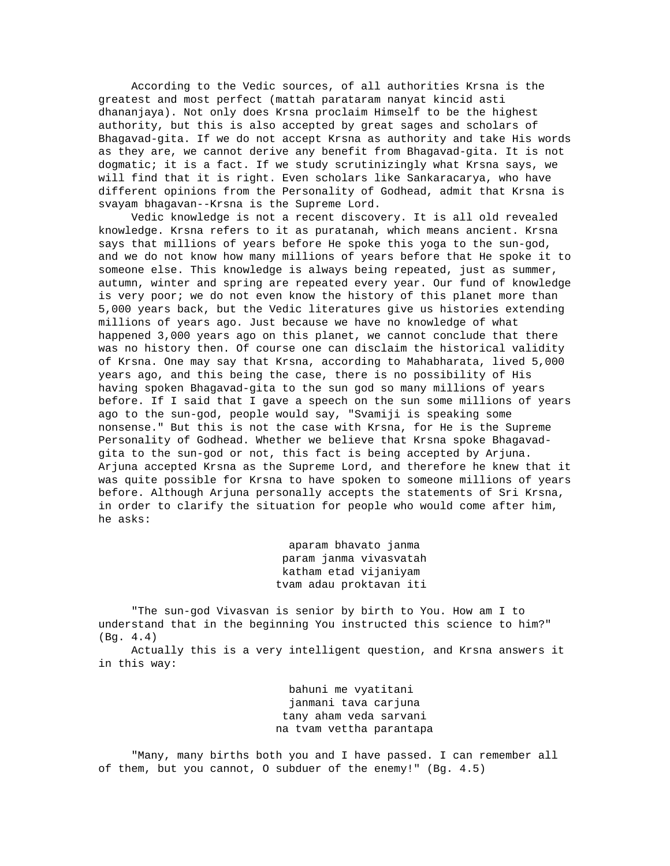According to the Vedic sources, of all authorities Krsna is the greatest and most perfect (mattah parataram nanyat kincid asti dhananjaya). Not only does Krsna proclaim Himself to be the highest authority, but this is also accepted by great sages and scholars of Bhagavad-gita. If we do not accept Krsna as authority and take His words as they are, we cannot derive any benefit from Bhagavad-gita. It is not dogmatic; it is a fact. If we study scrutinizingly what Krsna says, we will find that it is right. Even scholars like Sankaracarya, who have different opinions from the Personality of Godhead, admit that Krsna is svayam bhagavan--Krsna is the Supreme Lord.

 Vedic knowledge is not a recent discovery. It is all old revealed knowledge. Krsna refers to it as puratanah, which means ancient. Krsna says that millions of years before He spoke this yoga to the sun-god, and we do not know how many millions of years before that He spoke it to someone else. This knowledge is always being repeated, just as summer, autumn, winter and spring are repeated every year. Our fund of knowledge is very poor; we do not even know the history of this planet more than 5,000 years back, but the Vedic literatures give us histories extending millions of years ago. Just because we have no knowledge of what happened 3,000 years ago on this planet, we cannot conclude that there was no history then. Of course one can disclaim the historical validity of Krsna. One may say that Krsna, according to Mahabharata, lived 5,000 years ago, and this being the case, there is no possibility of His having spoken Bhagavad-gita to the sun god so many millions of years before. If I said that I gave a speech on the sun some millions of years ago to the sun-god, people would say, "Svamiji is speaking some nonsense." But this is not the case with Krsna, for He is the Supreme Personality of Godhead. Whether we believe that Krsna spoke Bhagavadgita to the sun-god or not, this fact is being accepted by Arjuna. Arjuna accepted Krsna as the Supreme Lord, and therefore he knew that it was quite possible for Krsna to have spoken to someone millions of years before. Although Arjuna personally accepts the statements of Sri Krsna, in order to clarify the situation for people who would come after him, he asks:

> aparam bhavato janma param janma vivasvatah katham etad vijaniyam tvam adau proktavan iti

 "The sun-god Vivasvan is senior by birth to You. How am I to understand that in the beginning You instructed this science to him?" (Bg. 4.4)

 Actually this is a very intelligent question, and Krsna answers it in this way:

> bahuni me vyatitani janmani tava carjuna tany aham veda sarvani na tvam vettha parantapa

 "Many, many births both you and I have passed. I can remember all of them, but you cannot, O subduer of the enemy!" (Bg. 4.5)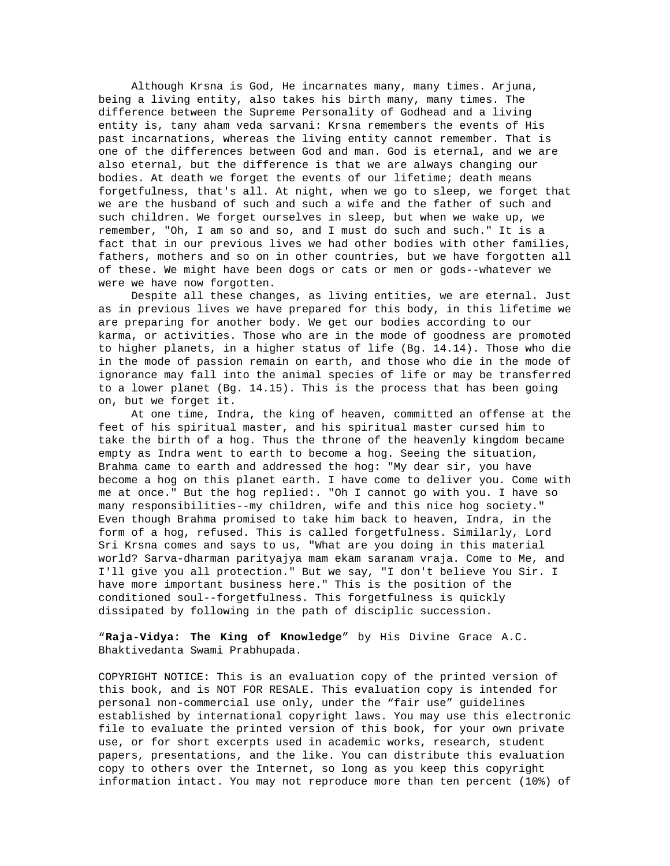Although Krsna is God, He incarnates many, many times. Arjuna, being a living entity, also takes his birth many, many times. The difference between the Supreme Personality of Godhead and a living entity is, tany aham veda sarvani: Krsna remembers the events of His past incarnations, whereas the living entity cannot remember. That is one of the differences between God and man. God is eternal, and we are also eternal, but the difference is that we are always changing our bodies. At death we forget the events of our lifetime; death means forgetfulness, that's all. At night, when we go to sleep, we forget that we are the husband of such and such a wife and the father of such and such children. We forget ourselves in sleep, but when we wake up, we remember, "Oh, I am so and so, and I must do such and such." It is a fact that in our previous lives we had other bodies with other families, fathers, mothers and so on in other countries, but we have forgotten all of these. We might have been dogs or cats or men or gods--whatever we were we have now forgotten.

 Despite all these changes, as living entities, we are eternal. Just as in previous lives we have prepared for this body, in this lifetime we are preparing for another body. We get our bodies according to our karma, or activities. Those who are in the mode of goodness are promoted to higher planets, in a higher status of life (Bg. 14.14). Those who die in the mode of passion remain on earth, and those who die in the mode of ignorance may fall into the animal species of life or may be transferred to a lower planet (Bg. 14.15). This is the process that has been going on, but we forget it.

 At one time, Indra, the king of heaven, committed an offense at the feet of his spiritual master, and his spiritual master cursed him to take the birth of a hog. Thus the throne of the heavenly kingdom became empty as Indra went to earth to become a hog. Seeing the situation, Brahma came to earth and addressed the hog: "My dear sir, you have become a hog on this planet earth. I have come to deliver you. Come with me at once." But the hog replied:. "Oh I cannot go with you. I have so many responsibilities--my children, wife and this nice hog society." Even though Brahma promised to take him back to heaven, Indra, in the form of a hog, refused. This is called forgetfulness. Similarly, Lord Sri Krsna comes and says to us, "What are you doing in this material world? Sarva-dharman parityajya mam ekam saranam vraja. Come to Me, and I'll give you all protection." But we say, "I don't believe You Sir. I have more important business here." This is the position of the conditioned soul--forgetfulness. This forgetfulness is quickly dissipated by following in the path of disciplic succession.

## "**Raja-Vidya: The King of Knowledge**" by His Divine Grace A.C. Bhaktivedanta Swami Prabhupada.

COPYRIGHT NOTICE: This is an evaluation copy of the printed version of this book, and is NOT FOR RESALE. This evaluation copy is intended for personal non-commercial use only, under the "fair use" guidelines established by international copyright laws. You may use this electronic file to evaluate the printed version of this book, for your own private use, or for short excerpts used in academic works, research, student papers, presentations, and the like. You can distribute this evaluation copy to others over the Internet, so long as you keep this copyright information intact. You may not reproduce more than ten percent (10%) of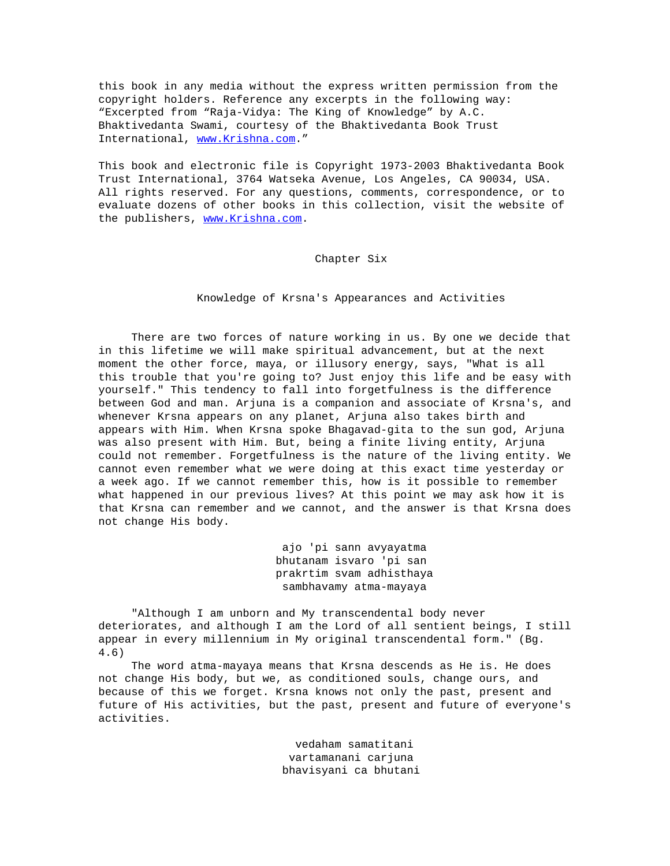this book in any media without the express written permission from the copyright holders. Reference any excerpts in the following way: "Excerpted from "Raja-Vidya: The King of Knowledge" by A.C. Bhaktivedanta Swami, courtesy of the Bhaktivedanta Book Trust International, www.Krishna.com."

This book and electronic file is Copyright 1973-2003 Bhaktivedanta Book Trust International, 3764 Watseka Avenue, Los Angeles, CA 90034, USA. All rights reserved. For any questions, comments, correspondence, or to evaluate dozens of other books in this collection, visit the website of the publishers, www.Krishna.com.

## Chapter Six

Knowledge of Krsna's Appearances and Activities

 There are two forces of nature working in us. By one we decide that in this lifetime we will make spiritual advancement, but at the next moment the other force, maya, or illusory energy, says, "What is all this trouble that you're going to? Just enjoy this life and be easy with yourself." This tendency to fall into forgetfulness is the difference between God and man. Arjuna is a companion and associate of Krsna's, and whenever Krsna appears on any planet, Arjuna also takes birth and appears with Him. When Krsna spoke Bhagavad-gita to the sun god, Arjuna was also present with Him. But, being a finite living entity, Arjuna could not remember. Forgetfulness is the nature of the living entity. We cannot even remember what we were doing at this exact time yesterday or a week ago. If we cannot remember this, how is it possible to remember what happened in our previous lives? At this point we may ask how it is that Krsna can remember and we cannot, and the answer is that Krsna does not change His body.

> ajo 'pi sann avyayatma bhutanam isvaro 'pi san prakrtim svam adhisthaya sambhavamy atma-mayaya

 "Although I am unborn and My transcendental body never deteriorates, and although I am the Lord of all sentient beings, I still appear in every millennium in My original transcendental form." (Bg. 4.6)

 The word atma-mayaya means that Krsna descends as He is. He does not change His body, but we, as conditioned souls, change ours, and because of this we forget. Krsna knows not only the past, present and future of His activities, but the past, present and future of everyone's activities.

> vedaham samatitani vartamanani carjuna bhavisyani ca bhutani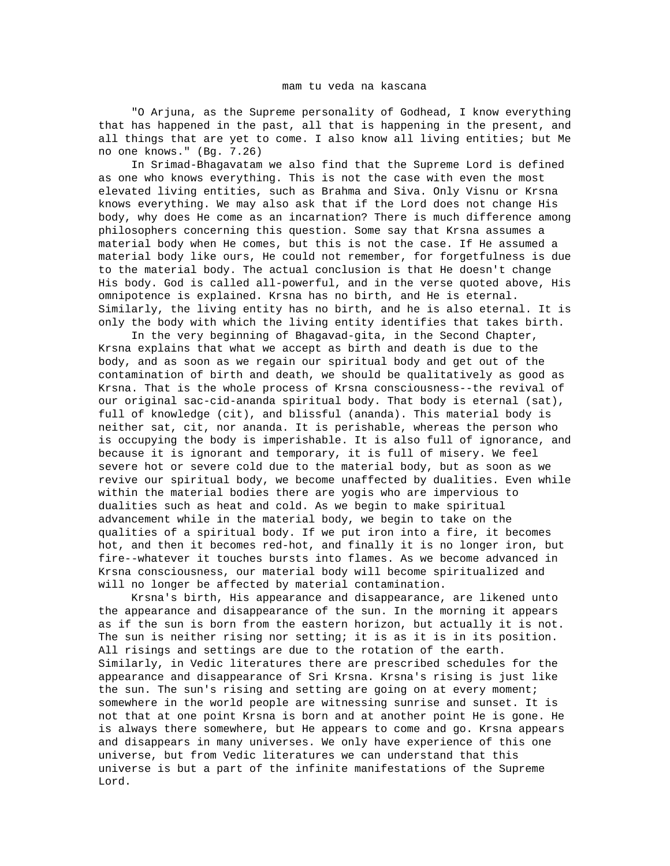"O Arjuna, as the Supreme personality of Godhead, I know everything that has happened in the past, all that is happening in the present, and all things that are yet to come. I also know all living entities; but Me no one knows." (Bg. 7.26)

 In Srimad-Bhagavatam we also find that the Supreme Lord is defined as one who knows everything. This is not the case with even the most elevated living entities, such as Brahma and Siva. Only Visnu or Krsna knows everything. We may also ask that if the Lord does not change His body, why does He come as an incarnation? There is much difference among philosophers concerning this question. Some say that Krsna assumes a material body when He comes, but this is not the case. If He assumed a material body like ours, He could not remember, for forgetfulness is due to the material body. The actual conclusion is that He doesn't change His body. God is called all-powerful, and in the verse quoted above, His omnipotence is explained. Krsna has no birth, and He is eternal. Similarly, the living entity has no birth, and he is also eternal. It is only the body with which the living entity identifies that takes birth.

 In the very beginning of Bhagavad-gita, in the Second Chapter, Krsna explains that what we accept as birth and death is due to the body, and as soon as we regain our spiritual body and get out of the contamination of birth and death, we should be qualitatively as good as Krsna. That is the whole process of Krsna consciousness--the revival of our original sac-cid-ananda spiritual body. That body is eternal (sat), full of knowledge (cit), and blissful (ananda). This material body is neither sat, cit, nor ananda. It is perishable, whereas the person who is occupying the body is imperishable. It is also full of ignorance, and because it is ignorant and temporary, it is full of misery. We feel severe hot or severe cold due to the material body, but as soon as we revive our spiritual body, we become unaffected by dualities. Even while within the material bodies there are yogis who are impervious to dualities such as heat and cold. As we begin to make spiritual advancement while in the material body, we begin to take on the qualities of a spiritual body. If we put iron into a fire, it becomes hot, and then it becomes red-hot, and finally it is no longer iron, but fire--whatever it touches bursts into flames. As we become advanced in Krsna consciousness, our material body will become spiritualized and will no longer be affected by material contamination.

 Krsna's birth, His appearance and disappearance, are likened unto the appearance and disappearance of the sun. In the morning it appears as if the sun is born from the eastern horizon, but actually it is not. The sun is neither rising nor setting; it is as it is in its position. All risings and settings are due to the rotation of the earth. Similarly, in Vedic literatures there are prescribed schedules for the appearance and disappearance of Sri Krsna. Krsna's rising is just like the sun. The sun's rising and setting are going on at every moment; somewhere in the world people are witnessing sunrise and sunset. It is not that at one point Krsna is born and at another point He is gone. He is always there somewhere, but He appears to come and go. Krsna appears and disappears in many universes. We only have experience of this one universe, but from Vedic literatures we can understand that this universe is but a part of the infinite manifestations of the Supreme Lord.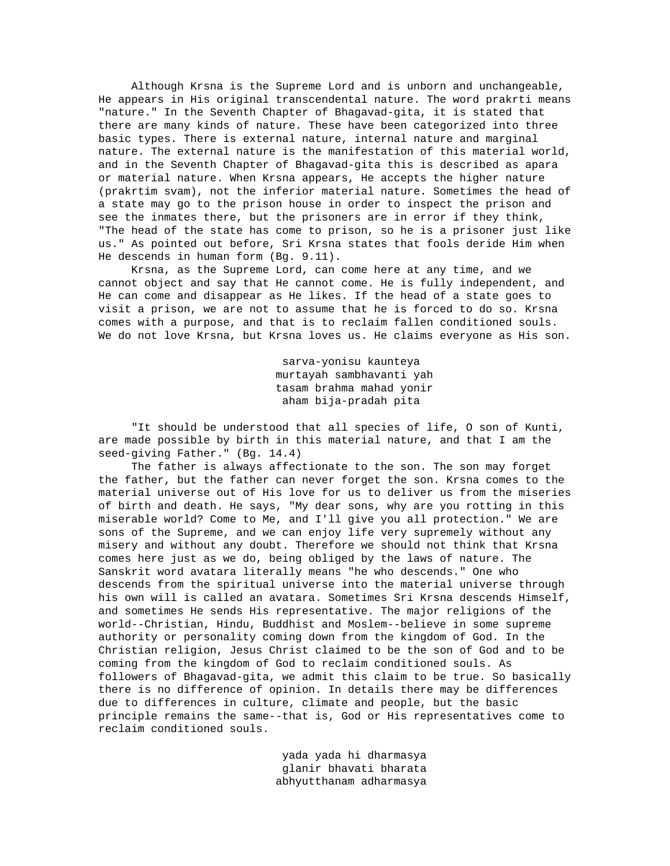Although Krsna is the Supreme Lord and is unborn and unchangeable, He appears in His original transcendental nature. The word prakrti means "nature." In the Seventh Chapter of Bhagavad-gita, it is stated that there are many kinds of nature. These have been categorized into three basic types. There is external nature, internal nature and marginal nature. The external nature is the manifestation of this material world, and in the Seventh Chapter of Bhagavad-gita this is described as apara or material nature. When Krsna appears, He accepts the higher nature (prakrtim svam), not the inferior material nature. Sometimes the head of a state may go to the prison house in order to inspect the prison and see the inmates there, but the prisoners are in error if they think, "The head of the state has come to prison, so he is a prisoner just like us." As pointed out before, Sri Krsna states that fools deride Him when He descends in human form (Bg. 9.11).

 Krsna, as the Supreme Lord, can come here at any time, and we cannot object and say that He cannot come. He is fully independent, and He can come and disappear as He likes. If the head of a state goes to visit a prison, we are not to assume that he is forced to do so. Krsna comes with a purpose, and that is to reclaim fallen conditioned souls. We do not love Krsna, but Krsna loves us. He claims everyone as His son.

> sarva-yonisu kaunteya murtayah sambhavanti yah tasam brahma mahad yonir aham bija-pradah pita

 "It should be understood that all species of life, O son of Kunti, are made possible by birth in this material nature, and that I am the seed-giving Father." (Bg. 14.4)

 The father is always affectionate to the son. The son may forget the father, but the father can never forget the son. Krsna comes to the material universe out of His love for us to deliver us from the miseries of birth and death. He says, "My dear sons, why are you rotting in this miserable world? Come to Me, and I'll give you all protection." We are sons of the Supreme, and we can enjoy life very supremely without any misery and without any doubt. Therefore we should not think that Krsna comes here just as we do, being obliged by the laws of nature. The Sanskrit word avatara literally means "he who descends." One who descends from the spiritual universe into the material universe through his own will is called an avatara. Sometimes Sri Krsna descends Himself, and sometimes He sends His representative. The major religions of the world--Christian, Hindu, Buddhist and Moslem--believe in some supreme authority or personality coming down from the kingdom of God. In the Christian religion, Jesus Christ claimed to be the son of God and to be coming from the kingdom of God to reclaim conditioned souls. As followers of Bhagavad-gita, we admit this claim to be true. So basically there is no difference of opinion. In details there may be differences due to differences in culture, climate and people, but the basic principle remains the same--that is, God or His representatives come to reclaim conditioned souls.

> yada yada hi dharmasya glanir bhavati bharata abhyutthanam adharmasya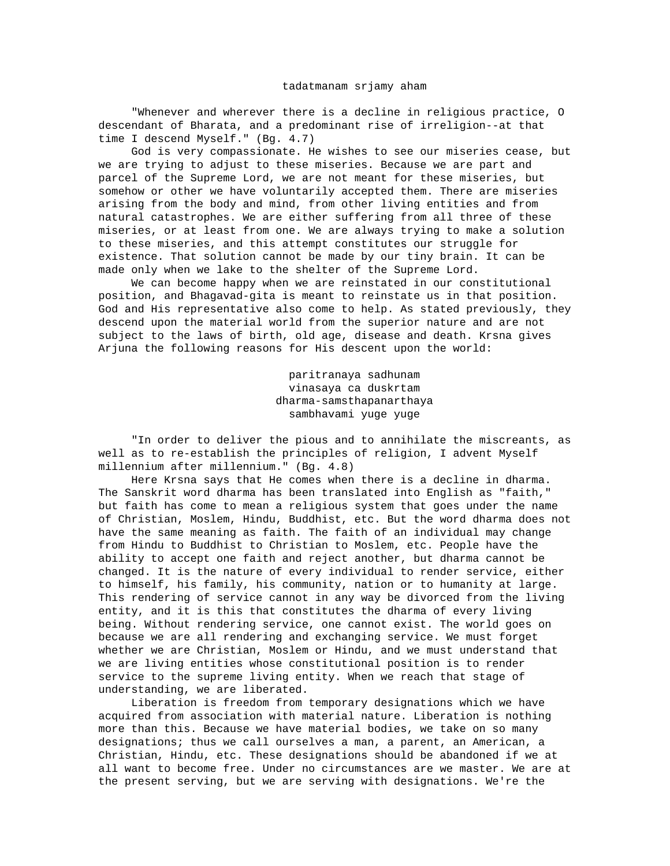"Whenever and wherever there is a decline in religious practice, O descendant of Bharata, and a predominant rise of irreligion--at that time I descend Myself." (Bg. 4.7)

 God is very compassionate. He wishes to see our miseries cease, but we are trying to adjust to these miseries. Because we are part and parcel of the Supreme Lord, we are not meant for these miseries, but somehow or other we have voluntarily accepted them. There are miseries arising from the body and mind, from other living entities and from natural catastrophes. We are either suffering from all three of these miseries, or at least from one. We are always trying to make a solution to these miseries, and this attempt constitutes our struggle for existence. That solution cannot be made by our tiny brain. It can be made only when we lake to the shelter of the Supreme Lord.

 We can become happy when we are reinstated in our constitutional position, and Bhagavad-gita is meant to reinstate us in that position. God and His representative also come to help. As stated previously, they descend upon the material world from the superior nature and are not subject to the laws of birth, old age, disease and death. Krsna gives Arjuna the following reasons for His descent upon the world:

> paritranaya sadhunam vinasaya ca duskrtam dharma-samsthapanarthaya sambhavami yuge yuge

 "In order to deliver the pious and to annihilate the miscreants, as well as to re-establish the principles of religion, I advent Myself millennium after millennium." (Bg. 4.8)

 Here Krsna says that He comes when there is a decline in dharma. The Sanskrit word dharma has been translated into English as "faith," but faith has come to mean a religious system that goes under the name of Christian, Moslem, Hindu, Buddhist, etc. But the word dharma does not have the same meaning as faith. The faith of an individual may change from Hindu to Buddhist to Christian to Moslem, etc. People have the ability to accept one faith and reject another, but dharma cannot be changed. It is the nature of every individual to render service, either to himself, his family, his community, nation or to humanity at large. This rendering of service cannot in any way be divorced from the living entity, and it is this that constitutes the dharma of every living being. Without rendering service, one cannot exist. The world goes on because we are all rendering and exchanging service. We must forget whether we are Christian, Moslem or Hindu, and we must understand that we are living entities whose constitutional position is to render service to the supreme living entity. When we reach that stage of understanding, we are liberated.

 Liberation is freedom from temporary designations which we have acquired from association with material nature. Liberation is nothing more than this. Because we have material bodies, we take on so many designations; thus we call ourselves a man, a parent, an American, a Christian, Hindu, etc. These designations should be abandoned if we at all want to become free. Under no circumstances are we master. We are at the present serving, but we are serving with designations. We're the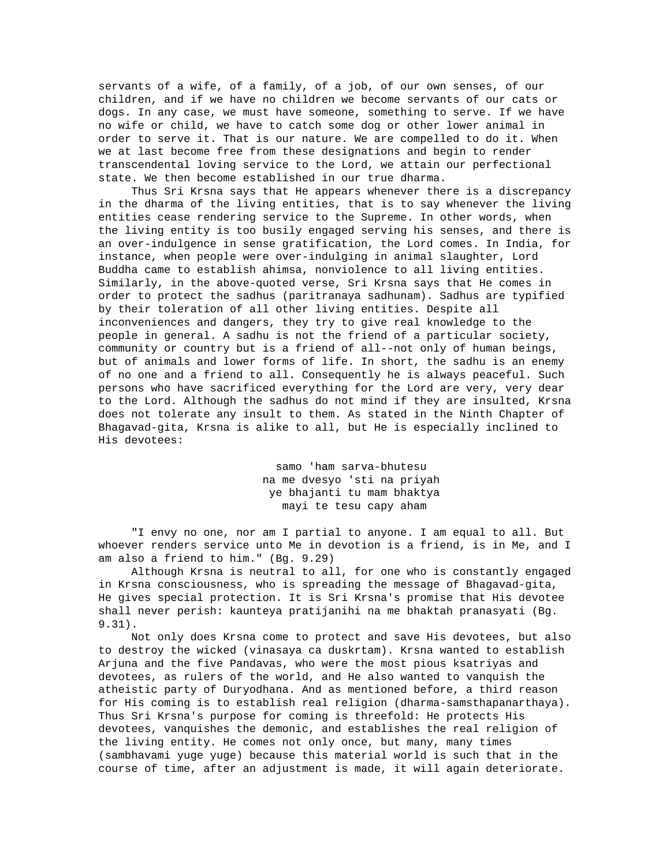servants of a wife, of a family, of a job, of our own senses, of our children, and if we have no children we become servants of our cats or dogs. In any case, we must have someone, something to serve. If we have no wife or child, we have to catch some dog or other lower animal in order to serve it. That is our nature. We are compelled to do it. When we at last become free from these designations and begin to render transcendental loving service to the Lord, we attain our perfectional state. We then become established in our true dharma.

 Thus Sri Krsna says that He appears whenever there is a discrepancy in the dharma of the living entities, that is to say whenever the living entities cease rendering service to the Supreme. In other words, when the living entity is too busily engaged serving his senses, and there is an over-indulgence in sense gratification, the Lord comes. In India, for instance, when people were over-indulging in animal slaughter, Lord Buddha came to establish ahimsa, nonviolence to all living entities. Similarly, in the above-quoted verse, Sri Krsna says that He comes in order to protect the sadhus (paritranaya sadhunam). Sadhus are typified by their toleration of all other living entities. Despite all inconveniences and dangers, they try to give real knowledge to the people in general. A sadhu is not the friend of a particular society, community or country but is a friend of all--not only of human beings, but of animals and lower forms of life. In short, the sadhu is an enemy of no one and a friend to all. Consequently he is always peaceful. Such persons who have sacrificed everything for the Lord are very, very dear to the Lord. Although the sadhus do not mind if they are insulted, Krsna does not tolerate any insult to them. As stated in the Ninth Chapter of Bhagavad-gita, Krsna is alike to all, but He is especially inclined to His devotees:

> samo 'ham sarva-bhutesu na me dvesyo 'sti na priyah ye bhajanti tu mam bhaktya mayi te tesu capy aham

 "I envy no one, nor am I partial to anyone. I am equal to all. But whoever renders service unto Me in devotion is a friend, is in Me, and I am also a friend to him." (Bg. 9.29)

 Although Krsna is neutral to all, for one who is constantly engaged in Krsna consciousness, who is spreading the message of Bhagavad-gita, He gives special protection. It is Sri Krsna's promise that His devotee shall never perish: kaunteya pratijanihi na me bhaktah pranasyati (Bg. 9.31).

 Not only does Krsna come to protect and save His devotees, but also to destroy the wicked (vinasaya ca duskrtam). Krsna wanted to establish Arjuna and the five Pandavas, who were the most pious ksatriyas and devotees, as rulers of the world, and He also wanted to vanquish the atheistic party of Duryodhana. And as mentioned before, a third reason for His coming is to establish real religion (dharma-samsthapanarthaya). Thus Sri Krsna's purpose for coming is threefold: He protects His devotees, vanquishes the demonic, and establishes the real religion of the living entity. He comes not only once, but many, many times (sambhavami yuge yuge) because this material world is such that in the course of time, after an adjustment is made, it will again deteriorate.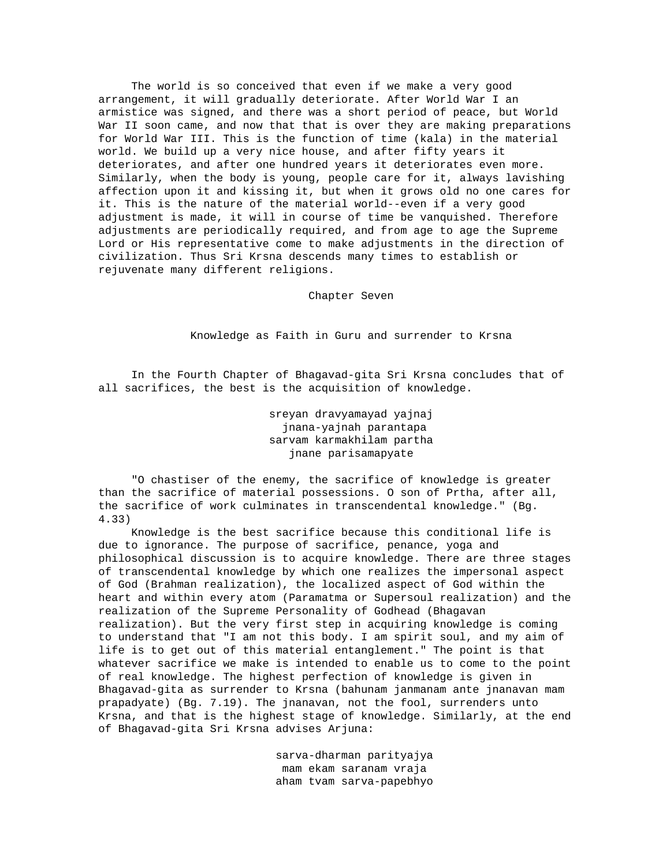The world is so conceived that even if we make a very good arrangement, it will gradually deteriorate. After World War I an armistice was signed, and there was a short period of peace, but World War II soon came, and now that that is over they are making preparations for World War III. This is the function of time (kala) in the material world. We build up a very nice house, and after fifty years it deteriorates, and after one hundred years it deteriorates even more. Similarly, when the body is young, people care for it, always lavishing affection upon it and kissing it, but when it grows old no one cares for it. This is the nature of the material world--even if a very good adjustment is made, it will in course of time be vanquished. Therefore adjustments are periodically required, and from age to age the Supreme Lord or His representative come to make adjustments in the direction of civilization. Thus Sri Krsna descends many times to establish or rejuvenate many different religions.

Chapter Seven

Knowledge as Faith in Guru and surrender to Krsna

 In the Fourth Chapter of Bhagavad-gita Sri Krsna concludes that of all sacrifices, the best is the acquisition of knowledge.

> sreyan dravyamayad yajnaj jnana-yajnah parantapa sarvam karmakhilam partha jnane parisamapyate

 "O chastiser of the enemy, the sacrifice of knowledge is greater than the sacrifice of material possessions. O son of Prtha, after all, the sacrifice of work culminates in transcendental knowledge." (Bg. 4.33)

 Knowledge is the best sacrifice because this conditional life is due to ignorance. The purpose of sacrifice, penance, yoga and philosophical discussion is to acquire knowledge. There are three stages of transcendental knowledge by which one realizes the impersonal aspect of God (Brahman realization), the localized aspect of God within the heart and within every atom (Paramatma or Supersoul realization) and the realization of the Supreme Personality of Godhead (Bhagavan realization). But the very first step in acquiring knowledge is coming to understand that "I am not this body. I am spirit soul, and my aim of life is to get out of this material entanglement." The point is that whatever sacrifice we make is intended to enable us to come to the point of real knowledge. The highest perfection of knowledge is given in Bhagavad-gita as surrender to Krsna (bahunam janmanam ante jnanavan mam prapadyate) (Bg. 7.19). The jnanavan, not the fool, surrenders unto Krsna, and that is the highest stage of knowledge. Similarly, at the end of Bhagavad-gita Sri Krsna advises Arjuna:

> sarva-dharman parityajya mam ekam saranam vraja aham tvam sarva-papebhyo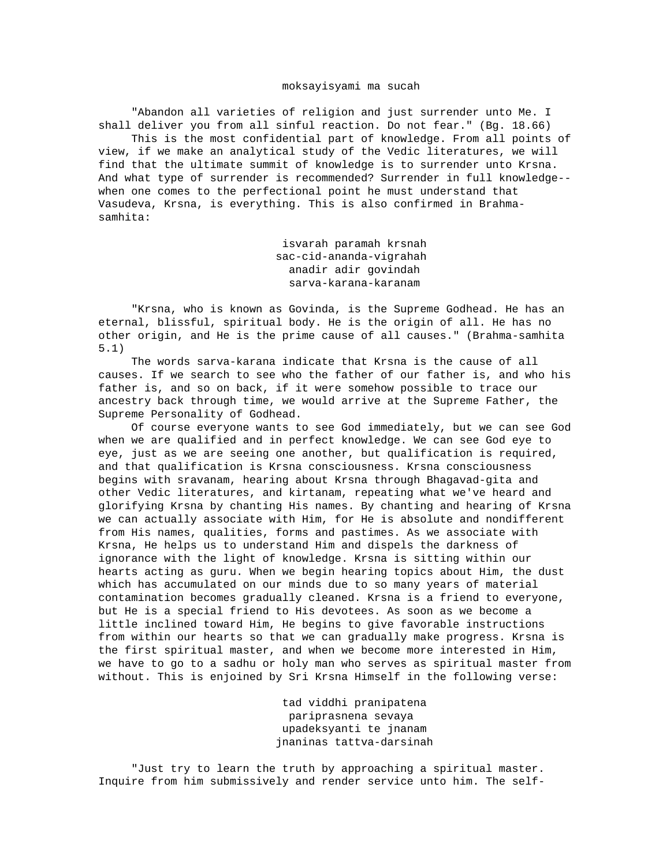## moksayisyami ma sucah

 "Abandon all varieties of religion and just surrender unto Me. I shall deliver you from all sinful reaction. Do not fear." (Bg. 18.66) This is the most confidential part of knowledge. From all points of view, if we make an analytical study of the Vedic literatures, we will find that the ultimate summit of knowledge is to surrender unto Krsna. And what type of surrender is recommended? Surrender in full knowledge- when one comes to the perfectional point he must understand that Vasudeva, Krsna, is everything. This is also confirmed in Brahmasamhita:

> isvarah paramah krsnah sac-cid-ananda-vigrahah anadir adir govindah sarva-karana-karanam

 "Krsna, who is known as Govinda, is the Supreme Godhead. He has an eternal, blissful, spiritual body. He is the origin of all. He has no other origin, and He is the prime cause of all causes." (Brahma-samhita 5.1)

 The words sarva-karana indicate that Krsna is the cause of all causes. If we search to see who the father of our father is, and who his father is, and so on back, if it were somehow possible to trace our ancestry back through time, we would arrive at the Supreme Father, the Supreme Personality of Godhead.

 Of course everyone wants to see God immediately, but we can see God when we are qualified and in perfect knowledge. We can see God eye to eye, just as we are seeing one another, but qualification is required, and that qualification is Krsna consciousness. Krsna consciousness begins with sravanam, hearing about Krsna through Bhagavad-gita and other Vedic literatures, and kirtanam, repeating what we've heard and glorifying Krsna by chanting His names. By chanting and hearing of Krsna we can actually associate with Him, for He is absolute and nondifferent from His names, qualities, forms and pastimes. As we associate with Krsna, He helps us to understand Him and dispels the darkness of ignorance with the light of knowledge. Krsna is sitting within our hearts acting as guru. When we begin hearing topics about Him, the dust which has accumulated on our minds due to so many years of material contamination becomes gradually cleaned. Krsna is a friend to everyone, but He is a special friend to His devotees. As soon as we become a little inclined toward Him, He begins to give favorable instructions from within our hearts so that we can gradually make progress. Krsna is the first spiritual master, and when we become more interested in Him, we have to go to a sadhu or holy man who serves as spiritual master from without. This is enjoined by Sri Krsna Himself in the following verse:

> tad viddhi pranipatena pariprasnena sevaya upadeksyanti te jnanam jnaninas tattva-darsinah

 "Just try to learn the truth by approaching a spiritual master. Inquire from him submissively and render service unto him. The self-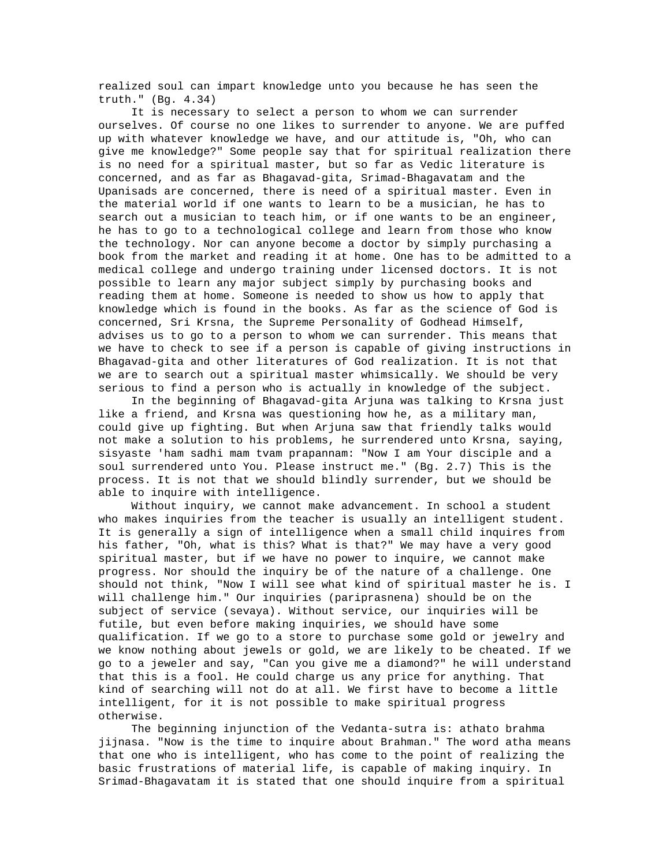realized soul can impart knowledge unto you because he has seen the truth." (Bg. 4.34)

 It is necessary to select a person to whom we can surrender ourselves. Of course no one likes to surrender to anyone. We are puffed up with whatever knowledge we have, and our attitude is, "Oh, who can give me knowledge?" Some people say that for spiritual realization there is no need for a spiritual master, but so far as Vedic literature is concerned, and as far as Bhagavad-gita, Srimad-Bhagavatam and the Upanisads are concerned, there is need of a spiritual master. Even in the material world if one wants to learn to be a musician, he has to search out a musician to teach him, or if one wants to be an engineer, he has to go to a technological college and learn from those who know the technology. Nor can anyone become a doctor by simply purchasing a book from the market and reading it at home. One has to be admitted to a medical college and undergo training under licensed doctors. It is not possible to learn any major subject simply by purchasing books and reading them at home. Someone is needed to show us how to apply that knowledge which is found in the books. As far as the science of God is concerned, Sri Krsna, the Supreme Personality of Godhead Himself, advises us to go to a person to whom we can surrender. This means that we have to check to see if a person is capable of giving instructions in Bhagavad-gita and other literatures of God realization. It is not that we are to search out a spiritual master whimsically. We should be very serious to find a person who is actually in knowledge of the subject.

 In the beginning of Bhagavad-gita Arjuna was talking to Krsna just like a friend, and Krsna was questioning how he, as a military man, could give up fighting. But when Arjuna saw that friendly talks would not make a solution to his problems, he surrendered unto Krsna, saying, sisyaste 'ham sadhi mam tvam prapannam: "Now I am Your disciple and a soul surrendered unto You. Please instruct me." (Bg. 2.7) This is the process. It is not that we should blindly surrender, but we should be able to inquire with intelligence.

 Without inquiry, we cannot make advancement. In school a student who makes inquiries from the teacher is usually an intelligent student. It is generally a sign of intelligence when a small child inquires from his father, "Oh, what is this? What is that?" We may have a very good spiritual master, but if we have no power to inquire, we cannot make progress. Nor should the inquiry be of the nature of a challenge. One should not think, "Now I will see what kind of spiritual master he is. I will challenge him." Our inquiries (pariprasnena) should be on the subject of service (sevaya). Without service, our inquiries will be futile, but even before making inquiries, we should have some qualification. If we go to a store to purchase some gold or jewelry and we know nothing about jewels or gold, we are likely to be cheated. If we go to a jeweler and say, "Can you give me a diamond?" he will understand that this is a fool. He could charge us any price for anything. That kind of searching will not do at all. We first have to become a little intelligent, for it is not possible to make spiritual progress otherwise.

 The beginning injunction of the Vedanta-sutra is: athato brahma jijnasa. "Now is the time to inquire about Brahman." The word atha means that one who is intelligent, who has come to the point of realizing the basic frustrations of material life, is capable of making inquiry. In Srimad-Bhagavatam it is stated that one should inquire from a spiritual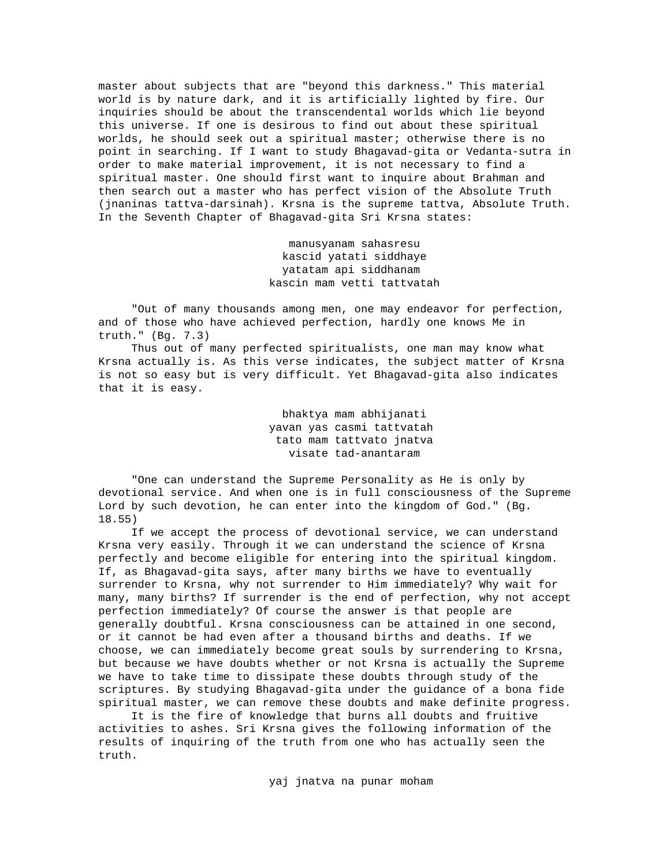master about subjects that are "beyond this darkness." This material world is by nature dark, and it is artificially lighted by fire. Our inquiries should be about the transcendental worlds which lie beyond this universe. If one is desirous to find out about these spiritual worlds, he should seek out a spiritual master; otherwise there is no point in searching. If I want to study Bhagavad-gita or Vedanta-sutra in order to make material improvement, it is not necessary to find a spiritual master. One should first want to inquire about Brahman and then search out a master who has perfect vision of the Absolute Truth (jnaninas tattva-darsinah). Krsna is the supreme tattva, Absolute Truth. In the Seventh Chapter of Bhagavad-gita Sri Krsna states:

> manusyanam sahasresu kascid yatati siddhaye yatatam api siddhanam kascin mam vetti tattvatah

 "Out of many thousands among men, one may endeavor for perfection, and of those who have achieved perfection, hardly one knows Me in truth." (Bg. 7.3)

 Thus out of many perfected spiritualists, one man may know what Krsna actually is. As this verse indicates, the subject matter of Krsna is not so easy but is very difficult. Yet Bhagavad-gita also indicates that it is easy.

> bhaktya mam abhijanati yavan yas casmi tattvatah tato mam tattvato jnatva visate tad-anantaram

 "One can understand the Supreme Personality as He is only by devotional service. And when one is in full consciousness of the Supreme Lord by such devotion, he can enter into the kingdom of God." (Bg. 18.55)

 If we accept the process of devotional service, we can understand Krsna very easily. Through it we can understand the science of Krsna perfectly and become eligible for entering into the spiritual kingdom. If, as Bhagavad-gita says, after many births we have to eventually surrender to Krsna, why not surrender to Him immediately? Why wait for many, many births? If surrender is the end of perfection, why not accept perfection immediately? Of course the answer is that people are generally doubtful. Krsna consciousness can be attained in one second, or it cannot be had even after a thousand births and deaths. If we choose, we can immediately become great souls by surrendering to Krsna, but because we have doubts whether or not Krsna is actually the Supreme we have to take time to dissipate these doubts through study of the scriptures. By studying Bhagavad-gita under the guidance of a bona fide spiritual master, we can remove these doubts and make definite progress.

 It is the fire of knowledge that burns all doubts and fruitive activities to ashes. Sri Krsna gives the following information of the results of inquiring of the truth from one who has actually seen the truth.

yaj jnatva na punar moham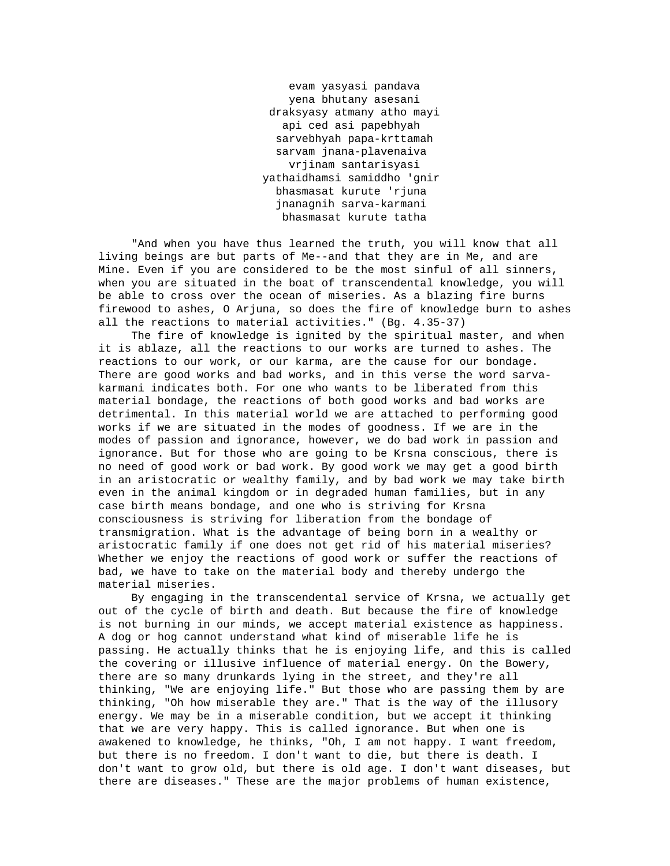evam yasyasi pandava yena bhutany asesani draksyasy atmany atho mayi api ced asi papebhyah sarvebhyah papa-krttamah sarvam jnana-plavenaiva vrjinam santarisyasi yathaidhamsi samiddho 'gnir bhasmasat kurute 'rjuna jnanagnih sarva-karmani bhasmasat kurute tatha

 "And when you have thus learned the truth, you will know that all living beings are but parts of Me--and that they are in Me, and are Mine. Even if you are considered to be the most sinful of all sinners, when you are situated in the boat of transcendental knowledge, you will be able to cross over the ocean of miseries. As a blazing fire burns firewood to ashes, O Arjuna, so does the fire of knowledge burn to ashes all the reactions to material activities." (Bg. 4.35-37)

 The fire of knowledge is ignited by the spiritual master, and when it is ablaze, all the reactions to our works are turned to ashes. The reactions to our work, or our karma, are the cause for our bondage. There are good works and bad works, and in this verse the word sarvakarmani indicates both. For one who wants to be liberated from this material bondage, the reactions of both good works and bad works are detrimental. In this material world we are attached to performing good works if we are situated in the modes of goodness. If we are in the modes of passion and ignorance, however, we do bad work in passion and ignorance. But for those who are going to be Krsna conscious, there is no need of good work or bad work. By good work we may get a good birth in an aristocratic or wealthy family, and by bad work we may take birth even in the animal kingdom or in degraded human families, but in any case birth means bondage, and one who is striving for Krsna consciousness is striving for liberation from the bondage of transmigration. What is the advantage of being born in a wealthy or aristocratic family if one does not get rid of his material miseries? Whether we enjoy the reactions of good work or suffer the reactions of bad, we have to take on the material body and thereby undergo the material miseries.

 By engaging in the transcendental service of Krsna, we actually get out of the cycle of birth and death. But because the fire of knowledge is not burning in our minds, we accept material existence as happiness. A dog or hog cannot understand what kind of miserable life he is passing. He actually thinks that he is enjoying life, and this is called the covering or illusive influence of material energy. On the Bowery, there are so many drunkards lying in the street, and they're all thinking, "We are enjoying life." But those who are passing them by are thinking, "Oh how miserable they are." That is the way of the illusory energy. We may be in a miserable condition, but we accept it thinking that we are very happy. This is called ignorance. But when one is awakened to knowledge, he thinks, "Oh, I am not happy. I want freedom, but there is no freedom. I don't want to die, but there is death. I don't want to grow old, but there is old age. I don't want diseases, but there are diseases." These are the major problems of human existence,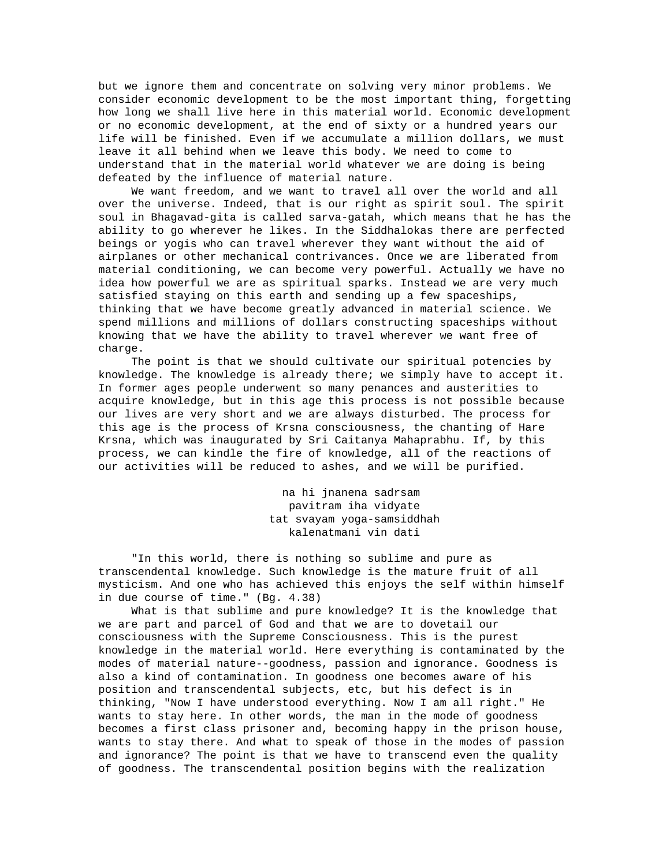but we ignore them and concentrate on solving very minor problems. We consider economic development to be the most important thing, forgetting how long we shall live here in this material world. Economic development or no economic development, at the end of sixty or a hundred years our life will be finished. Even if we accumulate a million dollars, we must leave it all behind when we leave this body. We need to come to understand that in the material world whatever we are doing is being defeated by the influence of material nature.

 We want freedom, and we want to travel all over the world and all over the universe. Indeed, that is our right as spirit soul. The spirit soul in Bhagavad-gita is called sarva-gatah, which means that he has the ability to go wherever he likes. In the Siddhalokas there are perfected beings or yogis who can travel wherever they want without the aid of airplanes or other mechanical contrivances. Once we are liberated from material conditioning, we can become very powerful. Actually we have no idea how powerful we are as spiritual sparks. Instead we are very much satisfied staying on this earth and sending up a few spaceships, thinking that we have become greatly advanced in material science. We spend millions and millions of dollars constructing spaceships without knowing that we have the ability to travel wherever we want free of charge.

 The point is that we should cultivate our spiritual potencies by knowledge. The knowledge is already there; we simply have to accept it. In former ages people underwent so many penances and austerities to acquire knowledge, but in this age this process is not possible because our lives are very short and we are always disturbed. The process for this age is the process of Krsna consciousness, the chanting of Hare Krsna, which was inaugurated by Sri Caitanya Mahaprabhu. If, by this process, we can kindle the fire of knowledge, all of the reactions of our activities will be reduced to ashes, and we will be purified.

> na hi jnanena sadrsam pavitram iha vidyate tat svayam yoga-samsiddhah kalenatmani vin dati

 "In this world, there is nothing so sublime and pure as transcendental knowledge. Such knowledge is the mature fruit of all mysticism. And one who has achieved this enjoys the self within himself in due course of time." (Bg. 4.38)

 What is that sublime and pure knowledge? It is the knowledge that we are part and parcel of God and that we are to dovetail our consciousness with the Supreme Consciousness. This is the purest knowledge in the material world. Here everything is contaminated by the modes of material nature--goodness, passion and ignorance. Goodness is also a kind of contamination. In goodness one becomes aware of his position and transcendental subjects, etc, but his defect is in thinking, "Now I have understood everything. Now I am all right." He wants to stay here. In other words, the man in the mode of goodness becomes a first class prisoner and, becoming happy in the prison house, wants to stay there. And what to speak of those in the modes of passion and ignorance? The point is that we have to transcend even the quality of goodness. The transcendental position begins with the realization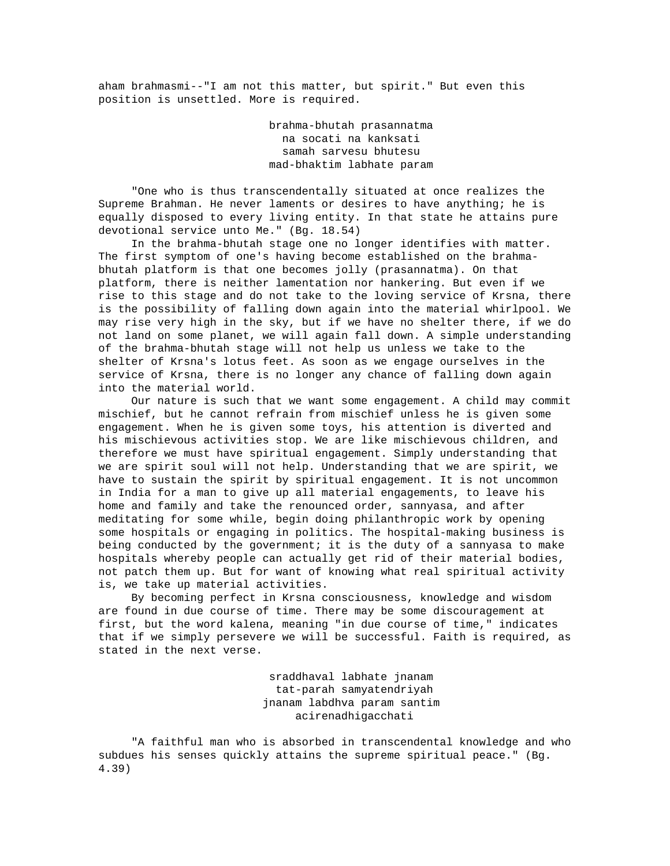aham brahmasmi--"I am not this matter, but spirit." But even this position is unsettled. More is required.

> brahma-bhutah prasannatma na socati na kanksati samah sarvesu bhutesu mad-bhaktim labhate param

 "One who is thus transcendentally situated at once realizes the Supreme Brahman. He never laments or desires to have anything; he is equally disposed to every living entity. In that state he attains pure devotional service unto Me." (Bg. 18.54)

 In the brahma-bhutah stage one no longer identifies with matter. The first symptom of one's having become established on the brahmabhutah platform is that one becomes jolly (prasannatma). On that platform, there is neither lamentation nor hankering. But even if we rise to this stage and do not take to the loving service of Krsna, there is the possibility of falling down again into the material whirlpool. We may rise very high in the sky, but if we have no shelter there, if we do not land on some planet, we will again fall down. A simple understanding of the brahma-bhutah stage will not help us unless we take to the shelter of Krsna's lotus feet. As soon as we engage ourselves in the service of Krsna, there is no longer any chance of falling down again into the material world.

 Our nature is such that we want some engagement. A child may commit mischief, but he cannot refrain from mischief unless he is given some engagement. When he is given some toys, his attention is diverted and his mischievous activities stop. We are like mischievous children, and therefore we must have spiritual engagement. Simply understanding that we are spirit soul will not help. Understanding that we are spirit, we have to sustain the spirit by spiritual engagement. It is not uncommon in India for a man to give up all material engagements, to leave his home and family and take the renounced order, sannyasa, and after meditating for some while, begin doing philanthropic work by opening some hospitals or engaging in politics. The hospital-making business is being conducted by the government; it is the duty of a sannyasa to make hospitals whereby people can actually get rid of their material bodies, not patch them up. But for want of knowing what real spiritual activity is, we take up material activities.

 By becoming perfect in Krsna consciousness, knowledge and wisdom are found in due course of time. There may be some discouragement at first, but the word kalena, meaning "in due course of time," indicates that if we simply persevere we will be successful. Faith is required, as stated in the next verse.

> sraddhaval labhate jnanam tat-parah samyatendriyah jnanam labdhva param santim acirenadhigacchati

 "A faithful man who is absorbed in transcendental knowledge and who subdues his senses quickly attains the supreme spiritual peace." (Bg. 4.39)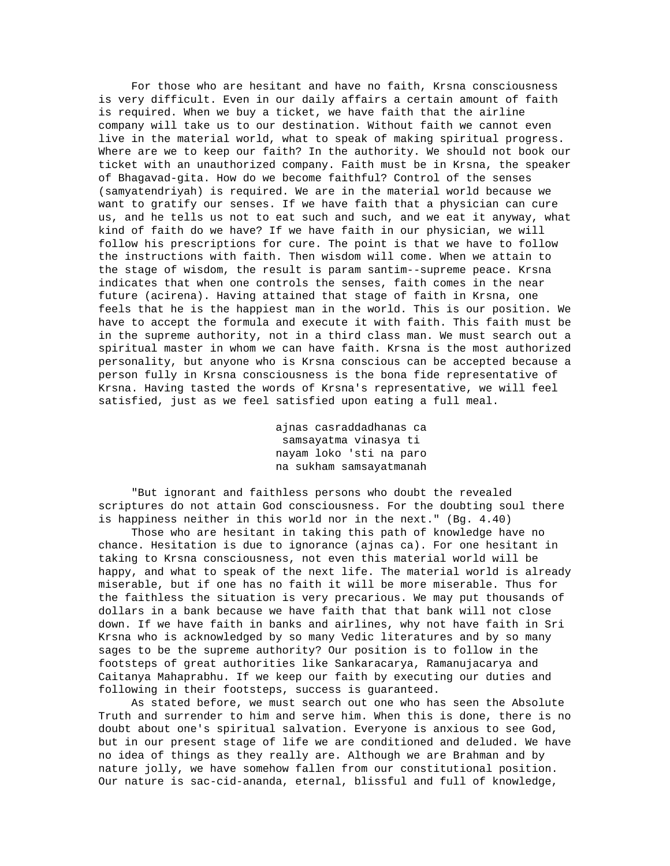For those who are hesitant and have no faith, Krsna consciousness is very difficult. Even in our daily affairs a certain amount of faith is required. When we buy a ticket, we have faith that the airline company will take us to our destination. Without faith we cannot even live in the material world, what to speak of making spiritual progress. Where are we to keep our faith? In the authority. We should not book our ticket with an unauthorized company. Faith must be in Krsna, the speaker of Bhagavad-gita. How do we become faithful? Control of the senses (samyatendriyah) is required. We are in the material world because we want to gratify our senses. If we have faith that a physician can cure us, and he tells us not to eat such and such, and we eat it anyway, what kind of faith do we have? If we have faith in our physician, we will follow his prescriptions for cure. The point is that we have to follow the instructions with faith. Then wisdom will come. When we attain to the stage of wisdom, the result is param santim--supreme peace. Krsna indicates that when one controls the senses, faith comes in the near future (acirena). Having attained that stage of faith in Krsna, one feels that he is the happiest man in the world. This is our position. We have to accept the formula and execute it with faith. This faith must be in the supreme authority, not in a third class man. We must search out a spiritual master in whom we can have faith. Krsna is the most authorized personality, but anyone who is Krsna conscious can be accepted because a person fully in Krsna consciousness is the bona fide representative of Krsna. Having tasted the words of Krsna's representative, we will feel satisfied, just as we feel satisfied upon eating a full meal.

> ajnas casraddadhanas ca samsayatma vinasya ti nayam loko 'sti na paro na sukham samsayatmanah

 "But ignorant and faithless persons who doubt the revealed scriptures do not attain God consciousness. For the doubting soul there is happiness neither in this world nor in the next." (Bg. 4.40)

 Those who are hesitant in taking this path of knowledge have no chance. Hesitation is due to ignorance (ajnas ca). For one hesitant in taking to Krsna consciousness, not even this material world will be happy, and what to speak of the next life. The material world is already miserable, but if one has no faith it will be more miserable. Thus for the faithless the situation is very precarious. We may put thousands of dollars in a bank because we have faith that that bank will not close down. If we have faith in banks and airlines, why not have faith in Sri Krsna who is acknowledged by so many Vedic literatures and by so many sages to be the supreme authority? Our position is to follow in the footsteps of great authorities like Sankaracarya, Ramanujacarya and Caitanya Mahaprabhu. If we keep our faith by executing our duties and following in their footsteps, success is guaranteed.

 As stated before, we must search out one who has seen the Absolute Truth and surrender to him and serve him. When this is done, there is no doubt about one's spiritual salvation. Everyone is anxious to see God, but in our present stage of life we are conditioned and deluded. We have no idea of things as they really are. Although we are Brahman and by nature jolly, we have somehow fallen from our constitutional position. Our nature is sac-cid-ananda, eternal, blissful and full of knowledge,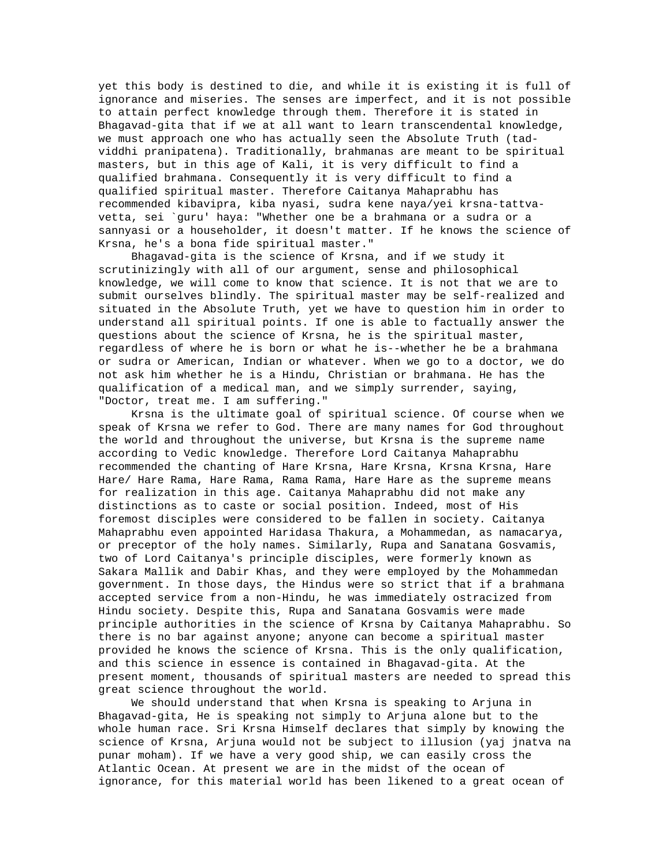yet this body is destined to die, and while it is existing it is full of ignorance and miseries. The senses are imperfect, and it is not possible to attain perfect knowledge through them. Therefore it is stated in Bhagavad-gita that if we at all want to learn transcendental knowledge, we must approach one who has actually seen the Absolute Truth (tadviddhi pranipatena). Traditionally, brahmanas are meant to be spiritual masters, but in this age of Kali, it is very difficult to find a qualified brahmana. Consequently it is very difficult to find a qualified spiritual master. Therefore Caitanya Mahaprabhu has recommended kibavipra, kiba nyasi, sudra kene naya/yei krsna-tattvavetta, sei `guru' haya: "Whether one be a brahmana or a sudra or a sannyasi or a householder, it doesn't matter. If he knows the science of Krsna, he's a bona fide spiritual master."

 Bhagavad-gita is the science of Krsna, and if we study it scrutinizingly with all of our argument, sense and philosophical knowledge, we will come to know that science. It is not that we are to submit ourselves blindly. The spiritual master may be self-realized and situated in the Absolute Truth, yet we have to question him in order to understand all spiritual points. If one is able to factually answer the questions about the science of Krsna, he is the spiritual master, regardless of where he is born or what he is--whether he be a brahmana or sudra or American, Indian or whatever. When we go to a doctor, we do not ask him whether he is a Hindu, Christian or brahmana. He has the qualification of a medical man, and we simply surrender, saying, "Doctor, treat me. I am suffering."

 Krsna is the ultimate goal of spiritual science. Of course when we speak of Krsna we refer to God. There are many names for God throughout the world and throughout the universe, but Krsna is the supreme name according to Vedic knowledge. Therefore Lord Caitanya Mahaprabhu recommended the chanting of Hare Krsna, Hare Krsna, Krsna Krsna, Hare Hare/ Hare Rama, Hare Rama, Rama Rama, Hare Hare as the supreme means for realization in this age. Caitanya Mahaprabhu did not make any distinctions as to caste or social position. Indeed, most of His foremost disciples were considered to be fallen in society. Caitanya Mahaprabhu even appointed Haridasa Thakura, a Mohammedan, as namacarya, or preceptor of the holy names. Similarly, Rupa and Sanatana Gosvamis, two of Lord Caitanya's principle disciples, were formerly known as Sakara Mallik and Dabir Khas, and they were employed by the Mohammedan government. In those days, the Hindus were so strict that if a brahmana accepted service from a non-Hindu, he was immediately ostracized from Hindu society. Despite this, Rupa and Sanatana Gosvamis were made principle authorities in the science of Krsna by Caitanya Mahaprabhu. So there is no bar against anyone; anyone can become a spiritual master provided he knows the science of Krsna. This is the only qualification, and this science in essence is contained in Bhagavad-gita. At the present moment, thousands of spiritual masters are needed to spread this great science throughout the world.

 We should understand that when Krsna is speaking to Arjuna in Bhagavad-gita, He is speaking not simply to Arjuna alone but to the whole human race. Sri Krsna Himself declares that simply by knowing the science of Krsna, Arjuna would not be subject to illusion (yaj jnatva na punar moham). If we have a very good ship, we can easily cross the Atlantic Ocean. At present we are in the midst of the ocean of ignorance, for this material world has been likened to a great ocean of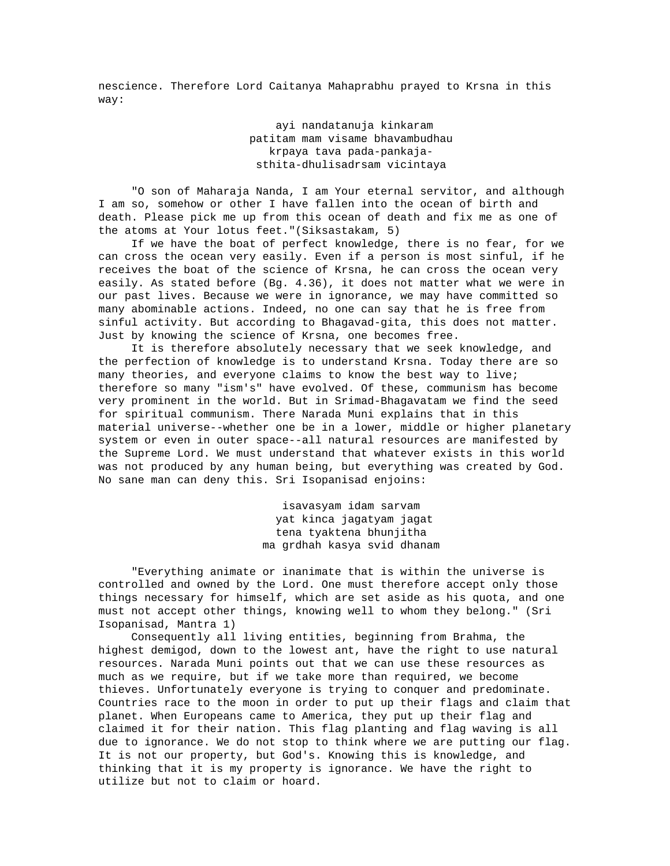nescience. Therefore Lord Caitanya Mahaprabhu prayed to Krsna in this way:

> ayi nandatanuja kinkaram patitam mam visame bhavambudhau krpaya tava pada-pankaja sthita-dhulisadrsam vicintaya

 "O son of Maharaja Nanda, I am Your eternal servitor, and although I am so, somehow or other I have fallen into the ocean of birth and death. Please pick me up from this ocean of death and fix me as one of the atoms at Your lotus feet."(Siksastakam, 5)

 If we have the boat of perfect knowledge, there is no fear, for we can cross the ocean very easily. Even if a person is most sinful, if he receives the boat of the science of Krsna, he can cross the ocean very easily. As stated before (Bg. 4.36), it does not matter what we were in our past lives. Because we were in ignorance, we may have committed so many abominable actions. Indeed, no one can say that he is free from sinful activity. But according to Bhagavad-gita, this does not matter. Just by knowing the science of Krsna, one becomes free.

 It is therefore absolutely necessary that we seek knowledge, and the perfection of knowledge is to understand Krsna. Today there are so many theories, and everyone claims to know the best way to live; therefore so many "ism's" have evolved. Of these, communism has become very prominent in the world. But in Srimad-Bhagavatam we find the seed for spiritual communism. There Narada Muni explains that in this material universe--whether one be in a lower, middle or higher planetary system or even in outer space--all natural resources are manifested by the Supreme Lord. We must understand that whatever exists in this world was not produced by any human being, but everything was created by God. No sane man can deny this. Sri Isopanisad enjoins:

> isavasyam idam sarvam yat kinca jagatyam jagat tena tyaktena bhunjitha ma grdhah kasya svid dhanam

 "Everything animate or inanimate that is within the universe is controlled and owned by the Lord. One must therefore accept only those things necessary for himself, which are set aside as his quota, and one must not accept other things, knowing well to whom they belong." (Sri Isopanisad, Mantra 1)

 Consequently all living entities, beginning from Brahma, the highest demigod, down to the lowest ant, have the right to use natural resources. Narada Muni points out that we can use these resources as much as we require, but if we take more than required, we become thieves. Unfortunately everyone is trying to conquer and predominate. Countries race to the moon in order to put up their flags and claim that planet. When Europeans came to America, they put up their flag and claimed it for their nation. This flag planting and flag waving is all due to ignorance. We do not stop to think where we are putting our flag. It is not our property, but God's. Knowing this is knowledge, and thinking that it is my property is ignorance. We have the right to utilize but not to claim or hoard.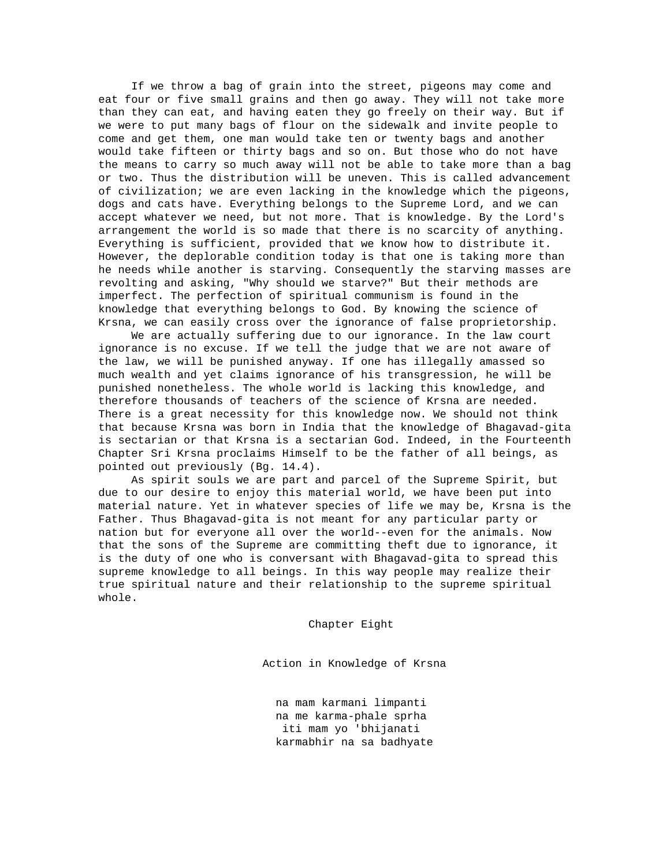If we throw a bag of grain into the street, pigeons may come and eat four or five small grains and then go away. They will not take more than they can eat, and having eaten they go freely on their way. But if we were to put many bags of flour on the sidewalk and invite people to come and get them, one man would take ten or twenty bags and another would take fifteen or thirty bags and so on. But those who do not have the means to carry so much away will not be able to take more than a bag or two. Thus the distribution will be uneven. This is called advancement of civilization; we are even lacking in the knowledge which the pigeons, dogs and cats have. Everything belongs to the Supreme Lord, and we can accept whatever we need, but not more. That is knowledge. By the Lord's arrangement the world is so made that there is no scarcity of anything. Everything is sufficient, provided that we know how to distribute it. However, the deplorable condition today is that one is taking more than he needs while another is starving. Consequently the starving masses are revolting and asking, "Why should we starve?" But their methods are imperfect. The perfection of spiritual communism is found in the knowledge that everything belongs to God. By knowing the science of Krsna, we can easily cross over the ignorance of false proprietorship.

 We are actually suffering due to our ignorance. In the law court ignorance is no excuse. If we tell the judge that we are not aware of the law, we will be punished anyway. If one has illegally amassed so much wealth and yet claims ignorance of his transgression, he will be punished nonetheless. The whole world is lacking this knowledge, and therefore thousands of teachers of the science of Krsna are needed. There is a great necessity for this knowledge now. We should not think that because Krsna was born in India that the knowledge of Bhagavad-gita is sectarian or that Krsna is a sectarian God. Indeed, in the Fourteenth Chapter Sri Krsna proclaims Himself to be the father of all beings, as pointed out previously (Bg. 14.4).

 As spirit souls we are part and parcel of the Supreme Spirit, but due to our desire to enjoy this material world, we have been put into material nature. Yet in whatever species of life we may be, Krsna is the Father. Thus Bhagavad-gita is not meant for any particular party or nation but for everyone all over the world--even for the animals. Now that the sons of the Supreme are committing theft due to ignorance, it is the duty of one who is conversant with Bhagavad-gita to spread this supreme knowledge to all beings. In this way people may realize their true spiritual nature and their relationship to the supreme spiritual whole.

Chapter Eight

Action in Knowledge of Krsna

 na mam karmani limpanti na me karma-phale sprha iti mam yo 'bhijanati karmabhir na sa badhyate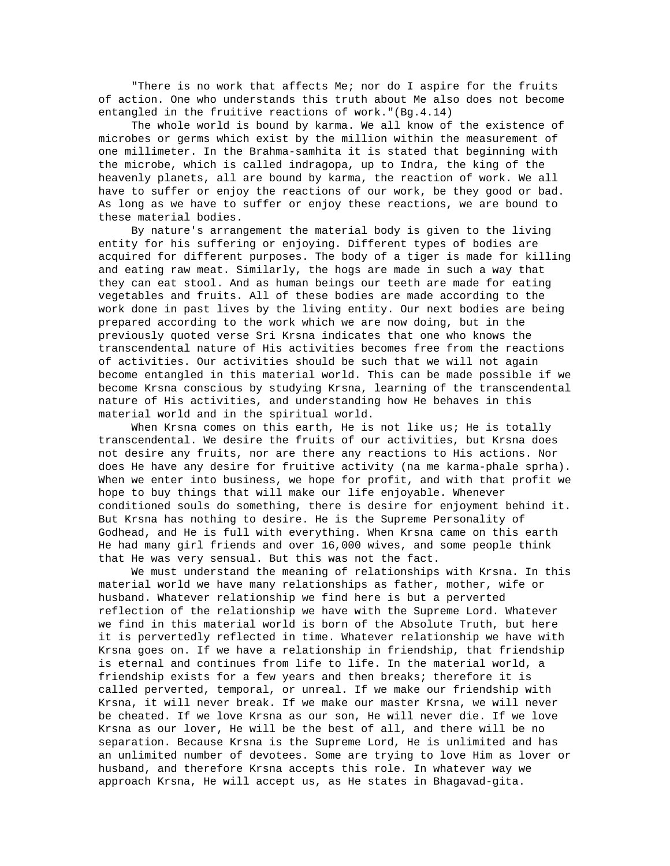"There is no work that affects Me; nor do I aspire for the fruits of action. One who understands this truth about Me also does not become entangled in the fruitive reactions of work."(Bg.4.14)

 The whole world is bound by karma. We all know of the existence of microbes or germs which exist by the million within the measurement of one millimeter. In the Brahma-samhita it is stated that beginning with the microbe, which is called indragopa, up to Indra, the king of the heavenly planets, all are bound by karma, the reaction of work. We all have to suffer or enjoy the reactions of our work, be they good or bad. As long as we have to suffer or enjoy these reactions, we are bound to these material bodies.

 By nature's arrangement the material body is given to the living entity for his suffering or enjoying. Different types of bodies are acquired for different purposes. The body of a tiger is made for killing and eating raw meat. Similarly, the hogs are made in such a way that they can eat stool. And as human beings our teeth are made for eating vegetables and fruits. All of these bodies are made according to the work done in past lives by the living entity. Our next bodies are being prepared according to the work which we are now doing, but in the previously quoted verse Sri Krsna indicates that one who knows the transcendental nature of His activities becomes free from the reactions of activities. Our activities should be such that we will not again become entangled in this material world. This can be made possible if we become Krsna conscious by studying Krsna, learning of the transcendental nature of His activities, and understanding how He behaves in this material world and in the spiritual world.

When Krsna comes on this earth, He is not like us; He is totally transcendental. We desire the fruits of our activities, but Krsna does not desire any fruits, nor are there any reactions to His actions. Nor does He have any desire for fruitive activity (na me karma-phale sprha). When we enter into business, we hope for profit, and with that profit we hope to buy things that will make our life enjoyable. Whenever conditioned souls do something, there is desire for enjoyment behind it. But Krsna has nothing to desire. He is the Supreme Personality of Godhead, and He is full with everything. When Krsna came on this earth He had many girl friends and over 16,000 wives, and some people think that He was very sensual. But this was not the fact.

 We must understand the meaning of relationships with Krsna. In this material world we have many relationships as father, mother, wife or husband. Whatever relationship we find here is but a perverted reflection of the relationship we have with the Supreme Lord. Whatever we find in this material world is born of the Absolute Truth, but here it is pervertedly reflected in time. Whatever relationship we have with Krsna goes on. If we have a relationship in friendship, that friendship is eternal and continues from life to life. In the material world, a friendship exists for a few years and then breaks; therefore it is called perverted, temporal, or unreal. If we make our friendship with Krsna, it will never break. If we make our master Krsna, we will never be cheated. If we love Krsna as our son, He will never die. If we love Krsna as our lover, He will be the best of all, and there will be no separation. Because Krsna is the Supreme Lord, He is unlimited and has an unlimited number of devotees. Some are trying to love Him as lover or husband, and therefore Krsna accepts this role. In whatever way we approach Krsna, He will accept us, as He states in Bhagavad-gita.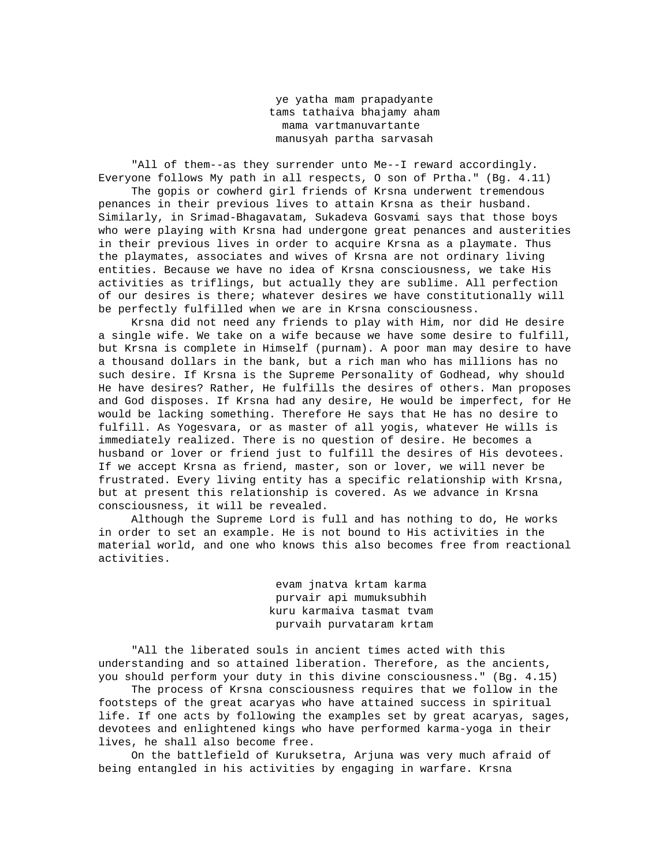ye yatha mam prapadyante tams tathaiva bhajamy aham mama vartmanuvartante manusyah partha sarvasah

"All of them--as they surrender unto Me--I reward accordingly. Everyone follows My path in all respects, O son of Prtha." (Bg. 4.11)

 The gopis or cowherd girl friends of Krsna underwent tremendous penances in their previous lives to attain Krsna as their husband. Similarly, in Srimad-Bhagavatam, Sukadeva Gosvami says that those boys who were playing with Krsna had undergone great penances and austerities in their previous lives in order to acquire Krsna as a playmate. Thus the playmates, associates and wives of Krsna are not ordinary living entities. Because we have no idea of Krsna consciousness, we take His activities as triflings, but actually they are sublime. All perfection of our desires is there; whatever desires we have constitutionally will be perfectly fulfilled when we are in Krsna consciousness.

 Krsna did not need any friends to play with Him, nor did He desire a single wife. We take on a wife because we have some desire to fulfill, but Krsna is complete in Himself (purnam). A poor man may desire to have a thousand dollars in the bank, but a rich man who has millions has no such desire. If Krsna is the Supreme Personality of Godhead, why should He have desires? Rather, He fulfills the desires of others. Man proposes and God disposes. If Krsna had any desire, He would be imperfect, for He would be lacking something. Therefore He says that He has no desire to fulfill. As Yogesvara, or as master of all yogis, whatever He wills is immediately realized. There is no question of desire. He becomes a husband or lover or friend just to fulfill the desires of His devotees. If we accept Krsna as friend, master, son or lover, we will never be frustrated. Every living entity has a specific relationship with Krsna, but at present this relationship is covered. As we advance in Krsna consciousness, it will be revealed.

 Although the Supreme Lord is full and has nothing to do, He works in order to set an example. He is not bound to His activities in the material world, and one who knows this also becomes free from reactional activities.

> evam jnatva krtam karma purvair api mumuksubhih kuru karmaiva tasmat tvam purvaih purvataram krtam

 "All the liberated souls in ancient times acted with this understanding and so attained liberation. Therefore, as the ancients, you should perform your duty in this divine consciousness." (Bg. 4.15)

 The process of Krsna consciousness requires that we follow in the footsteps of the great acaryas who have attained success in spiritual life. If one acts by following the examples set by great acaryas, sages, devotees and enlightened kings who have performed karma-yoga in their lives, he shall also become free.

 On the battlefield of Kuruksetra, Arjuna was very much afraid of being entangled in his activities by engaging in warfare. Krsna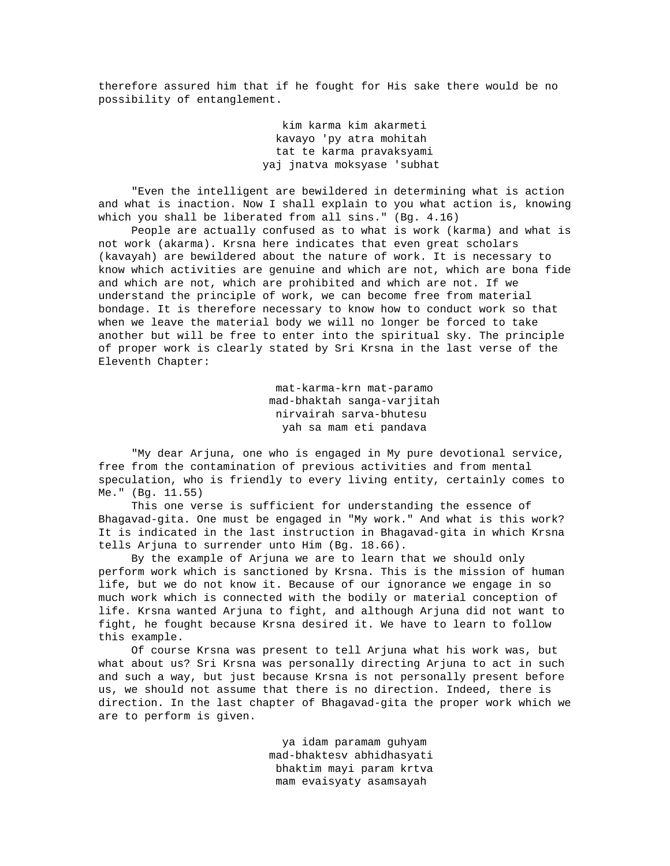therefore assured him that if he fought for His sake there would be no possibility of entanglement.

> kim karma kim akarmeti kavayo 'py atra mohitah tat te karma pravaksyami yaj jnatva moksyase 'subhat

 "Even the intelligent are bewildered in determining what is action and what is inaction. Now I shall explain to you what action is, knowing which you shall be liberated from all sins." (Bg. 4.16)

 People are actually confused as to what is work (karma) and what is not work (akarma). Krsna here indicates that even great scholars (kavayah) are bewildered about the nature of work. It is necessary to know which activities are genuine and which are not, which are bona fide and which are not, which are prohibited and which are not. If we understand the principle of work, we can become free from material bondage. It is therefore necessary to know how to conduct work so that when we leave the material body we will no longer be forced to take another but will be free to enter into the spiritual sky. The principle of proper work is clearly stated by Sri Krsna in the last verse of the Eleventh Chapter:

> mat-karma-krn mat-paramo mad-bhaktah sanga-varjitah nirvairah sarva-bhutesu yah sa mam eti pandava

 "My dear Arjuna, one who is engaged in My pure devotional service, free from the contamination of previous activities and from mental speculation, who is friendly to every living entity, certainly comes to Me." (Bg. 11.55)

 This one verse is sufficient for understanding the essence of Bhagavad-gita. One must be engaged in "My work." And what is this work? It is indicated in the last instruction in Bhagavad-gita in which Krsna tells Arjuna to surrender unto Him (Bg. 18.66).

 By the example of Arjuna we are to learn that we should only perform work which is sanctioned by Krsna. This is the mission of human life, but we do not know it. Because of our ignorance we engage in so much work which is connected with the bodily or material conception of life. Krsna wanted Arjuna to fight, and although Arjuna did not want to fight, he fought because Krsna desired it. We have to learn to follow this example.

 Of course Krsna was present to tell Arjuna what his work was, but what about us? Sri Krsna was personally directing Arjuna to act in such and such a way, but just because Krsna is not personally present before us, we should not assume that there is no direction. Indeed, there is direction. In the last chapter of Bhagavad-gita the proper work which we are to perform is given.

> ya idam paramam guhyam mad-bhaktesv abhidhasyati bhaktim mayi param krtva mam evaisyaty asamsayah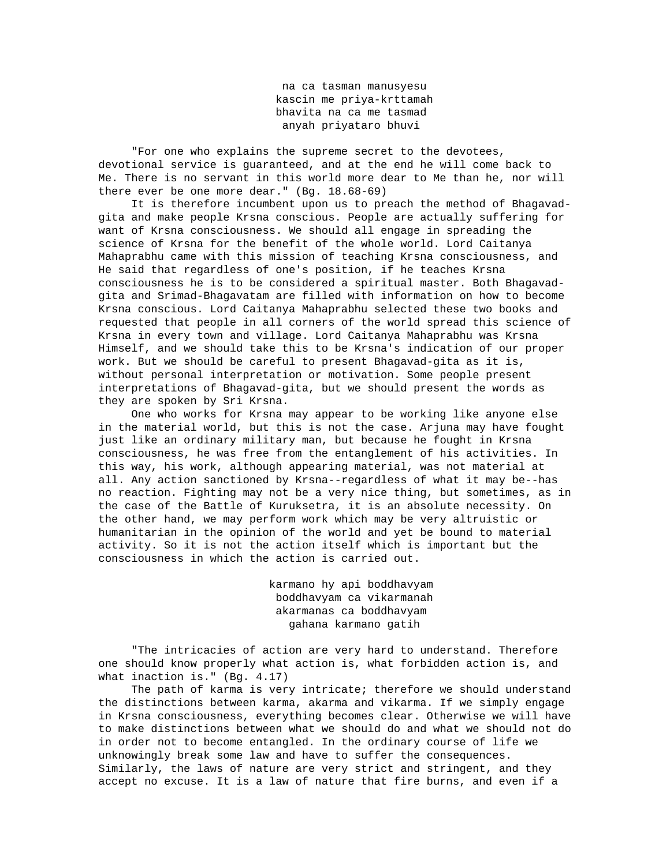na ca tasman manusyesu kascin me priya-krttamah bhavita na ca me tasmad anyah priyataro bhuvi

 "For one who explains the supreme secret to the devotees, devotional service is guaranteed, and at the end he will come back to Me. There is no servant in this world more dear to Me than he, nor will there ever be one more dear." (Bg. 18.68-69)

 It is therefore incumbent upon us to preach the method of Bhagavadgita and make people Krsna conscious. People are actually suffering for want of Krsna consciousness. We should all engage in spreading the science of Krsna for the benefit of the whole world. Lord Caitanya Mahaprabhu came with this mission of teaching Krsna consciousness, and He said that regardless of one's position, if he teaches Krsna consciousness he is to be considered a spiritual master. Both Bhagavadgita and Srimad-Bhagavatam are filled with information on how to become Krsna conscious. Lord Caitanya Mahaprabhu selected these two books and requested that people in all corners of the world spread this science of Krsna in every town and village. Lord Caitanya Mahaprabhu was Krsna Himself, and we should take this to be Krsna's indication of our proper work. But we should be careful to present Bhagavad-gita as it is, without personal interpretation or motivation. Some people present interpretations of Bhagavad-gita, but we should present the words as they are spoken by Sri Krsna.

 One who works for Krsna may appear to be working like anyone else in the material world, but this is not the case. Arjuna may have fought just like an ordinary military man, but because he fought in Krsna consciousness, he was free from the entanglement of his activities. In this way, his work, although appearing material, was not material at all. Any action sanctioned by Krsna--regardless of what it may be--has no reaction. Fighting may not be a very nice thing, but sometimes, as in the case of the Battle of Kuruksetra, it is an absolute necessity. On the other hand, we may perform work which may be very altruistic or humanitarian in the opinion of the world and yet be bound to material activity. So it is not the action itself which is important but the consciousness in which the action is carried out.

> karmano hy api boddhavyam boddhavyam ca vikarmanah akarmanas ca boddhavyam gahana karmano gatih

 "The intricacies of action are very hard to understand. Therefore one should know properly what action is, what forbidden action is, and what inaction is." (Bg. 4.17)

 The path of karma is very intricate; therefore we should understand the distinctions between karma, akarma and vikarma. If we simply engage in Krsna consciousness, everything becomes clear. Otherwise we will have to make distinctions between what we should do and what we should not do in order not to become entangled. In the ordinary course of life we unknowingly break some law and have to suffer the consequences. Similarly, the laws of nature are very strict and stringent, and they accept no excuse. It is a law of nature that fire burns, and even if a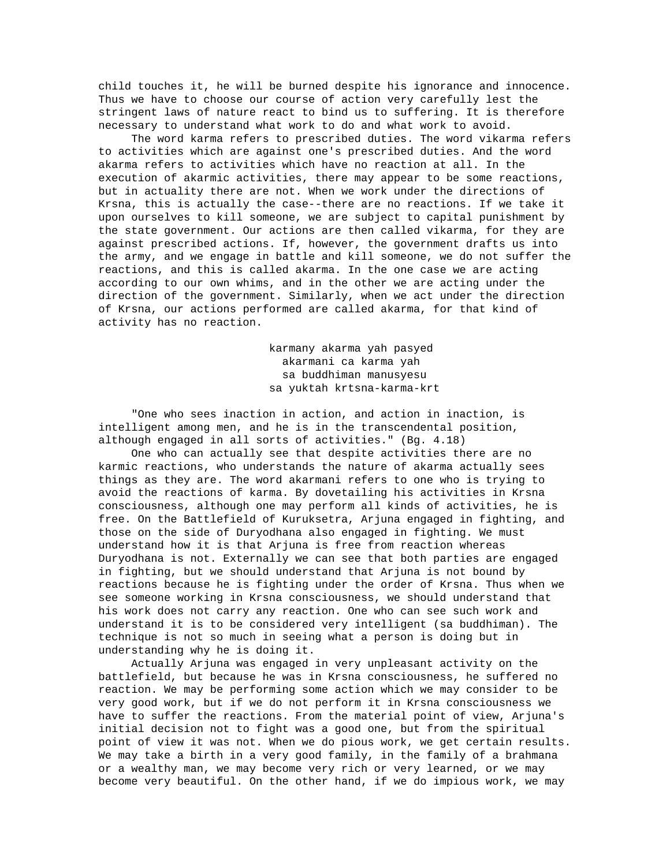child touches it, he will be burned despite his ignorance and innocence. Thus we have to choose our course of action very carefully lest the stringent laws of nature react to bind us to suffering. It is therefore necessary to understand what work to do and what work to avoid.

 The word karma refers to prescribed duties. The word vikarma refers to activities which are against one's prescribed duties. And the word akarma refers to activities which have no reaction at all. In the execution of akarmic activities, there may appear to be some reactions, but in actuality there are not. When we work under the directions of Krsna, this is actually the case--there are no reactions. If we take it upon ourselves to kill someone, we are subject to capital punishment by the state government. Our actions are then called vikarma, for they are against prescribed actions. If, however, the government drafts us into the army, and we engage in battle and kill someone, we do not suffer the reactions, and this is called akarma. In the one case we are acting according to our own whims, and in the other we are acting under the direction of the government. Similarly, when we act under the direction of Krsna, our actions performed are called akarma, for that kind of activity has no reaction.

> karmany akarma yah pasyed akarmani ca karma yah sa buddhiman manusyesu sa yuktah krtsna-karma-krt

 "One who sees inaction in action, and action in inaction, is intelligent among men, and he is in the transcendental position, although engaged in all sorts of activities." (Bg. 4.18)

 One who can actually see that despite activities there are no karmic reactions, who understands the nature of akarma actually sees things as they are. The word akarmani refers to one who is trying to avoid the reactions of karma. By dovetailing his activities in Krsna consciousness, although one may perform all kinds of activities, he is free. On the Battlefield of Kuruksetra, Arjuna engaged in fighting, and those on the side of Duryodhana also engaged in fighting. We must understand how it is that Arjuna is free from reaction whereas Duryodhana is not. Externally we can see that both parties are engaged in fighting, but we should understand that Arjuna is not bound by reactions because he is fighting under the order of Krsna. Thus when we see someone working in Krsna consciousness, we should understand that his work does not carry any reaction. One who can see such work and understand it is to be considered very intelligent (sa buddhiman). The technique is not so much in seeing what a person is doing but in understanding why he is doing it.

 Actually Arjuna was engaged in very unpleasant activity on the battlefield, but because he was in Krsna consciousness, he suffered no reaction. We may be performing some action which we may consider to be very good work, but if we do not perform it in Krsna consciousness we have to suffer the reactions. From the material point of view, Arjuna's initial decision not to fight was a good one, but from the spiritual point of view it was not. When we do pious work, we get certain results. We may take a birth in a very good family, in the family of a brahmana or a wealthy man, we may become very rich or very learned, or we may become very beautiful. On the other hand, if we do impious work, we may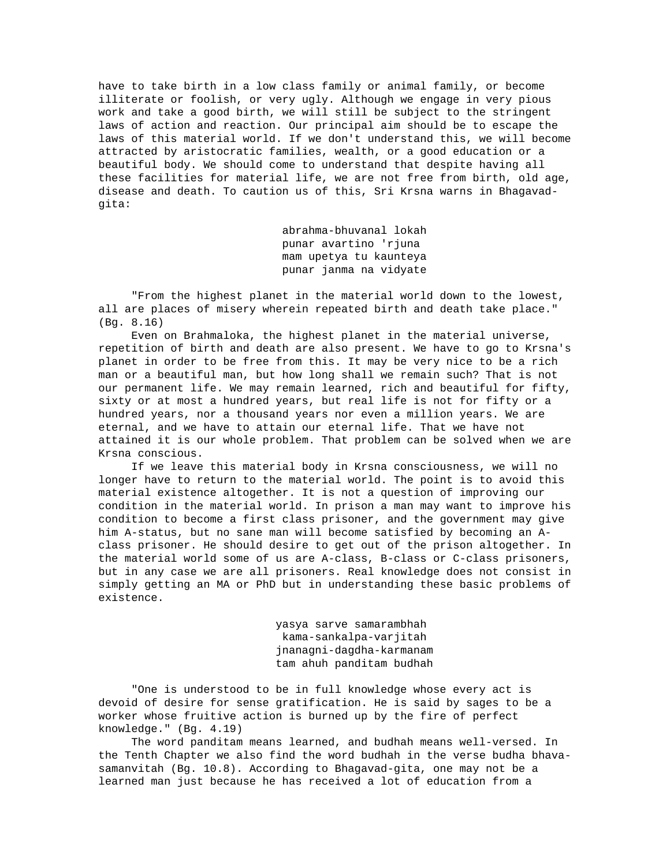have to take birth in a low class family or animal family, or become illiterate or foolish, or very ugly. Although we engage in very pious work and take a good birth, we will still be subject to the stringent laws of action and reaction. Our principal aim should be to escape the laws of this material world. If we don't understand this, we will become attracted by aristocratic families, wealth, or a good education or a beautiful body. We should come to understand that despite having all these facilities for material life, we are not free from birth, old age, disease and death. To caution us of this, Sri Krsna warns in Bhagavadgita:

> abrahma-bhuvanal lokah punar avartino 'rjuna mam upetya tu kaunteya punar janma na vidyate

 "From the highest planet in the material world down to the lowest, all are places of misery wherein repeated birth and death take place." (Bg. 8.16)

 Even on Brahmaloka, the highest planet in the material universe, repetition of birth and death are also present. We have to go to Krsna's planet in order to be free from this. It may be very nice to be a rich man or a beautiful man, but how long shall we remain such? That is not our permanent life. We may remain learned, rich and beautiful for fifty, sixty or at most a hundred years, but real life is not for fifty or a hundred years, nor a thousand years nor even a million years. We are eternal, and we have to attain our eternal life. That we have not attained it is our whole problem. That problem can be solved when we are Krsna conscious.

 If we leave this material body in Krsna consciousness, we will no longer have to return to the material world. The point is to avoid this material existence altogether. It is not a question of improving our condition in the material world. In prison a man may want to improve his condition to become a first class prisoner, and the government may give him A-status, but no sane man will become satisfied by becoming an Aclass prisoner. He should desire to get out of the prison altogether. In the material world some of us are A-class, B-class or C-class prisoners, but in any case we are all prisoners. Real knowledge does not consist in simply getting an MA or PhD but in understanding these basic problems of existence.

> yasya sarve samarambhah kama-sankalpa-varjitah jnanagni-dagdha-karmanam tam ahuh panditam budhah

 "One is understood to be in full knowledge whose every act is devoid of desire for sense gratification. He is said by sages to be a worker whose fruitive action is burned up by the fire of perfect knowledge." (Bg. 4.19)

 The word panditam means learned, and budhah means well-versed. In the Tenth Chapter we also find the word budhah in the verse budha bhavasamanvitah (Bg. 10.8). According to Bhagavad-gita, one may not be a learned man just because he has received a lot of education from a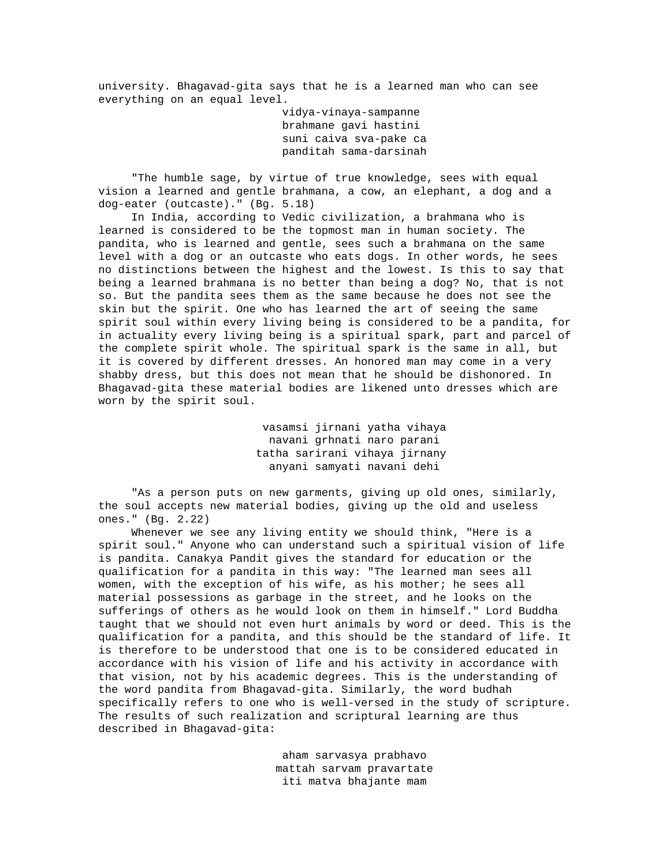university. Bhagavad-gita says that he is a learned man who can see everything on an equal level.

> vidya-vinaya-sampanne brahmane gavi hastini suni caiva sva-pake ca panditah sama-darsinah

 "The humble sage, by virtue of true knowledge, sees with equal vision a learned and gentle brahmana, a cow, an elephant, a dog and a dog-eater (outcaste)." (Bg. 5.18)

 In India, according to Vedic civilization, a brahmana who is learned is considered to be the topmost man in human society. The pandita, who is learned and gentle, sees such a brahmana on the same level with a dog or an outcaste who eats dogs. In other words, he sees no distinctions between the highest and the lowest. Is this to say that being a learned brahmana is no better than being a dog? No, that is not so. But the pandita sees them as the same because he does not see the skin but the spirit. One who has learned the art of seeing the same spirit soul within every living being is considered to be a pandita, for in actuality every living being is a spiritual spark, part and parcel of the complete spirit whole. The spiritual spark is the same in all, but it is covered by different dresses. An honored man may come in a very shabby dress, but this does not mean that he should be dishonored. In Bhagavad-gita these material bodies are likened unto dresses which are worn by the spirit soul.

> vasamsi jirnani yatha vihaya navani grhnati naro parani tatha sarirani vihaya jirnany anyani samyati navani dehi

 "As a person puts on new garments, giving up old ones, similarly, the soul accepts new material bodies, giving up the old and useless ones." (Bg. 2.22)

 Whenever we see any living entity we should think, "Here is a spirit soul." Anyone who can understand such a spiritual vision of life is pandita. Canakya Pandit gives the standard for education or the qualification for a pandita in this way: "The learned man sees all women, with the exception of his wife, as his mother; he sees all material possessions as garbage in the street, and he looks on the sufferings of others as he would look on them in himself." Lord Buddha taught that we should not even hurt animals by word or deed. This is the qualification for a pandita, and this should be the standard of life. It is therefore to be understood that one is to be considered educated in accordance with his vision of life and his activity in accordance with that vision, not by his academic degrees. This is the understanding of the word pandita from Bhagavad-gita. Similarly, the word budhah specifically refers to one who is well-versed in the study of scripture. The results of such realization and scriptural learning are thus described in Bhagavad-gita:

> aham sarvasya prabhavo mattah sarvam pravartate iti matva bhajante mam